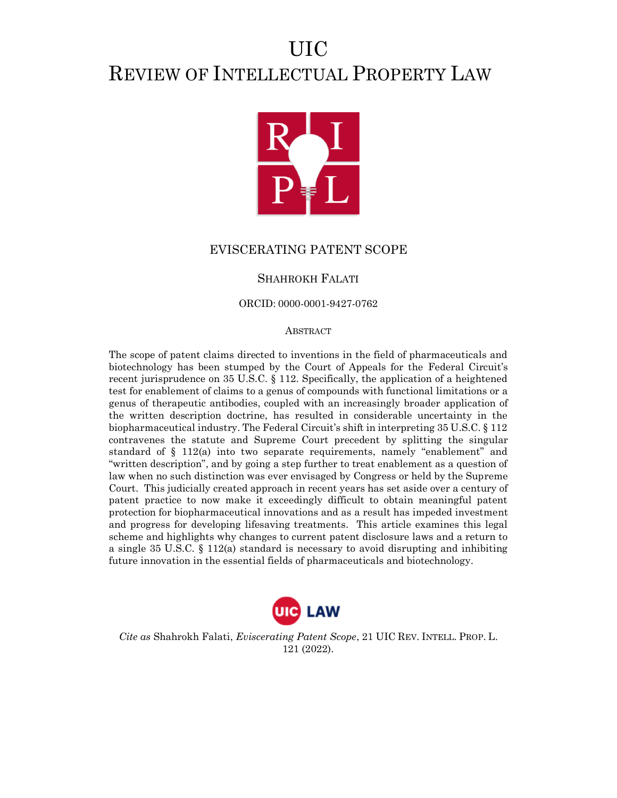# UIC REVIEW OF INTELLECTUAL PROPERTY LAW



# EVISCERATING PATENT SCOPE

# SHAHROKH FALATI

ORCID: 0000-0001-9427-0762

#### ABSTRACT

The scope of patent claims directed to inventions in the field of pharmaceuticals and biotechnology has been stumped by the Court of Appeals for the Federal Circuit's recent jurisprudence on 35 U.S.C. § 112. Specifically, the application of a heightened test for enablement of claims to a genus of compounds with functional limitations or a genus of therapeutic antibodies, coupled with an increasingly broader application of the written description doctrine, has resulted in considerable uncertainty in the biopharmaceutical industry. The Federal Circuit's shift in interpreting 35 U.S.C. § 112 contravenes the statute and Supreme Court precedent by splitting the singular standard of § 112(a) into two separate requirements, namely "enablement" and "written description", and by going a step further to treat enablement as a question of law when no such distinction was ever envisaged by Congress or held by the Supreme Court. This judicially created approach in recent years has set aside over a century of patent practice to now make it exceedingly difficult to obtain meaningful patent protection for biopharmaceutical innovations and as a result has impeded investment and progress for developing lifesaving treatments. This article examines this legal scheme and highlights why changes to current patent disclosure laws and a return to a single 35 U.S.C.  $\S$  112(a) standard is necessary to avoid disrupting and inhibiting future innovation in the essential fields of pharmaceuticals and biotechnology.



*Cite as* Shahrokh Falati, *Eviscerating Patent Scope*, 21 UIC REV. INTELL. PROP. L. 121 (2022).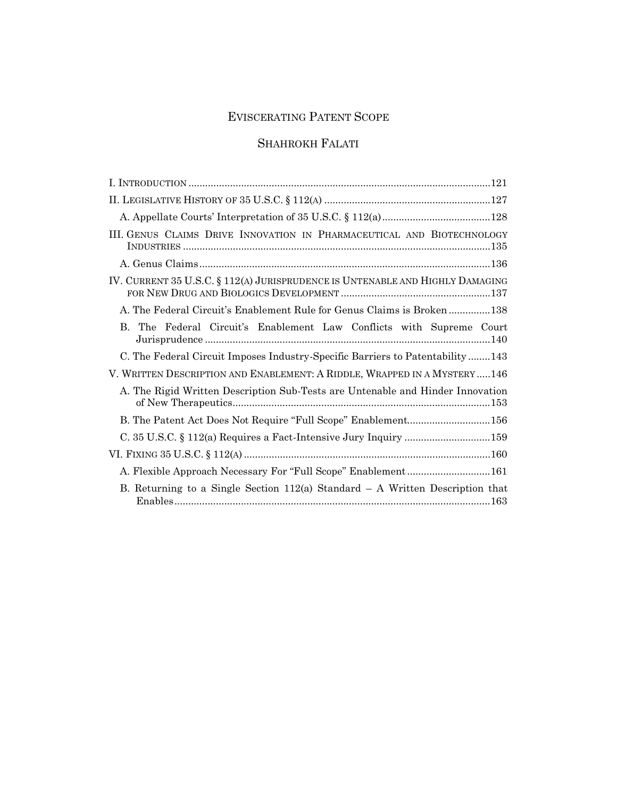# EVISCERATING PATENT SCOPE

# SHAHROKH FALATI

| III. GENUS CLAIMS DRIVE INNOVATION IN PHARMACEUTICAL AND BIOTECHNOLOGY          |
|---------------------------------------------------------------------------------|
|                                                                                 |
| IV. CURRENT 35 U.S.C. § 112(A) JURISPRUDENCE IS UNTENABLE AND HIGHLY DAMAGING   |
| A. The Federal Circuit's Enablement Rule for Genus Claims is Broken138          |
| B. The Federal Circuit's Enablement Law Conflicts with Supreme Court            |
| C. The Federal Circuit Imposes Industry-Specific Barriers to Patentability143   |
| V. WRITTEN DESCRIPTION AND ENABLEMENT: A RIDDLE, WRAPPED IN A MYSTERY146        |
| A. The Rigid Written Description Sub-Tests are Untenable and Hinder Innovation  |
| B. The Patent Act Does Not Require "Full Scope" Enablement156                   |
|                                                                                 |
|                                                                                 |
| A. Flexible Approach Necessary For "Full Scope" Enablement161                   |
| B. Returning to a Single Section $112(a)$ Standard – A Written Description that |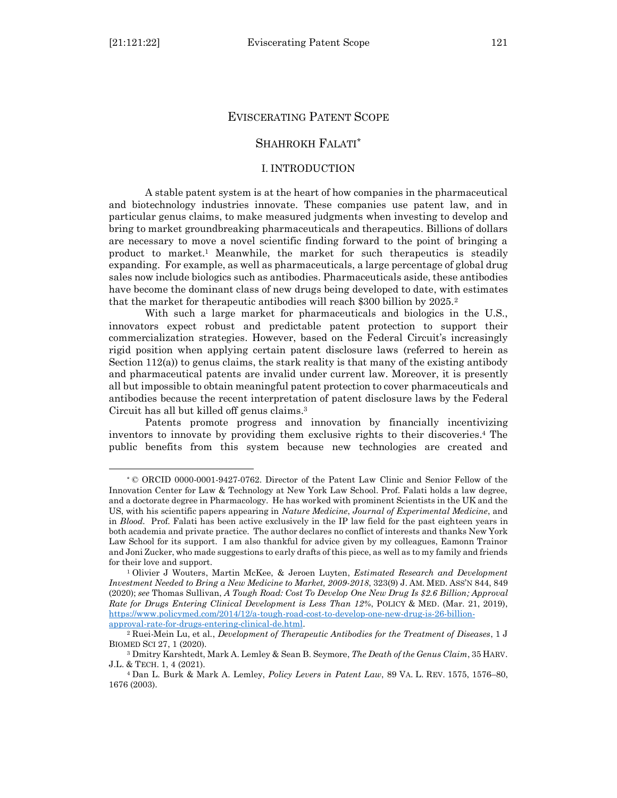# EVISCERATING PATENT SCOPE

# SHAHROKH FALATI\*

#### I. INTRODUCTION

<span id="page-2-0"></span>A stable patent system is at the heart of how companies in the pharmaceutical and biotechnology industries innovate. These companies use patent law, and in particular genus claims, to make measured judgments when investing to develop and bring to market groundbreaking pharmaceuticals and therapeutics. Billions of dollars are necessary to move a novel scientific finding forward to the point of bringing a product to market.<sup>1</sup> Meanwhile, the market for such therapeutics is steadily expanding. For example, as well as pharmaceuticals, a large percentage of global drug sales now include biologics such as antibodies. Pharmaceuticals aside, these antibodies have become the dominant class of new drugs being developed to date, with estimates that the market for therapeutic antibodies will reach \$300 billion by 2025.<sup>2</sup>

With such a large market for pharmaceuticals and biologics in the U.S., innovators expect robust and predictable patent protection to support their commercialization strategies. However, based on the Federal Circuit's increasingly rigid position when applying certain patent disclosure laws (referred to herein as Section  $112(a)$ ) to genus claims, the stark reality is that many of the existing antibody and pharmaceutical patents are invalid under current law. Moreover, it is presently all but impossible to obtain meaningful patent protection to cover pharmaceuticals and antibodies because the recent interpretation of patent disclosure laws by the Federal Circuit has all but killed off genus claims.<sup>3</sup>

Patents promote progress and innovation by financially incentivizing inventors to innovate by providing them exclusive rights to their discoveries. <sup>4</sup> The public benefits from this system because new technologies are created and

<sup>\*</sup> © ORCID 0000-0001-9427-0762. Director of the Patent Law Clinic and Senior Fellow of the Innovation Center for Law & Technology at New York Law School. Prof. Falati holds a law degree, and a doctorate degree in Pharmacology. He has worked with prominent Scientists in the UK and the US, with his scientific papers appearing in *Nature Medicine*, *Journal of Experimental Medicine*, and in *Blood.* Prof. Falati has been active exclusively in the IP law field for the past eighteen years in both academia and private practice. The author declares no conflict of interests and thanks New York Law School for its support. I am also thankful for advice given by my colleagues, Eamonn Trainor and Joni Zucker, who made suggestions to early drafts of this piece, as well as to my family and friends for their love and support.

<sup>1</sup> Olivier J Wouters, Martin McKee, & Jeroen Luyten, *Estimated Research and Development Investment Needed to Bring a New Medicine to Market, 2009-2018*, 323(9) J. AM. MED. ASS'N 844, 849 (2020); *see* Thomas Sullivan, *A Tough Road: Cost To Develop One New Drug Is \$2.6 Billion; Approval Rate for Drugs Entering Clinical Development is Less Than 12%*, POLICY & MED. (Mar. 21, 2019), [https://www.policymed.com/2014/12/a-tough-road-cost-to-develop-one-new-drug-is-26-billion](https://www.policymed.com/2014/12/a-tough-road-cost-to-develop-one-new-drug-is-26-billion-approval-rate-for-drugs-entering-clinical-de.html)[approval-rate-for-drugs-entering-clinical-de.html.](https://www.policymed.com/2014/12/a-tough-road-cost-to-develop-one-new-drug-is-26-billion-approval-rate-for-drugs-entering-clinical-de.html)

<sup>2</sup> Ruei-Mein Lu, et al*.*, *Development of Therapeutic Antibodies for the Treatment of Diseases*, 1 J BIOMED SCI 27, 1 (2020).

<sup>3</sup> Dmitry Karshtedt, Mark A. Lemley & Sean B. Seymore, *The Death of the Genus Claim*, 35 HARV. J.L. & TECH. 1, 4 (2021).

<sup>4</sup> Dan L. Burk & Mark A. Lemley, *Policy Levers in Patent Law*, 89 VA. L. REV. 1575, 1576–80, 1676 (2003).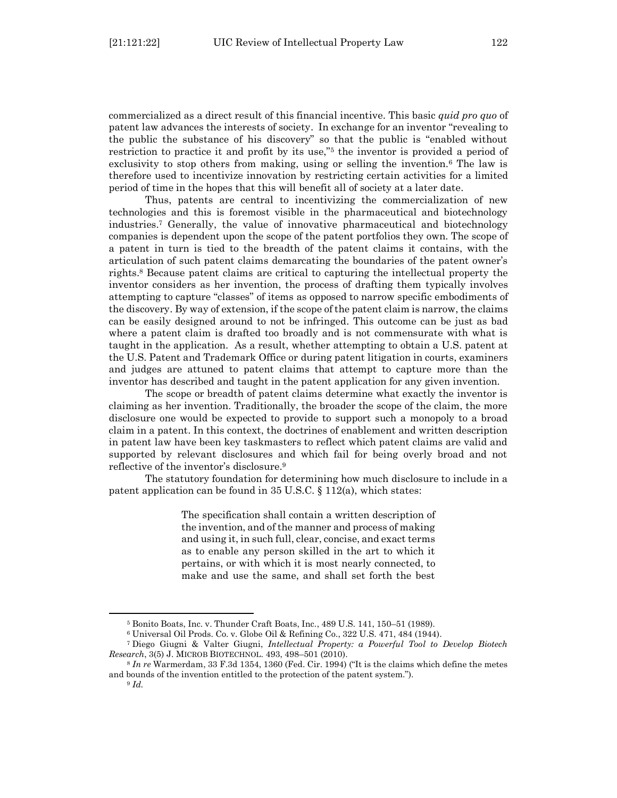commercialized as a direct result of this financial incentive. This basic *quid pro quo* of patent law advances the interests of society. In exchange for an inventor "revealing to the public the substance of his discovery" so that the public is "enabled without restriction to practice it and profit by its use,"<sup>5</sup> the inventor is provided a period of exclusivity to stop others from making, using or selling the invention.<sup>6</sup> The law is therefore used to incentivize innovation by restricting certain activities for a limited period of time in the hopes that this will benefit all of society at a later date.

Thus, patents are central to incentivizing the commercialization of new technologies and this is foremost visible in the pharmaceutical and biotechnology industries.<sup>7</sup> Generally, the value of innovative pharmaceutical and biotechnology companies is dependent upon the scope of the patent portfolios they own. The scope of a patent in turn is tied to the breadth of the patent claims it contains, with the articulation of such patent claims demarcating the boundaries of the patent owner's rights. <sup>8</sup> Because patent claims are critical to capturing the intellectual property the inventor considers as her invention, the process of drafting them typically involves attempting to capture "classes" of items as opposed to narrow specific embodiments of the discovery. By way of extension, if the scope of the patent claim is narrow, the claims can be easily designed around to not be infringed. This outcome can be just as bad where a patent claim is drafted too broadly and is not commensurate with what is taught in the application. As a result, whether attempting to obtain a U.S. patent at the U.S. Patent and Trademark Office or during patent litigation in courts, examiners and judges are attuned to patent claims that attempt to capture more than the inventor has described and taught in the patent application for any given invention.

The scope or breadth of patent claims determine what exactly the inventor is claiming as her invention. Traditionally, the broader the scope of the claim, the more disclosure one would be expected to provide to support such a monopoly to a broad claim in a patent. In this context, the doctrines of enablement and written description in patent law have been key taskmasters to reflect which patent claims are valid and supported by relevant disclosures and which fail for being overly broad and not reflective of the inventor's disclosure.<sup>9</sup>

The statutory foundation for determining how much disclosure to include in a patent application can be found in 35 U.S.C. § 112(a), which states:

> The specification shall contain a written description of the invention, and of the manner and process of making and using it, in such full, clear, concise, and exact terms as to enable any person skilled in the art to which it pertains, or with which it is most nearly connected, to make and use the same, and shall set forth the best

<sup>5</sup> Bonito Boats, Inc. v. Thunder Craft Boats, Inc*.*, 489 U.S. 141, 150–51 (1989).

<sup>6</sup> Universal Oil Prods. Co. v. Globe Oil & Refining Co*.*, 322 U.S. 471, 484 (1944).

<sup>7</sup> Diego Giugni & Valter Giugni, *Intellectual Property: a Powerful Tool to Develop Biotech Research*, 3(5) J. MICROB BIOTECHNOL. 493, 498–501 (2010).

<sup>8</sup> *In re* Warmerdam, 33 F.3d 1354, 1360 (Fed. Cir. 1994) ("It is the claims which define the metes and bounds of the invention entitled to the protection of the patent system.").

<sup>9</sup> *Id.*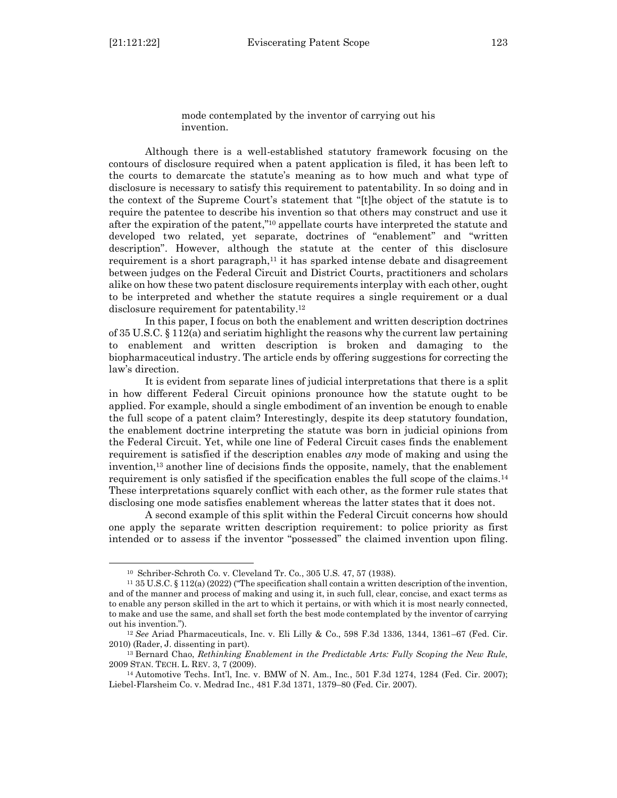mode contemplated by the inventor of carrying out his invention.

Although there is a well-established statutory framework focusing on the contours of disclosure required when a patent application is filed, it has been left to the courts to demarcate the statute's meaning as to how much and what type of disclosure is necessary to satisfy this requirement to patentability. In so doing and in the context of the Supreme Court's statement that "[t]he object of the statute is to require the patentee to describe his invention so that others may construct and use it after the expiration of the patent," <sup>10</sup> appellate courts have interpreted the statute and developed two related, yet separate, doctrines of "enablement" and "written description". However, although the statute at the center of this disclosure requirement is a short paragraph,<sup>11</sup> it has sparked intense debate and disagreement between judges on the Federal Circuit and District Courts, practitioners and scholars alike on how these two patent disclosure requirements interplay with each other, ought to be interpreted and whether the statute requires a single requirement or a dual disclosure requirement for patentability.<sup>12</sup>

In this paper, I focus on both the enablement and written description doctrines of 35 U.S.C. § 112(a) and seriatim highlight the reasons why the current law pertaining to enablement and written description is broken and damaging to the biopharmaceutical industry. The article ends by offering suggestions for correcting the law's direction.

It is evident from separate lines of judicial interpretations that there is a split in how different Federal Circuit opinions pronounce how the statute ought to be applied. For example, should a single embodiment of an invention be enough to enable the full scope of a patent claim? Interestingly, despite its deep statutory foundation, the enablement doctrine interpreting the statute was born in judicial opinions from the Federal Circuit. Yet, while one line of Federal Circuit cases finds the enablement requirement is satisfied if the description enables *any* mode of making and using the invention,<sup>13</sup> another line of decisions finds the opposite, namely, that the enablement requirement is only satisfied if the specification enables the full scope of the claims.<sup>14</sup> These interpretations squarely conflict with each other, as the former rule states that disclosing one mode satisfies enablement whereas the latter states that it does not.

A second example of this split within the Federal Circuit concerns how should one apply the separate written description requirement: to police priority as first intended or to assess if the inventor "possessed" the claimed invention upon filing.

<sup>10</sup> Schriber-Schroth Co. v. Cleveland Tr. Co*.*, 305 U.S. 47, 57 (1938).

<sup>11</sup> 35 U.S.C. § 112(a) (2022) ("The specification shall contain a written description of the invention, and of the manner and process of making and using it, in such full, clear, concise, and exact terms as to enable any person skilled in the art to which it pertains, or with which it is most nearly connected, to make and use the same, and shall set forth the best mode contemplated by the inventor of carrying out his invention.").

<sup>12</sup> *See* Ariad Pharmaceuticals, Inc. v. Eli Lilly & Co., 598 F.3d 1336, 1344, 1361–67 (Fed. Cir. 2010) (Rader, J. dissenting in part).

<sup>13</sup> Bernard Chao, *Rethinking Enablement in the Predictable Arts: Fully Scoping the New Rule*, 2009 STAN. TECH. L. REV. 3, 7 (2009).

<sup>14</sup> Automotive Techs. Int'l, Inc. v. BMW of N. Am., Inc*.*, 501 F.3d 1274, 1284 (Fed. Cir. 2007); Liebel-Flarsheim Co. v. Medrad Inc*.*, 481 F.3d 1371, 1379–80 (Fed. Cir. 2007).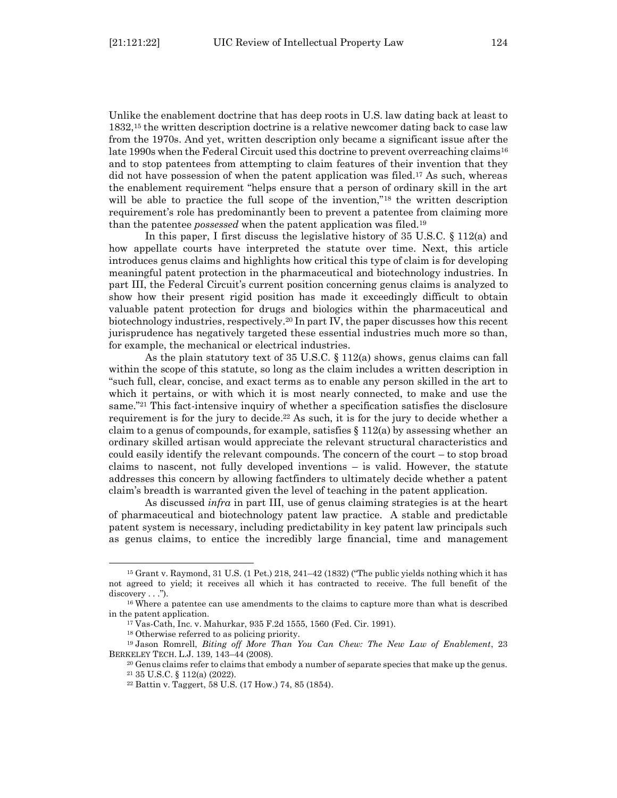Unlike the enablement doctrine that has deep roots in U.S. law dating back at least to 1832,<sup>15</sup> the written description doctrine is a relative newcomer dating back to case law from the 1970s. And yet, written description only became a significant issue after the late 1990s when the Federal Circuit used this doctrine to prevent overreaching claims<sup>16</sup> and to stop patentees from attempting to claim features of their invention that they did not have possession of when the patent application was filed.<sup>17</sup> As such, whereas the enablement requirement "helps ensure that a person of ordinary skill in the art will be able to practice the full scope of the invention,"<sup>18</sup> the written description requirement's role has predominantly been to prevent a patentee from claiming more than the patentee *possessed* when the patent application was filed.<sup>19</sup>

In this paper, I first discuss the legislative history of 35 U.S.C. § 112(a) and how appellate courts have interpreted the statute over time. Next, this article introduces genus claims and highlights how critical this type of claim is for developing meaningful patent protection in the pharmaceutical and biotechnology industries. In part III, the Federal Circuit's current position concerning genus claims is analyzed to show how their present rigid position has made it exceedingly difficult to obtain valuable patent protection for drugs and biologics within the pharmaceutical and biotechnology industries, respectively. <sup>20</sup> In part IV, the paper discusses how this recent jurisprudence has negatively targeted these essential industries much more so than, for example, the mechanical or electrical industries.

As the plain statutory text of 35 U.S.C. § 112(a) shows, genus claims can fall within the scope of this statute, so long as the claim includes a written description in "such full, clear, concise, and exact terms as to enable any person skilled in the art to which it pertains, or with which it is most nearly connected, to make and use the same."<sup>21</sup> This fact-intensive inquiry of whether a specification satisfies the disclosure requirement is for the jury to decide. <sup>22</sup> As such, it is for the jury to decide whether a claim to a genus of compounds, for example, satisfies  $\S 112(a)$  by assessing whether an ordinary skilled artisan would appreciate the relevant structural characteristics and could easily identify the relevant compounds. The concern of the court – to stop broad claims to nascent, not fully developed inventions – is valid. However, the statute addresses this concern by allowing factfinders to ultimately decide whether a patent claim's breadth is warranted given the level of teaching in the patent application.

As discussed *infra* in part III, use of genus claiming strategies is at the heart of pharmaceutical and biotechnology patent law practice. A stable and predictable patent system is necessary, including predictability in key patent law principals such as genus claims, to entice the incredibly large financial, time and management

<sup>15</sup> Grant v. Raymond, 31 U.S. (1 Pet.) 218, 241–42 (1832) ("The public yields nothing which it has not agreed to yield; it receives all which it has contracted to receive. The full benefit of the discovery . . .").

<sup>16</sup> Where a patentee can use amendments to the claims to capture more than what is described in the patent application.

<sup>17</sup> Vas-Cath, Inc. v. Mahurkar, 935 F.2d 1555, 1560 (Fed. Cir. 1991).

<sup>18</sup> Otherwise referred to as policing priority.

<sup>19</sup> Jason Romrell, *Biting off More Than You Can Chew: The New Law of Enablement*, 23 BERKELEY TECH. L.J. 139, 143–44 (2008).

<sup>20</sup> Genus claims refer to claims that embody a number of separate species that make up the genus. <sup>21</sup> 35 U.S.C. § 112(a) (2022).

<sup>22</sup> Battin v. Taggert, 58 U.S. (17 How.) 74, 85 (1854).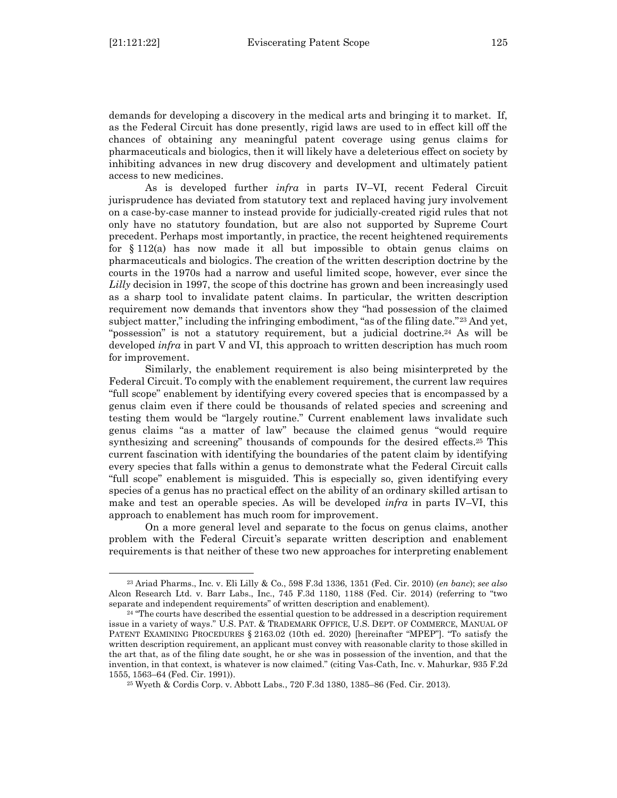demands for developing a discovery in the medical arts and bringing it to market. If, as the Federal Circuit has done presently, rigid laws are used to in effect kill off the chances of obtaining any meaningful patent coverage using genus claims for pharmaceuticals and biologics, then it will likely have a deleterious effect on society by inhibiting advances in new drug discovery and development and ultimately patient access to new medicines.

As is developed further *infra* in parts IV–VI, recent Federal Circuit jurisprudence has deviated from statutory text and replaced having jury involvement on a case-by-case manner to instead provide for judicially-created rigid rules that not only have no statutory foundation, but are also not supported by Supreme Court precedent. Perhaps most importantly, in practice, the recent heightened requirements for  $\S 112(a)$  has now made it all but impossible to obtain genus claims on pharmaceuticals and biologics. The creation of the written description doctrine by the courts in the 1970s had a narrow and useful limited scope, however, ever since the *Lilly* decision in 1997, the scope of this doctrine has grown and been increasingly used as a sharp tool to invalidate patent claims. In particular, the written description requirement now demands that inventors show they "had possession of the claimed subject matter," including the infringing embodiment, "as of the filing date." $^{23}$  And yet, "possession" is not a statutory requirement, but a judicial doctrine.<sup>24</sup> As will be developed *infra* in part V and VI, this approach to written description has much room for improvement.

Similarly, the enablement requirement is also being misinterpreted by the Federal Circuit. To comply with the enablement requirement, the current law requires "full scope" enablement by identifying every covered species that is encompassed by a genus claim even if there could be thousands of related species and screening and testing them would be "largely routine." Current enablement laws invalidate such genus claims "as a matter of law" because the claimed genus "would require synthesizing and screening" thousands of compounds for the desired effects.<sup>25</sup> This current fascination with identifying the boundaries of the patent claim by identifying every species that falls within a genus to demonstrate what the Federal Circuit calls "full scope" enablement is misguided. This is especially so, given identifying every species of a genus has no practical effect on the ability of an ordinary skilled artisan to make and test an operable species. As will be developed *infra* in parts IV–VI, this approach to enablement has much room for improvement.

On a more general level and separate to the focus on genus claims, another problem with the Federal Circuit's separate written description and enablement requirements is that neither of these two new approaches for interpreting enablement

<sup>23</sup> Ariad Pharms., Inc. v. Eli Lilly & Co*.*, 598 F.3d 1336, 1351 (Fed. Cir. 2010) (*en banc*); *see also* Alcon Research Ltd. v. Barr Labs., Inc*.*, 745 F.3d 1180, 1188 (Fed. Cir. 2014) (referring to "two separate and independent requirements" of written description and enablement).

<sup>&</sup>lt;sup>24</sup> "The courts have described the essential question to be addressed in a description requirement issue in a variety of ways." U.S. PAT. & TRADEMARK OFFICE, U.S. DEPT. OF COMMERCE, MANUAL OF PATENT EXAMINING PROCEDURES § 2163.02 (10th ed. 2020) [hereinafter "MPEP"]. "To satisfy the written description requirement, an applicant must convey with reasonable clarity to those skilled in the art that, as of the filing date sought, he or she was in possession of the invention, and that the invention, in that context, is whatever is now claimed." (citing Vas-Cath, Inc. v. Mahurkar, 935 F.2d 1555, 1563–64 (Fed. Cir. 1991)).

<sup>25</sup> Wyeth & Cordis Corp. v. Abbott Labs*.*, 720 F.3d 1380, 1385–86 (Fed. Cir. 2013).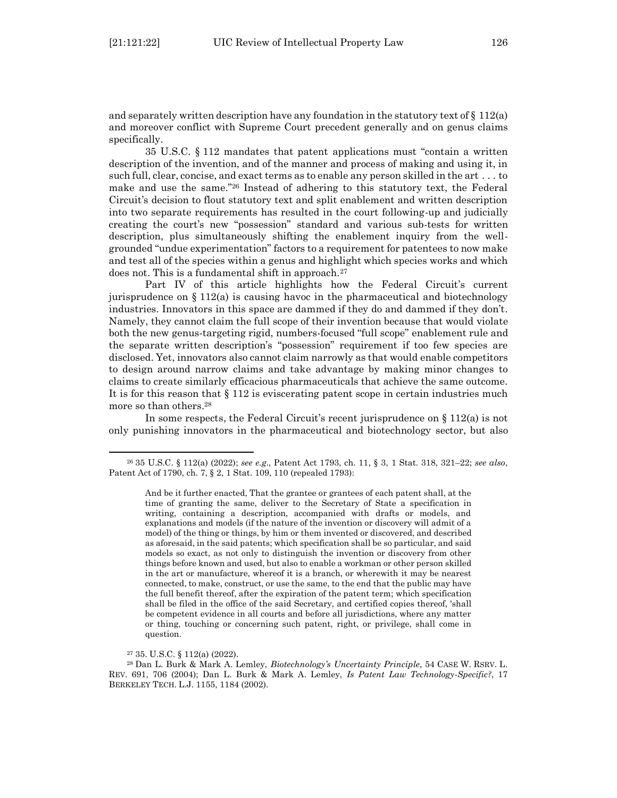and separately written description have any foundation in the statutory text of  $\S 112(a)$ and moreover conflict with Supreme Court precedent generally and on genus claims specifically.

35 U.S.C. § 112 mandates that patent applications must "contain a written description of the invention, and of the manner and process of making and using it, in such full, clear, concise, and exact terms as to enable any person skilled in the art . . . to make and use the same."<sup>26</sup> Instead of adhering to this statutory text, the Federal Circuit's decision to flout statutory text and split enablement and written description into two separate requirements has resulted in the court following-up and judicially creating the court's new "possession" standard and various sub-tests for written description, plus simultaneously shifting the enablement inquiry from the wellgrounded "undue experimentation" factors to a requirement for patentees to now make and test all of the species within a genus and highlight which species works and which does not. This is a fundamental shift in approach.<sup>27</sup>

Part IV of this article highlights how the Federal Circuit's current jurisprudence on  $\S 112(a)$  is causing havoc in the pharmaceutical and biotechnology industries. Innovators in this space are dammed if they do and dammed if they don't. Namely, they cannot claim the full scope of their invention because that would violate both the new genus-targeting rigid, numbers-focused "full scope" enablement rule and the separate written description's "possession" requirement if too few species are disclosed. Yet, innovators also cannot claim narrowly as that would enable competitors to design around narrow claims and take advantage by making minor changes to claims to create similarly efficacious pharmaceuticals that achieve the same outcome. It is for this reason that  $\S 112$  is eviscerating patent scope in certain industries much more so than others.<sup>28</sup>

In some respects, the Federal Circuit's recent jurisprudence on § 112(a) is not only punishing innovators in the pharmaceutical and biotechnology sector, but also

<sup>26</sup> 35 U.S.C. § 112(a) (2022); *see e.g*., Patent Act 1793, ch. 11, § 3, 1 Stat. 318, 321–22; *see also*, Patent Act of 1790, ch. 7, § 2, 1 Stat. 109, 110 (repealed 1793):

And be it further enacted, That the grantee or grantees of each patent shall, at the time of granting the same, deliver to the Secretary of State a specification in writing, containing a description, accompanied with drafts or models, and explanations and models (if the nature of the invention or discovery will admit of a model) of the thing or things, by him or them invented or discovered, and described as aforesaid, in the said patents; which specification shall be so particular, and said models so exact, as not only to distinguish the invention or discovery from other things before known and used, but also to enable a workman or other person skilled in the art or manufacture, whereof it is a branch, or wherewith it may be nearest connected, to make, construct, or use the same, to the end that the public may have the full benefit thereof, after the expiration of the patent term; which specification shall be filed in the office of the said Secretary, and certified copies thereof, 'shall be competent evidence in all courts and before all jurisdictions, where any matter or thing, touching or concerning such patent, right, or privilege, shall come in question.

<sup>27</sup> 35. U.S.C. § 112(a) (2022).

<sup>28</sup> Dan L. Burk & Mark A. Lemley, *Biotechnology's Uncertainty Principle*, 54 CASE W. RSRV. L. REV. 691, 706 (2004); Dan L. Burk & Mark A. Lemley, *Is Patent Law Technology-Specific?*, 17 BERKELEY TECH. L.J. 1155, 1184 (2002).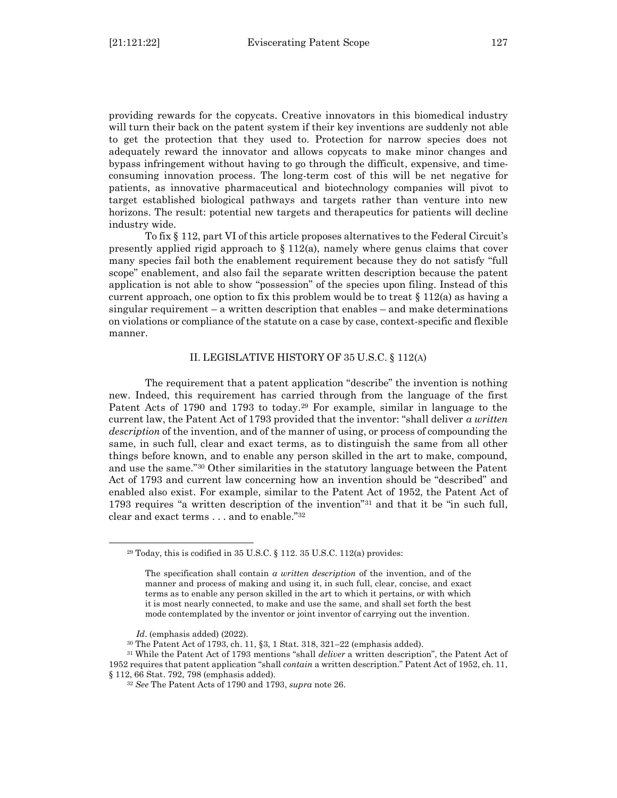providing rewards for the copycats. Creative innovators in this biomedical industry will turn their back on the patent system if their key inventions are suddenly not able to get the protection that they used to. Protection for narrow species does not adequately reward the innovator and allows copycats to make minor changes and bypass infringement without having to go through the difficult, expensive, and timeconsuming innovation process. The long-term cost of this will be net negative for patients, as innovative pharmaceutical and biotechnology companies will pivot to target established biological pathways and targets rather than venture into new horizons. The result: potential new targets and therapeutics for patients will decline industry wide.

To fix § 112, part VI of this article proposes alternatives to the Federal Circuit's presently applied rigid approach to  $\S 112(a)$ , namely where genus claims that cover many species fail both the enablement requirement because they do not satisfy "full scope" enablement, and also fail the separate written description because the patent application is not able to show "possession" of the species upon filing. Instead of this current approach, one option to fix this problem would be to treat  $\S 112(a)$  as having a singular requirement – a written description that enables – and make determinations on violations or compliance of the statute on a case by case, context-specific and flexible manner.

### II. LEGISLATIVE HISTORY OF 35 U.S.C. § 112(A)

<span id="page-8-0"></span>The requirement that a patent application "describe" the invention is nothing new. Indeed, this requirement has carried through from the language of the first Patent Acts of 1790 and 1793 to today.<sup>29</sup> For example, similar in language to the current law, the Patent Act of 1793 provided that the inventor: "shall deliver *a written description* of the invention, and of the manner of using, or process of compounding the same, in such full, clear and exact terms, as to distinguish the same from all other things before known, and to enable any person skilled in the art to make, compound, and use the same."<sup>30</sup> Other similarities in the statutory language between the Patent Act of 1793 and current law concerning how an invention should be "described" and enabled also exist. For example, similar to the Patent Act of 1952, the Patent Act of 1793 requires "a written description of the invention"<sup>31</sup> and that it be "in such full, clear and exact terms . . . and to enable." 32

 $29 \text{ Today, this is codified in } 35 \text{ U.S.C. }$  § 112.  $35 \text{ U.S.C. } 112 \text{(a) provides:}$ 

The specification shall contain *a written description* of the invention, and of the manner and process of making and using it, in such full, clear, concise, and exact terms as to enable any person skilled in the art to which it pertains, or with which it is most nearly connected, to make and use the same, and shall set forth the best mode contemplated by the inventor or joint inventor of carrying out the invention.

*Id*. (emphasis added) (2022).

<sup>30</sup> The Patent Act of 1793, ch. 11, §3, 1 Stat. 318, 321–22 (emphasis added).

<sup>31</sup> While the Patent Act of 1793 mentions "shall *deliver* a written description", the Patent Act of 1952 requires that patent application "shall *contain* a written description." Patent Act of 1952, ch. 11, § 112, 66 Stat. 792, 798 (emphasis added).

<sup>32</sup> *See* The Patent Acts of 1790 and 1793, *supra* note 26.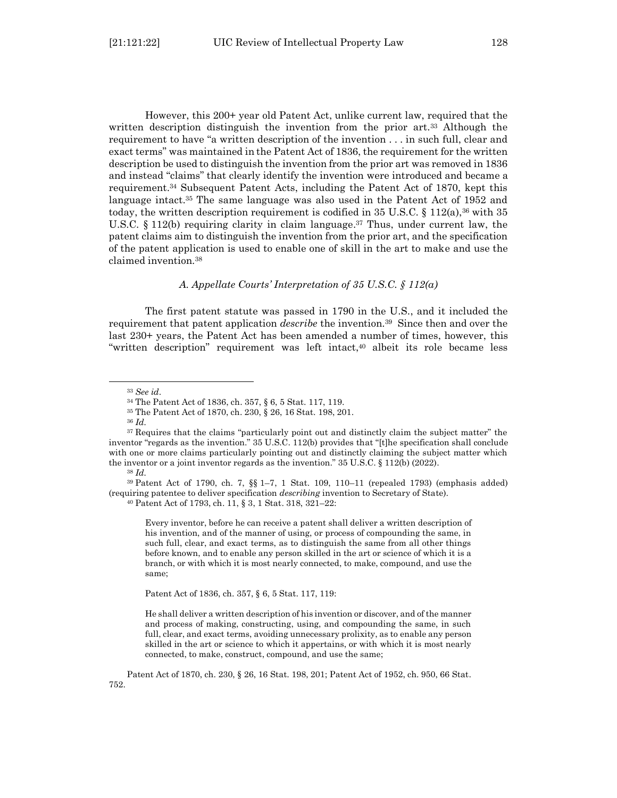However, this 200+ year old Patent Act, unlike current law, required that the written description distinguish the invention from the prior art.<sup>33</sup> Although the requirement to have "a written description of the invention . . . in such full, clear and exact terms" was maintained in the Patent Act of 1836, the requirement for the written description be used to distinguish the invention from the prior art was removed in 1836 and instead "claims" that clearly identify the invention were introduced and became a requirement.<sup>34</sup> Subsequent Patent Acts, including the Patent Act of 1870, kept this language intact.<sup>35</sup> The same language was also used in the Patent Act of 1952 and today, the written description requirement is codified in 35 U.S.C. § 112(a),<sup>36</sup> with 35 U.S.C. § 112(b) requiring clarity in claim language. <sup>37</sup> Thus, under current law, the patent claims aim to distinguish the invention from the prior art, and the specification of the patent application is used to enable one of skill in the art to make and use the claimed invention.<sup>38</sup>

#### *A. Appellate Courts' Interpretation of 35 U.S.C. § 112(a)*

<span id="page-9-0"></span>The first patent statute was passed in 1790 in the U.S., and it included the requirement that patent application *describe* the invention.39 Since then and over the last 230+ years, the Patent Act has been amended a number of times, however, this "written description" requirement was left intact,<sup>40</sup> albeit its role became less

<sup>36</sup> *Id.*

<sup>39</sup> Patent Act of 1790, ch. 7, §§ 1–7, 1 Stat. 109, 110–11 (repealed 1793) (emphasis added) (requiring patentee to deliver specification *describing* invention to Secretary of State).

Every inventor, before he can receive a patent shall deliver a written description of his invention, and of the manner of using, or process of compounding the same, in such full, clear, and exact terms, as to distinguish the same from all other things before known, and to enable any person skilled in the art or science of which it is a branch, or with which it is most nearly connected, to make, compound, and use the same;

Patent Act of 1836, ch. 357, § 6, 5 Stat. 117, 119:

He shall deliver a written description of his invention or discover, and of the manner and process of making, constructing, using, and compounding the same, in such full, clear, and exact terms, avoiding unnecessary prolixity, as to enable any person skilled in the art or science to which it appertains, or with which it is most nearly connected, to make, construct, compound, and use the same;

Patent Act of 1870, ch. 230, § 26, 16 Stat. 198, 201; Patent Act of 1952, ch. 950, 66 Stat. 752.

<sup>33</sup> *See id*.

<sup>34</sup> The Patent Act of 1836, ch. 357, § 6, 5 Stat. 117, 119.

<sup>35</sup> The Patent Act of 1870, ch. 230, § 26, 16 Stat. 198, 201.

<sup>&</sup>lt;sup>37</sup> Requires that the claims "particularly point out and distinctly claim the subject matter" the inventor "regards as the invention." 35 U.S.C. 112(b) provides that "[t]he specification shall conclude with one or more claims particularly pointing out and distinctly claiming the subject matter which the inventor or a joint inventor regards as the invention."  $35 \text{ U.S.C.} \$   $112(b) (2022)$ .

<sup>38</sup> *Id.*

<sup>40</sup> Patent Act of 1793, ch. 11, § 3, 1 Stat. 318, 321–22: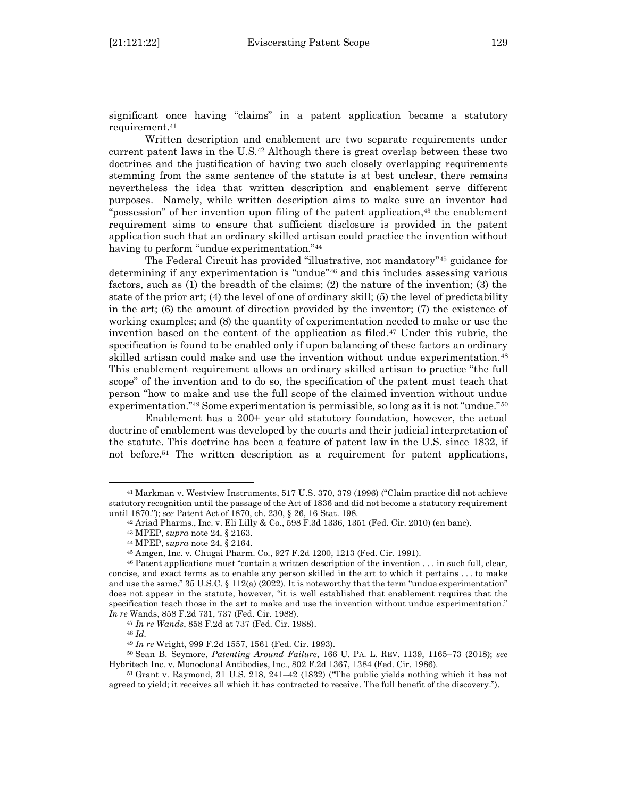significant once having "claims" in a patent application became a statutory requirement.<sup>41</sup>

Written description and enablement are two separate requirements under current patent laws in the U.S. $42$  Although there is great overlap between these two doctrines and the justification of having two such closely overlapping requirements stemming from the same sentence of the statute is at best unclear, there remains nevertheless the idea that written description and enablement serve different purposes. Namely, while written description aims to make sure an inventor had "possession" of her invention upon filing of the patent application, <sup>43</sup> the enablement requirement aims to ensure that sufficient disclosure is provided in the patent application such that an ordinary skilled artisan could practice the invention without having to perform "undue experimentation."<sup>44</sup>

The Federal Circuit has provided "illustrative, not mandatory"<sup>45</sup> guidance for determining if any experimentation is "undue"<sup>46</sup> and this includes assessing various factors, such as (1) the breadth of the claims; (2) the nature of the invention; (3) the state of the prior art; (4) the level of one of ordinary skill; (5) the level of predictability in the art; (6) the amount of direction provided by the inventor; (7) the existence of working examples; and (8) the quantity of experimentation needed to make or use the invention based on the content of the application as filed. <sup>47</sup> Under this rubric, the specification is found to be enabled only if upon balancing of these factors an ordinary skilled artisan could make and use the invention without undue experimentation.<sup>48</sup> This enablement requirement allows an ordinary skilled artisan to practice "the full scope" of the invention and to do so, the specification of the patent must teach that person "how to make and use the full scope of the claimed invention without undue experimentation."<sup>49</sup> Some experimentation is permissible, so long as it is not "undue."<sup>50</sup>

Enablement has a 200+ year old statutory foundation, however, the actual doctrine of enablement was developed by the courts and their judicial interpretation of the statute. This doctrine has been a feature of patent law in the U.S. since 1832, if not before. <sup>51</sup> The written description as a requirement for patent applications,

<sup>41</sup> Markman v. Westview Instruments, 517 U.S. 370, 379 (1996) ("Claim practice did not achieve statutory recognition until the passage of the Act of 1836 and did not become a statutory requirement until 1870."); *see* Patent Act of 1870, ch. 230, § 26, 16 Stat. 198.

<sup>42</sup> Ariad Pharms., Inc. v. Eli Lilly & Co., 598 F.3d 1336, 1351 (Fed. Cir. 2010) (en banc).

<sup>43</sup> MPEP, *supra* note 24, § 2163.

<sup>44</sup> MPEP, *supra* note 24, § 2164.

<sup>45</sup> Amgen, Inc. v. Chugai Pharm. Co*.*, 927 F.2d 1200, 1213 (Fed. Cir. 1991).

<sup>46</sup> Patent applications must "contain a written description of the invention . . . in such full, clear, concise, and exact terms as to enable any person skilled in the art to which it pertains . . . to make and use the same." 35 U.S.C. § 112(a) (2022). It is noteworthy that the term "undue experimentation" does not appear in the statute, however, "it is well established that enablement requires that the specification teach those in the art to make and use the invention without undue experimentation." *In re* Wands, 858 F.2d 731, 737 (Fed. Cir. 1988).

<sup>47</sup> *In re Wands*, 858 F.2d at 737 (Fed. Cir. 1988).

<sup>48</sup> *Id.* 

<sup>49</sup> *In re* Wright, 999 F.2d 1557, 1561 (Fed. Cir. 1993).

<sup>50</sup> Sean B. Seymore, *Patenting Around Failure*, 166 U. PA. L. REV. 1139, 1165–73 (2018); *see* Hybritech Inc. v. Monoclonal Antibodies, Inc., 802 F.2d 1367, 1384 (Fed. Cir. 1986).

<sup>51</sup> Grant v. Raymond, 31 U.S. 218, 241–42 (1832) ("The public yields nothing which it has not agreed to yield; it receives all which it has contracted to receive. The full benefit of the discovery.").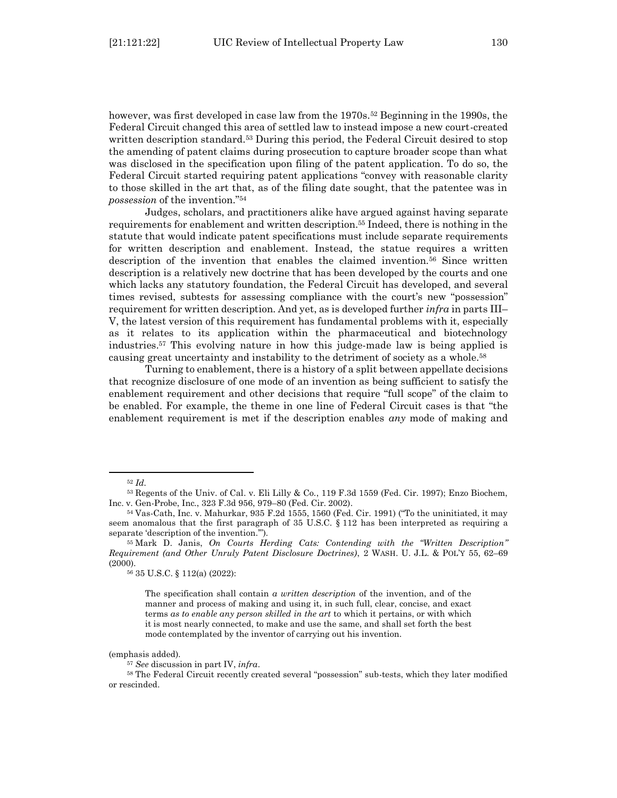however, was first developed in case law from the 1970s.<sup>52</sup> Beginning in the 1990s, the Federal Circuit changed this area of settled law to instead impose a new court-created written description standard.<sup>53</sup> During this period, the Federal Circuit desired to stop the amending of patent claims during prosecution to capture broader scope than what was disclosed in the specification upon filing of the patent application. To do so, the Federal Circuit started requiring patent applications "convey with reasonable clarity to those skilled in the art that, as of the filing date sought, that the patentee was in *possession* of the invention." 54

Judges, scholars, and practitioners alike have argued against having separate requirements for enablement and written description.<sup>55</sup> Indeed, there is nothing in the statute that would indicate patent specifications must include separate requirements for written description and enablement. Instead, the statue requires a written description of the invention that enables the claimed invention.<sup>56</sup> Since written description is a relatively new doctrine that has been developed by the courts and one which lacks any statutory foundation, the Federal Circuit has developed, and several times revised, subtests for assessing compliance with the court's new "possession" requirement for written description. And yet, as is developed further *infra* in parts III– V, the latest version of this requirement has fundamental problems with it, especially as it relates to its application within the pharmaceutical and biotechnology industries.<sup>57</sup> This evolving nature in how this judge-made law is being applied is causing great uncertainty and instability to the detriment of society as a whole.<sup>58</sup>

Turning to enablement, there is a history of a split between appellate decisions that recognize disclosure of one mode of an invention as being sufficient to satisfy the enablement requirement and other decisions that require "full scope" of the claim to be enabled. For example, the theme in one line of Federal Circuit cases is that "the enablement requirement is met if the description enables *any* mode of making and

(emphasis added).

<sup>52</sup> *Id.* 

<sup>53</sup> Regents of the Univ. of Cal. v. Eli Lilly & Co*.*, 119 F.3d 1559 (Fed. Cir. 1997); Enzo Biochem, Inc. v. Gen-Probe, Inc*.*, 323 F.3d 956, 979–80 (Fed. Cir. 2002).

<sup>54</sup> Vas-Cath, Inc. v. Mahurkar, 935 F.2d 1555, 1560 (Fed. Cir. 1991) ("To the uninitiated, it may seem anomalous that the first paragraph of  $35 \text{ U.S.C.} \$  112 has been interpreted as requiring a separate 'description of the invention.'").

<sup>55</sup> Mark D. Janis, *On Courts Herding Cats: Contending with the "Written Description" Requirement (and Other Unruly Patent Disclosure Doctrines)*, 2 WASH. U. J.L. & POL'Y 55, 62–69 (2000).

<sup>56</sup> 35 U.S.C. § 112(a) (2022):

The specification shall contain *a written description* of the invention, and of the manner and process of making and using it, in such full, clear, concise, and exact terms *as to enable any person skilled in the art* to which it pertains, or with which it is most nearly connected, to make and use the same, and shall set forth the best mode contemplated by the inventor of carrying out his invention.

<sup>57</sup> *See* discussion in part IV, *infra*.

<sup>58</sup> The Federal Circuit recently created several "possession" sub-tests, which they later modified or rescinded.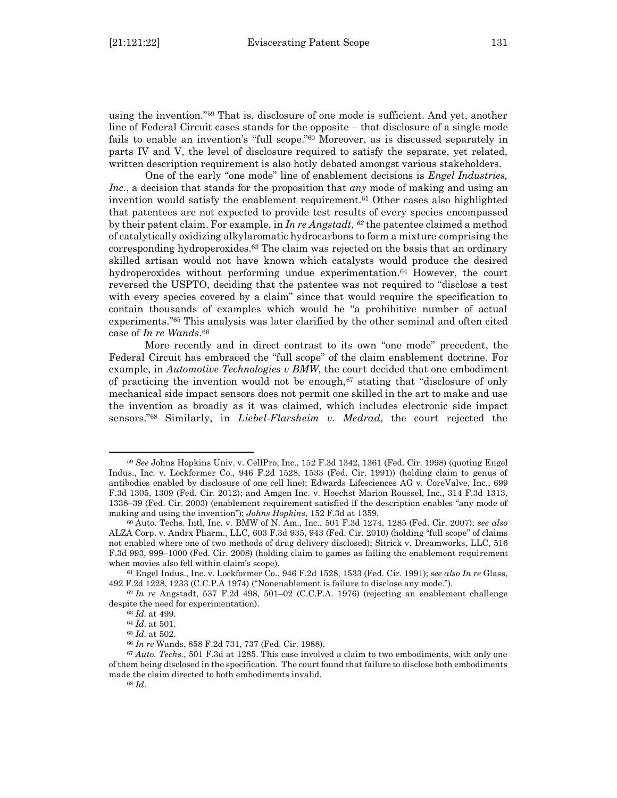using the invention." <sup>59</sup> That is, disclosure of one mode is sufficient. And yet, another line of Federal Circuit cases stands for the opposite – that disclosure of a single mode fails to enable an invention's "full scope." <sup>60</sup> Moreover, as is discussed separately in parts IV and V, the level of disclosure required to satisfy the separate, yet related, written description requirement is also hotly debated amongst various stakeholders.

One of the early "one mode" line of enablement decisions is *Engel Industries, Inc.*, a decision that stands for the proposition that *any* mode of making and using an invention would satisfy the enablement requirement.<sup>61</sup> Other cases also highlighted that patentees are not expected to provide test results of every species encompassed by their patent claim. For example, in *In re Angstadt*, *<sup>62</sup>* the patentee claimed a method of catalytically oxidizing alkylaromatic hydrocarbons to form a mixture comprising the corresponding hydroperoxides.<sup>63</sup> The claim was rejected on the basis that an ordinary skilled artisan would not have known which catalysts would produce the desired hydroperoxides without performing undue experimentation.<sup>64</sup> However, the court reversed the USPTO, deciding that the patentee was not required to "disclose a test with every species covered by a claim" since that would require the specification to contain thousands of examples which would be "a prohibitive number of actual experiments."<sup>65</sup> This analysis was later clarified by the other seminal and often cited case of *In re Wands*. 66

More recently and in direct contrast to its own "one mode" precedent, the Federal Circuit has embraced the "full scope" of the claim enablement doctrine. For example, in *Automotive Technologies v BMW*, the court decided that one embodiment of practicing the invention would not be enough, $67$  stating that "disclosure of only mechanical side impact sensors does not permit one skilled in the art to make and use the invention as broadly as it was claimed, which includes electronic side impact sensors." <sup>68</sup> Similarly, in *Liebel-Flarsheim v. Medrad*, the court rejected the

<sup>59</sup> *See* Johns Hopkins Univ. v. CellPro, Inc*.*, 152 F.3d 1342, 1361 (Fed. Cir. 1998) (quoting Engel Indus., Inc. v. Lockformer Co*.*, 946 F.2d 1528, 1533 (Fed. Cir. 1991)) (holding claim to genus of antibodies enabled by disclosure of one cell line); Edwards Lifesciences AG v. CoreValve, Inc., 699 F.3d 1305, 1309 (Fed. Cir. 2012); and Amgen Inc. v. Hoechst Marion Roussel, Inc., 314 F.3d 1313, 1338–39 (Fed. Cir. 2003) (enablement requirement satisfied if the description enables "any mode of making and using the invention"); *Johns Hopkins*, 152 F.3d at 1359.

<sup>60</sup> Auto. Techs. Intl, Inc. v. BMW of N. Am., Inc., 501 F.3d 1274, 1285 (Fed. Cir. 2007); *see also* ALZA Corp. v. Andrx Pharm., LLC*,* 603 F.3d 935, 943 (Fed. Cir. 2010) (holding "full scope" of claims not enabled where one of two methods of drug delivery disclosed); Sitrick v. Dreamworks, LLC, 516 F.3d 993, 999–1000 (Fed. Cir. 2008) (holding claim to games as failing the enablement requirement when movies also fell within claim's scope).

<sup>61</sup> Engel Indus., Inc. v. Lockformer Co*.*, 946 F.2d 1528, 1533 (Fed. Cir. 1991); *see also In re* Glass, 492 F.2d 1228, 1233 (C.C.P.A 1974) ("Nonenablement is failure to disclose any mode.").

<sup>62</sup> *In re* Angstadt, 537 F.2d 498, 501–02 (C.C.P.A. 1976) (rejecting an enablement challenge despite the need for experimentation).

<sup>63</sup> *Id.* at 499.

<sup>64</sup> *Id*. at 501.

<sup>65</sup> *Id.* at 502.

<sup>66</sup> *In re* Wands, 858 F.2d 731, 737 (Fed. Cir. 1988).

<sup>67</sup> *Auto. Techs.*, 501 F.3d at 1285. This case involved a claim to two embodiments, with only one of them being disclosed in the specification. The court found that failure to disclose both embodiments made the claim directed to both embodiments invalid.

<sup>68</sup> *Id*.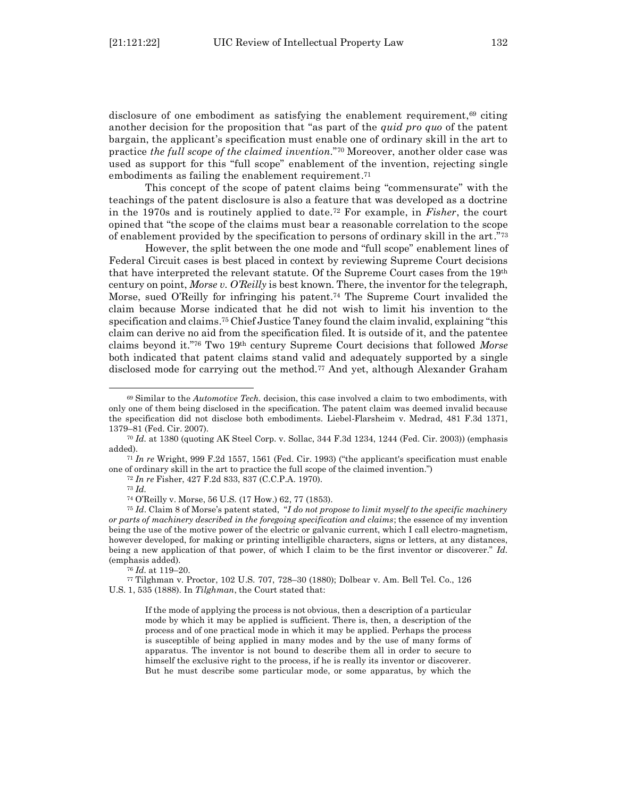disclosure of one embodiment as satisfying the enablement requirement,<sup>69</sup> citing another decision for the proposition that "as part of the *quid pro quo* of the patent bargain, the applicant's specification must enable one of ordinary skill in the art to practice *the full scope of the claimed invention*." <sup>70</sup> Moreover, another older case was used as support for this "full scope" enablement of the invention, rejecting single embodiments as failing the enablement requirement. 71

This concept of the scope of patent claims being "commensurate" with the teachings of the patent disclosure is also a feature that was developed as a doctrine in the 1970s and is routinely applied to date.<sup>72</sup> For example, in *Fisher*, the court opined that "the scope of the claims must bear a reasonable correlation to the scope of enablement provided by the specification to persons of ordinary skill in the art."<sup>73</sup>

However, the split between the one mode and "full scope" enablement lines of Federal Circuit cases is best placed in context by reviewing Supreme Court decisions that have interpreted the relevant statute. Of the Supreme Court cases from the 19th century on point, *Morse v. O'Reilly* is best known. There, the inventor for the telegraph, Morse, sued O'Reilly for infringing his patent.<sup>74</sup> The Supreme Court invalided the claim because Morse indicated that he did not wish to limit his invention to the specification and claims. <sup>75</sup> Chief Justice Taney found the claim invalid, explaining "this claim can derive no aid from the specification filed. It is outside of it, and the patentee claims beyond it."<sup>76</sup> Two 19th century Supreme Court decisions that followed *Morse* both indicated that patent claims stand valid and adequately supported by a single disclosed mode for carrying out the method.<sup>77</sup> And yet, although Alexander Graham

<sup>71</sup> *In re* Wright, 999 F.2d 1557, 1561 (Fed. Cir. 1993) ("the applicant's specification must enable one of ordinary skill in the art to practice the full scope of the claimed invention.")

<sup>72</sup> *In re* Fisher, 427 F.2d 833, 837 (C.C.P.A. 1970).

<sup>76</sup> *Id.* at 119–20.

<sup>69</sup> Similar to the *Automotive Tech.* decision, this case involved a claim to two embodiments, with only one of them being disclosed in the specification. The patent claim was deemed invalid because the specification did not disclose both embodiments. Liebel-Flarsheim v. Medrad, 481 F.3d 1371, 1379–81 (Fed. Cir. 2007).

<sup>70</sup> *Id.* at 1380 (quoting AK Steel Corp. v. Sollac, 344 F.3d 1234, 1244 (Fed. Cir. 2003)) (emphasis added).

<sup>73</sup> *Id.*

<sup>74</sup> O'Reilly v. Morse, 56 U.S. (17 How.) 62, 77 (1853).

<sup>75</sup> *Id*. Claim 8 of Morse's patent stated, "*I do not propose to limit myself to the specific machinery or parts of machinery described in the foregoing specification and claims*; the essence of my invention being the use of the motive power of the electric or galvanic current, which I call electro-magnetism, however developed, for making or printing intelligible characters, signs or letters, at any distances, being a new application of that power, of which I claim to be the first inventor or discoverer." *Id.*  (emphasis added).

<sup>77</sup> Tilghman v. Proctor, 102 U.S. 707, 728–30 (1880); Dolbear v. Am. Bell Tel. Co., 126 U.S. 1, 535 (1888). In *Tilghman*, the Court stated that:

If the mode of applying the process is not obvious, then a description of a particular mode by which it may be applied is sufficient. There is, then, a description of the process and of one practical mode in which it may be applied. Perhaps the process is susceptible of being applied in many modes and by the use of many forms of apparatus. The inventor is not bound to describe them all in order to secure to himself the exclusive right to the process, if he is really its inventor or discoverer. But he must describe some particular mode, or some apparatus, by which the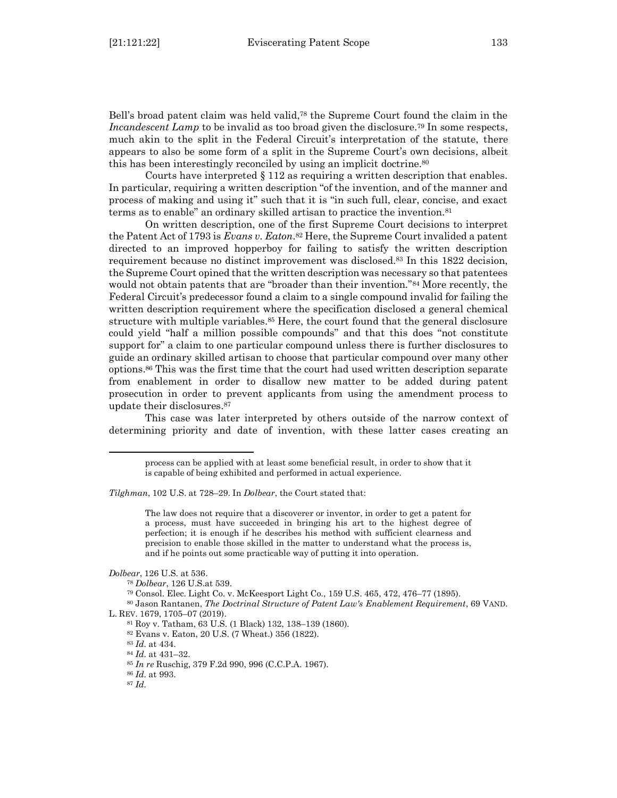Bell's broad patent claim was held valid,<sup>78</sup> the Supreme Court found the claim in the *Incandescent Lamp* to be invalid as too broad given the disclosure.<sup>79</sup> In some respects, much akin to the split in the Federal Circuit's interpretation of the statute, there appears to also be some form of a split in the Supreme Court's own decisions, albeit this has been interestingly reconciled by using an implicit doctrine.<sup>80</sup>

Courts have interpreted  $\S 112$  as requiring a written description that enables. In particular, requiring a written description "of the invention, and of the manner and process of making and using it" such that it is "in such full, clear, concise, and exact terms as to enable" an ordinary skilled artisan to practice the invention.<sup>81</sup>

On written description, one of the first Supreme Court decisions to interpret the Patent Act of 1793 is *Evans v. Eaton*. <sup>82</sup> Here, the Supreme Court invalided a patent directed to an improved hopperboy for failing to satisfy the written description requirement because no distinct improvement was disclosed.<sup>83</sup> In this 1822 decision, the Supreme Court opined that the written description was necessary so that patentees would not obtain patents that are "broader than their invention."<sup>84</sup> More recently, the Federal Circuit's predecessor found a claim to a single compound invalid for failing the written description requirement where the specification disclosed a general chemical structure with multiple variables.<sup>85</sup> Here, the court found that the general disclosure could yield "half a million possible compounds" and that this does "not constitute support for" a claim to one particular compound unless there is further disclosures to guide an ordinary skilled artisan to choose that particular compound over many other options.<sup>86</sup> This was the first time that the court had used written description separate from enablement in order to disallow new matter to be added during patent prosecution in order to prevent applicants from using the amendment process to update their disclosures. 87

This case was later interpreted by others outside of the narrow context of determining priority and date of invention, with these latter cases creating an

*Tilghman*, 102 U.S. at 728–29. In *Dolbear*, the Court stated that:

The law does not require that a discoverer or inventor, in order to get a patent for a process, must have succeeded in bringing his art to the highest degree of perfection; it is enough if he describes his method with sufficient clearness and precision to enable those skilled in the matter to understand what the process is, and if he points out some practicable way of putting it into operation.

<sup>86</sup> *Id.* at 993.

process can be applied with at least some beneficial result, in order to show that it is capable of being exhibited and performed in actual experience.

*Dolbear*, 126 U.S. at 536.

<sup>78</sup> *Dolbear*, 126 U.S.at 539.

<sup>79</sup> Consol. Elec. Light Co. v. McKeesport Light Co*.*, 159 U.S. 465, 472, 476–77 (1895).

<sup>80</sup> Jason Rantanen, *The Doctrinal Structure of Patent Law's Enablement Requirement*, 69 VAND. L. REV. 1679, 1705–07 (2019).

<sup>81</sup> Roy v. Tatham, 63 U.S. (1 Black) 132, 138–139 (1860).

<sup>82</sup> Evans v. Eaton, 20 U.S. (7 Wheat.) 356 (1822).

<sup>83</sup> *Id.* at 434.

<sup>84</sup> *Id.* at 431–32.

<sup>85</sup> *In re* Ruschig, 379 F.2d 990, 996 (C.C.P.A. 1967).

<sup>87</sup> *Id.*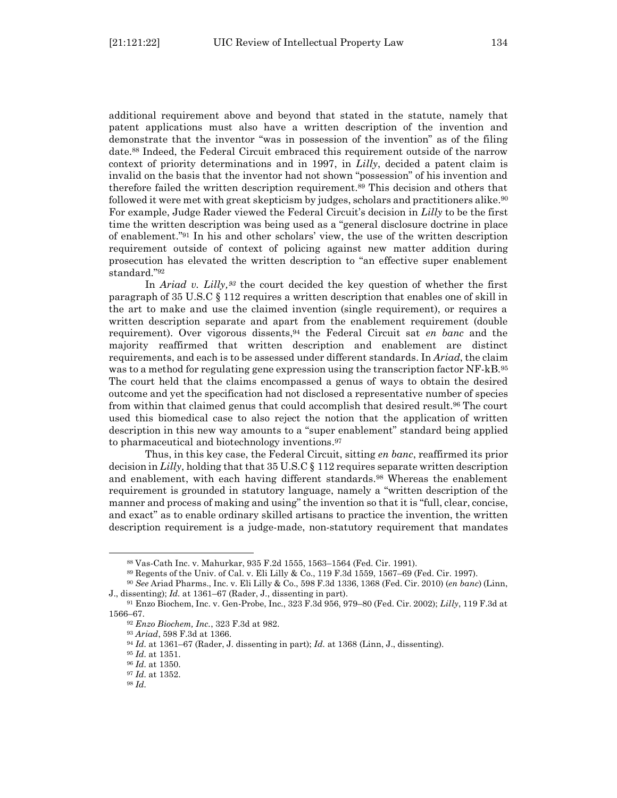additional requirement above and beyond that stated in the statute, namely that patent applications must also have a written description of the invention and demonstrate that the inventor "was in possession of the invention" as of the filing date.<sup>88</sup> Indeed, the Federal Circuit embraced this requirement outside of the narrow context of priority determinations and in 1997, in *Lilly*, decided a patent claim is invalid on the basis that the inventor had not shown "possession" of his invention and therefore failed the written description requirement.<sup>89</sup> This decision and others that followed it were met with great skepticism by judges, scholars and practitioners alike. 90 For example, Judge Rader viewed the Federal Circuit's decision in *Lilly* to be the first time the written description was being used as a "general disclosure doctrine in place of enablement." <sup>91</sup> In his and other scholars' view, the use of the written description requirement outside of context of policing against new matter addition during prosecution has elevated the written description to "an effective super enablement standard."<sup>92</sup>

In *Ariad v. Lilly,<sup>93</sup>* the court decided the key question of whether the first paragraph of 35 U.S.C § 112 requires a written description that enables one of skill in the art to make and use the claimed invention (single requirement), or requires a written description separate and apart from the enablement requirement (double requirement). Over vigorous dissents,<sup>94</sup> the Federal Circuit sat *en banc* and the majority reaffirmed that written description and enablement are distinct requirements, and each is to be assessed under different standards. In *Ariad*, the claim was to a method for regulating gene expression using the transcription factor NF-kB.<sup>95</sup> The court held that the claims encompassed a genus of ways to obtain the desired outcome and yet the specification had not disclosed a representative number of species from within that claimed genus that could accomplish that desired result.<sup>96</sup> The court used this biomedical case to also reject the notion that the application of written description in this new way amounts to a "super enablement" standard being applied to pharmaceutical and biotechnology inventions. 97

Thus, in this key case, the Federal Circuit, sitting *en banc*, reaffirmed its prior decision in *Lilly*, holding that that 35 U.S.C § 112 requires separate written description and enablement, with each having different standards.<sup>98</sup> Whereas the enablement requirement is grounded in statutory language, namely a "written description of the manner and process of making and using" the invention so that it is "full, clear, concise, and exact" as to enable ordinary skilled artisans to practice the invention, the written description requirement is a judge-made, non-statutory requirement that mandates

<sup>88</sup> Vas-Cath Inc. v. Mahurkar, 935 F.2d 1555, 1563–1564 (Fed. Cir. 1991).

<sup>89</sup> Regents of the Univ. of Cal. v. Eli Lilly & Co., 119 F.3d 1559, 1567–69 (Fed. Cir. 1997).

<sup>90</sup> *See* Ariad Pharms., Inc. v. Eli Lilly & Co., 598 F.3d 1336, 1368 (Fed. Cir. 2010) (*en banc*) (Linn, J., dissenting); *Id.* at 1361–67 (Rader, J., dissenting in part).

<sup>91</sup> Enzo Biochem, Inc. v. Gen-Probe, Inc*.*, 323 F.3d 956, 979–80 (Fed. Cir. 2002); *Lilly*, 119 F.3d at 1566–67.

<sup>92</sup> *Enzo Biochem, Inc.*, 323 F.3d at 982.

<sup>93</sup> *Ariad*, 598 F.3d at 1366.

<sup>94</sup> *Id.* at 1361–67 (Rader, J. dissenting in part); *Id.* at 1368 (Linn, J., dissenting).

<sup>95</sup> *Id.* at 1351.

<sup>96</sup> *Id.* at 1350.

<sup>97</sup> *Id.* at 1352.

<sup>98</sup> *Id.*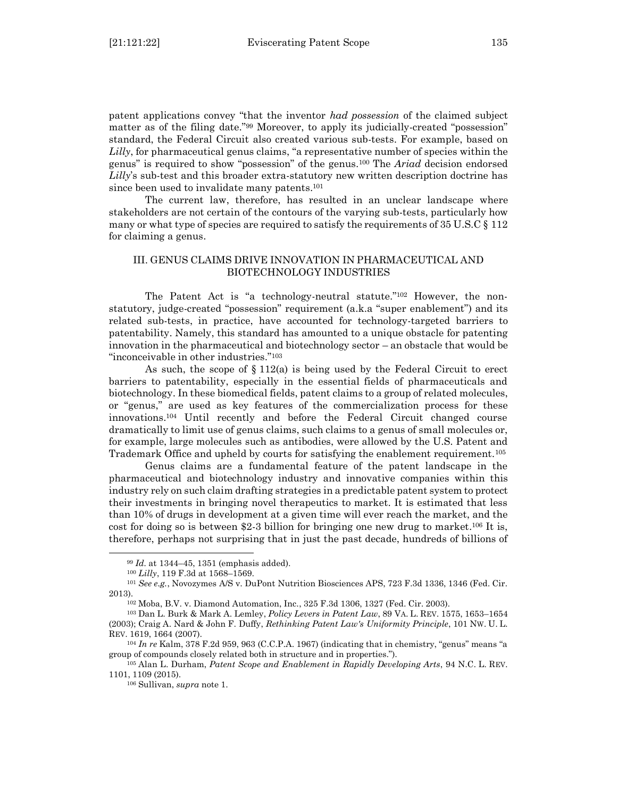patent applications convey "that the inventor *had possession* of the claimed subject matter as of the filing date."<sup>99</sup> Moreover, to apply its judicially-created "possession" standard, the Federal Circuit also created various sub-tests. For example, based on *Lilly*, for pharmaceutical genus claims, "a representative number of species within the genus" is required to show "possession" of the genus.<sup>100</sup> The *Ariad* decision endorsed *Lilly*'s sub-test and this broader extra-statutory new written description doctrine has since been used to invalidate many patents. 101

The current law, therefore, has resulted in an unclear landscape where stakeholders are not certain of the contours of the varying sub-tests, particularly how many or what type of species are required to satisfy the requirements of  $35 \text{ U.S.C} \$ § 112 for claiming a genus.

# <span id="page-16-0"></span>III. GENUS CLAIMS DRIVE INNOVATION IN PHARMACEUTICAL AND BIOTECHNOLOGY INDUSTRIES

The Patent Act is "a technology-neutral statute."<sup>102</sup> However, the nonstatutory, judge-created "possession" requirement (a.k.a "super enablement") and its related sub-tests, in practice, have accounted for technology-targeted barriers to patentability. Namely, this standard has amounted to a unique obstacle for patenting innovation in the pharmaceutical and biotechnology sector – an obstacle that would be "inconceivable in other industries."<sup>103</sup>

As such, the scope of  $\S 112(a)$  is being used by the Federal Circuit to erect barriers to patentability, especially in the essential fields of pharmaceuticals and biotechnology. In these biomedical fields, patent claims to a group of related molecules, or "genus," are used as key features of the commercialization process for these innovations.<sup>104</sup> Until recently and before the Federal Circuit changed course dramatically to limit use of genus claims, such claims to a genus of small molecules or, for example, large molecules such as antibodies, were allowed by the U.S. Patent and Trademark Office and upheld by courts for satisfying the enablement requirement.<sup>105</sup>

Genus claims are a fundamental feature of the patent landscape in the pharmaceutical and biotechnology industry and innovative companies within this industry rely on such claim drafting strategies in a predictable patent system to protect their investments in bringing novel therapeutics to market. It is estimated that less than 10% of drugs in development at a given time will ever reach the market, and the cost for doing so is between \$2-3 billion for bringing one new drug to market. <sup>106</sup> It is, therefore, perhaps not surprising that in just the past decade, hundreds of billions of

<sup>99</sup> *Id.* at 1344–45, 1351 (emphasis added).

<sup>100</sup> *Lilly*, 119 F.3d at 1568–1569.

<sup>101</sup> *See e.g.*, Novozymes A/S v. DuPont Nutrition Biosciences APS, 723 F.3d 1336, 1346 (Fed. Cir. 2013).

<sup>102</sup> Moba, B.V. v. Diamond Automation, Inc., 325 F.3d 1306, 1327 (Fed. Cir. 2003).

<sup>103</sup> Dan L. Burk & Mark A. Lemley, *Policy Levers in Patent Law*, 89 VA. L. REV. 1575, 1653–1654 (2003); Craig A. Nard & John F. Duffy, *Rethinking Patent Law's Uniformity Principle*, 101 NW. U. L. REV. 1619, 1664 (2007).

<sup>104</sup> *In re* Kalm, 378 F.2d 959, 963 (C.C.P.A. 1967) (indicating that in chemistry, "genus" means "a group of compounds closely related both in structure and in properties.").

<sup>105</sup> Alan L. Durham, *Patent Scope and Enablement in Rapidly Developing Arts*, 94 N.C. L. REV. 1101, 1109 (2015).

<sup>106</sup> Sullivan, *supra* note 1.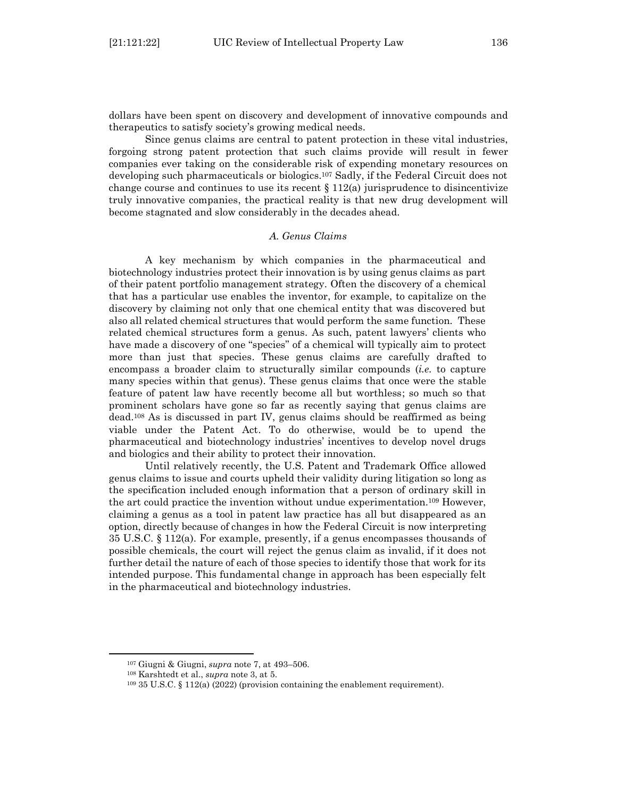dollars have been spent on discovery and development of innovative compounds and therapeutics to satisfy society's growing medical needs.

Since genus claims are central to patent protection in these vital industries, forgoing strong patent protection that such claims provide will result in fewer companies ever taking on the considerable risk of expending monetary resources on developing such pharmaceuticals or biologics.<sup>107</sup> Sadly, if the Federal Circuit does not change course and continues to use its recent  $\S 112(a)$  jurisprudence to disincentivize truly innovative companies, the practical reality is that new drug development will become stagnated and slow considerably in the decades ahead.

#### *A. Genus Claims*

<span id="page-17-0"></span>A key mechanism by which companies in the pharmaceutical and biotechnology industries protect their innovation is by using genus claims as part of their patent portfolio management strategy. Often the discovery of a chemical that has a particular use enables the inventor, for example, to capitalize on the discovery by claiming not only that one chemical entity that was discovered but also all related chemical structures that would perform the same function. These related chemical structures form a genus. As such, patent lawyers' clients who have made a discovery of one "species" of a chemical will typically aim to protect more than just that species. These genus claims are carefully drafted to encompass a broader claim to structurally similar compounds (*i.e.* to capture many species within that genus). These genus claims that once were the stable feature of patent law have recently become all but worthless; so much so that prominent scholars have gone so far as recently saying that genus claims are dead.<sup>108</sup> As is discussed in part IV, genus claims should be reaffirmed as being viable under the Patent Act. To do otherwise, would be to upend the pharmaceutical and biotechnology industries' incentives to develop novel drugs and biologics and their ability to protect their innovation.

Until relatively recently, the U.S. Patent and Trademark Office allowed genus claims to issue and courts upheld their validity during litigation so long as the specification included enough information that a person of ordinary skill in the art could practice the invention without undue experimentation.<sup>109</sup> However, claiming a genus as a tool in patent law practice has all but disappeared as an option, directly because of changes in how the Federal Circuit is now interpreting 35 U.S.C. § 112(a). For example, presently, if a genus encompasses thousands of possible chemicals, the court will reject the genus claim as invalid, if it does not further detail the nature of each of those species to identify those that work for its intended purpose. This fundamental change in approach has been especially felt in the pharmaceutical and biotechnology industries.

<sup>107</sup> Giugni & Giugni, *supra* note 7, at 493–506.

<sup>108</sup> Karshtedt et al., *supra* note 3, at 5.

<sup>109</sup> 35 U.S.C. § 112(a) (2022) (provision containing the enablement requirement).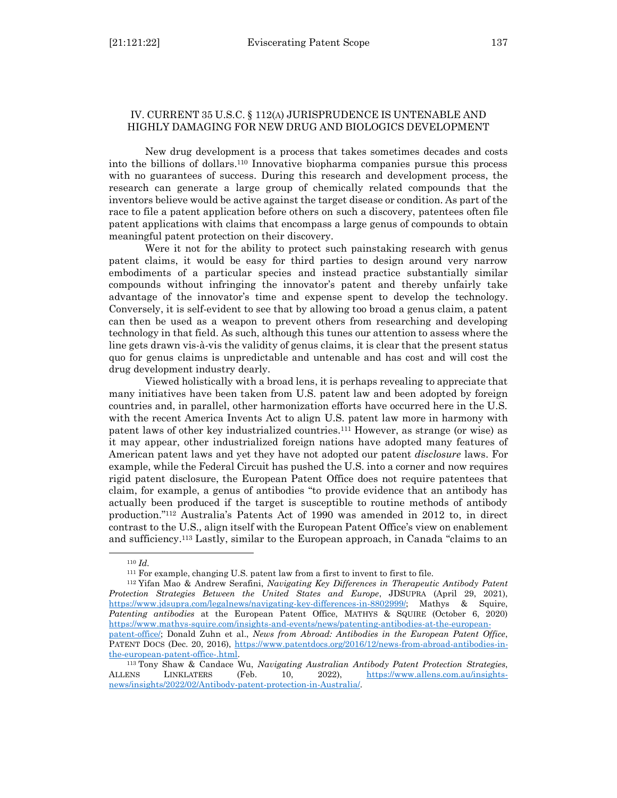# <span id="page-18-0"></span>IV. CURRENT 35 U.S.C. § 112(A) JURISPRUDENCE IS UNTENABLE AND HIGHLY DAMAGING FOR NEW DRUG AND BIOLOGICS DEVELOPMENT

New drug development is a process that takes sometimes decades and costs into the billions of dollars.<sup>110</sup> Innovative biopharma companies pursue this process with no guarantees of success. During this research and development process, the research can generate a large group of chemically related compounds that the inventors believe would be active against the target disease or condition. As part of the race to file a patent application before others on such a discovery, patentees often file patent applications with claims that encompass a large genus of compounds to obtain meaningful patent protection on their discovery.

Were it not for the ability to protect such painstaking research with genus patent claims, it would be easy for third parties to design around very narrow embodiments of a particular species and instead practice substantially similar compounds without infringing the innovator's patent and thereby unfairly take advantage of the innovator's time and expense spent to develop the technology. Conversely, it is self-evident to see that by allowing too broad a genus claim, a patent can then be used as a weapon to prevent others from researching and developing technology in that field. As such, although this tunes our attention to assess where the line gets drawn vis-à-vis the validity of genus claims, it is clear that the present status quo for genus claims is unpredictable and untenable and has cost and will cost the drug development industry dearly.

Viewed holistically with a broad lens, it is perhaps revealing to appreciate that many initiatives have been taken from U.S. patent law and been adopted by foreign countries and, in parallel, other harmonization efforts have occurred here in the U.S. with the recent America Invents Act to align U.S. patent law more in harmony with patent laws of other key industrialized countries.<sup>111</sup> However, as strange (or wise) as it may appear, other industrialized foreign nations have adopted many features of American patent laws and yet they have not adopted our patent *disclosure* laws. For example, while the Federal Circuit has pushed the U.S. into a corner and now requires rigid patent disclosure, the European Patent Office does not require patentees that claim, for example, a genus of antibodies "to provide evidence that an antibody has actually been produced if the target is susceptible to routine methods of antibody production."<sup>112</sup> Australia's Patents Act of 1990 was amended in 2012 to, in direct contrast to the U.S., align itself with the European Patent Office's view on enablement and sufficiency.<sup>113</sup> Lastly, similar to the European approach, in Canada "claims to an

<sup>112</sup> Yifan Mao & Andrew Serafini, *Navigating Key Differences in Therapeutic Antibody Patent Protection Strategies Between the United States and Europe*, JDSUPRA (April 29, 2021), [https://www.jdsupra.com/legalnews/navigating-key-differences-in-8802999/;](https://www.jdsupra.com/legalnews/navigating-key-differences-in-8802999/) Mathys & Squire, *Patenting antibodies* at the European Patent Office, MATHYS & SQUIRE (October 6, 2020) [https://www.mathys-squire.com/insights-and-events/news/patenting-antibodies-at-the-european-](https://www.mathys-squire.com/insights-and-events/news/patenting-antibodies-at-the-european-patent-office/)

<sup>110</sup> *Id.*

<sup>111</sup> For example, changing U.S. patent law from a first to invent to first to file.

[patent-office/;](https://www.mathys-squire.com/insights-and-events/news/patenting-antibodies-at-the-european-patent-office/) Donald Zuhn et al., *News from Abroad: Antibodies in the European Patent Office*, PATENT DOCS (Dec. 20, 2016), [https://www.patentdocs.org/2016/12/news-from-abroad-antibodies-in](https://www.patentdocs.org/2016/12/news-from-abroad-antibodies-in-the-european-patent-office-.html)[the-european-patent-office-.html.](https://www.patentdocs.org/2016/12/news-from-abroad-antibodies-in-the-european-patent-office-.html)

<sup>113</sup> Tony Shaw & Candace Wu, *Navigating Australian Antibody Patent Protection Strategies*, ALLENS LINKLATERS (Feb. 10, 2022), [https://www.allens.com.au/insights](https://www.allens.com.au/insights-news/insights/2022/02/Antibody-patent-protection-in-Australia/)[news/insights/2022/02/Antibody-patent-protection-in-Australia/.](https://www.allens.com.au/insights-news/insights/2022/02/Antibody-patent-protection-in-Australia/)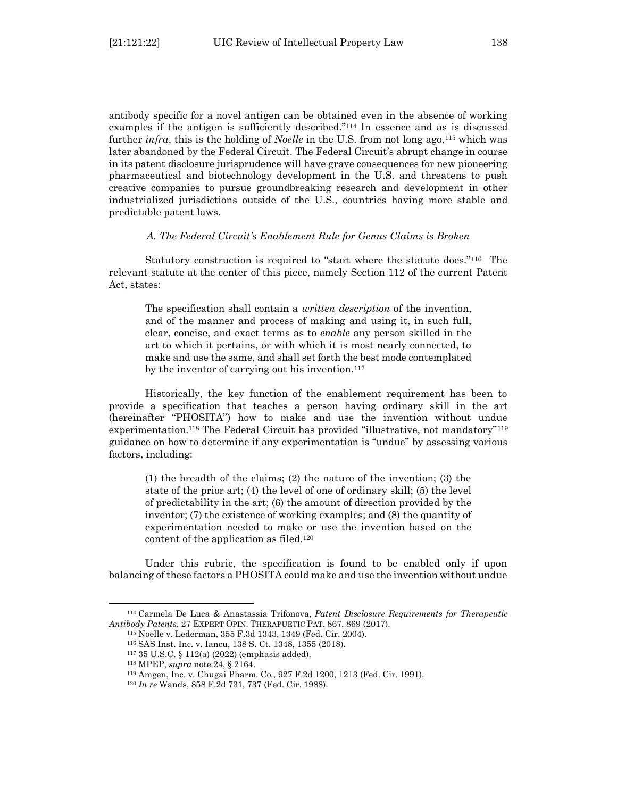antibody specific for a novel antigen can be obtained even in the absence of working examples if the antigen is sufficiently described."<sup>114</sup> In essence and as is discussed further *infra*, this is the holding of *Noelle* in the U.S. from not long ago,<sup>115</sup> which was later abandoned by the Federal Circuit. The Federal Circuit's abrupt change in course in its patent disclosure jurisprudence will have grave consequences for new pioneering pharmaceutical and biotechnology development in the U.S. and threatens to push creative companies to pursue groundbreaking research and development in other industrialized jurisdictions outside of the U.S., countries having more stable and predictable patent laws.

#### *A. The Federal Circuit's Enablement Rule for Genus Claims is Broken*

<span id="page-19-0"></span>Statutory construction is required to "start where the statute does."116 The relevant statute at the center of this piece, namely Section 112 of the current Patent Act, states:

The specification shall contain a *written description* of the invention, and of the manner and process of making and using it, in such full, clear, concise, and exact terms as to *enable* any person skilled in the art to which it pertains, or with which it is most nearly connected, to make and use the same, and shall set forth the best mode contemplated by the inventor of carrying out his invention. $117$ 

Historically, the key function of the enablement requirement has been to provide a specification that teaches a person having ordinary skill in the art (hereinafter "PHOSITA") how to make and use the invention without undue experimentation.<sup>118</sup> The Federal Circuit has provided "illustrative, not mandatory"<sup>119</sup> guidance on how to determine if any experimentation is "undue" by assessing various factors, including:

(1) the breadth of the claims; (2) the nature of the invention; (3) the state of the prior art; (4) the level of one of ordinary skill; (5) the level of predictability in the art; (6) the amount of direction provided by the inventor; (7) the existence of working examples; and (8) the quantity of experimentation needed to make or use the invention based on the content of the application as filed.<sup>120</sup>

Under this rubric, the specification is found to be enabled only if upon balancing of these factors a PHOSITA could make and use the invention without undue

<sup>114</sup> Carmela De Luca & Anastassia Trifonova, *Patent Disclosure Requirements for Therapeutic Antibody Patents*, 27 EXPERT OPIN. THERAPUETIC PAT. 867, 869 (2017).

<sup>115</sup> Noelle v. Lederman, 355 F.3d 1343, 1349 (Fed. Cir. 2004).

<sup>116</sup> SAS Inst. Inc. v. Iancu, 138 S. Ct. 1348, 1355 (2018).

<sup>117</sup> 35 U.S.C. § 112(a) (2022) (emphasis added).

<sup>118</sup> MPEP, *supra* note 24, § 2164.

<sup>119</sup> Amgen, Inc. v. Chugai Pharm. Co*.*, 927 F.2d 1200, 1213 (Fed. Cir. 1991).

<sup>120</sup> *In re* Wands, 858 F.2d 731, 737 (Fed. Cir. 1988).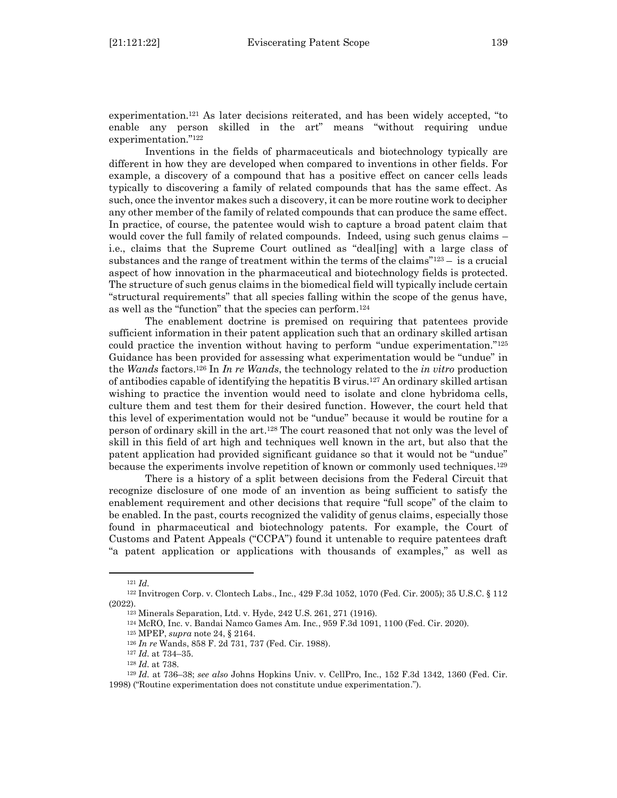experimentation.<sup>121</sup> As later decisions reiterated, and has been widely accepted, "to enable any person skilled in the art" means "without requiring undue experimentation."<sup>122</sup>

Inventions in the fields of pharmaceuticals and biotechnology typically are different in how they are developed when compared to inventions in other fields. For example, a discovery of a compound that has a positive effect on cancer cells leads typically to discovering a family of related compounds that has the same effect. As such, once the inventor makes such a discovery, it can be more routine work to decipher any other member of the family of related compounds that can produce the same effect. In practice, of course, the patentee would wish to capture a broad patent claim that would cover the full family of related compounds. Indeed, using such genus claims – i.e., claims that the Supreme Court outlined as "deal[ing] with a large class of substances and the range of treatment within the terms of the claims<sup> $"123 -$ </sup> is a crucial aspect of how innovation in the pharmaceutical and biotechnology fields is protected. The structure of such genus claims in the biomedical field will typically include certain "structural requirements" that all species falling within the scope of the genus have, as well as the "function" that the species can perform.<sup>124</sup>

The enablement doctrine is premised on requiring that patentees provide sufficient information in their patent application such that an ordinary skilled artisan could practice the invention without having to perform "undue experimentation."<sup>125</sup> Guidance has been provided for assessing what experimentation would be "undue" in the *Wands* factors.<sup>126</sup> In *In re Wands*, the technology related to the *in vitro* production of antibodies capable of identifying the hepatitis B virus.<sup>127</sup> An ordinary skilled artisan wishing to practice the invention would need to isolate and clone hybridoma cells, culture them and test them for their desired function. However, the court held that this level of experimentation would not be "undue" because it would be routine for a person of ordinary skill in the art.<sup>128</sup> The court reasoned that not only was the level of skill in this field of art high and techniques well known in the art, but also that the patent application had provided significant guidance so that it would not be "undue" because the experiments involve repetition of known or commonly used techniques.<sup>129</sup>

There is a history of a split between decisions from the Federal Circuit that recognize disclosure of one mode of an invention as being sufficient to satisfy the enablement requirement and other decisions that require "full scope" of the claim to be enabled. In the past, courts recognized the validity of genus claims, especially those found in pharmaceutical and biotechnology patents. For example, the Court of Customs and Patent Appeals ("CCPA") found it untenable to require patentees draft "a patent application or applications with thousands of examples," as well as

<sup>121</sup> *Id.*

<sup>122</sup> Invitrogen Corp. v. Clontech Labs., Inc*.*, 429 F.3d 1052, 1070 (Fed. Cir. 2005); 35 U.S.C. § 112 (2022).

<sup>123</sup> Minerals Separation, Ltd. v. Hyde, 242 U.S. 261, 271 (1916).

<sup>124</sup> McRO, Inc. v. Bandai Namco Games Am. Inc*.*, 959 F.3d 1091, 1100 (Fed. Cir. 2020).

<sup>125</sup> MPEP, *supra* note 24, § 2164.

<sup>126</sup> *In re* Wands, 858 F. 2d 731, 737 (Fed. Cir. 1988).

<sup>127</sup> *Id.* at 734–35.

<sup>128</sup> *Id.* at 738.

<sup>129</sup> *Id.* at 736–38; *see also* Johns Hopkins Univ. v. CellPro, Inc*.*, 152 F.3d 1342, 1360 (Fed. Cir. 1998) ("Routine experimentation does not constitute undue experimentation.").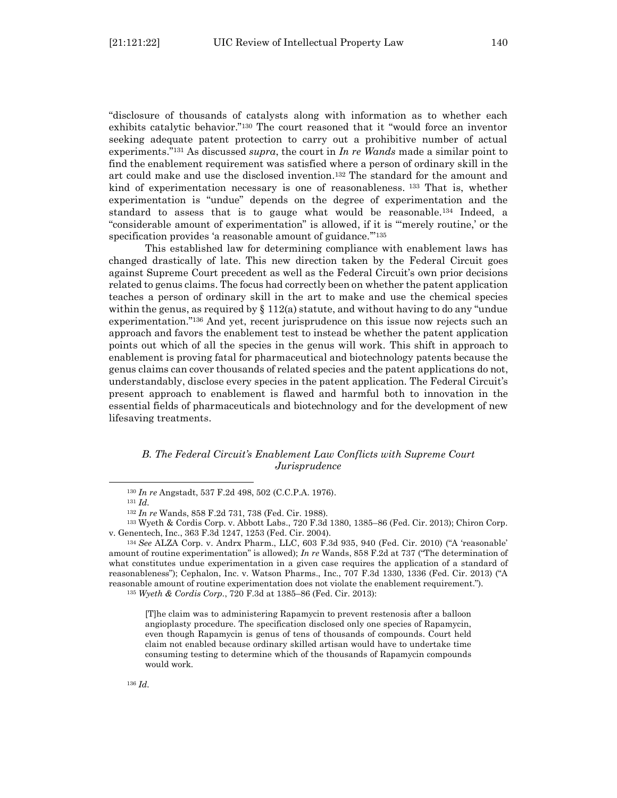"disclosure of thousands of catalysts along with information as to whether each exhibits catalytic behavior."<sup>130</sup> The court reasoned that it "would force an inventor seeking adequate patent protection to carry out a prohibitive number of actual experiments."<sup>131</sup> As discussed *supra*, the court in *In re Wands* made a similar point to find the enablement requirement was satisfied where a person of ordinary skill in the art could make and use the disclosed invention. <sup>132</sup> The standard for the amount and kind of experimentation necessary is one of reasonableness. <sup>133</sup> That is, whether experimentation is "undue" depends on the degree of experimentation and the standard to assess that is to gauge what would be reasonable. <sup>134</sup> Indeed, a "considerable amount of experimentation" is allowed, if it is "'merely routine,' or the specification provides 'a reasonable amount of guidance."<sup>135</sup>

This established law for determining compliance with enablement laws has changed drastically of late. This new direction taken by the Federal Circuit goes against Supreme Court precedent as well as the Federal Circuit's own prior decisions related to genus claims. The focus had correctly been on whether the patent application teaches a person of ordinary skill in the art to make and use the chemical species within the genus, as required by  $\S 112(a)$  statute, and without having to do any "undue" experimentation." <sup>136</sup> And yet, recent jurisprudence on this issue now rejects such an approach and favors the enablement test to instead be whether the patent application points out which of all the species in the genus will work. This shift in approach to enablement is proving fatal for pharmaceutical and biotechnology patents because the genus claims can cover thousands of related species and the patent applications do not, understandably, disclose every species in the patent application. The Federal Circuit's present approach to enablement is flawed and harmful both to innovation in the essential fields of pharmaceuticals and biotechnology and for the development of new lifesaving treatments.

#### <span id="page-21-0"></span>*B. The Federal Circuit's Enablement Law Conflicts with Supreme Court Jurisprudence*

<sup>130</sup> *In re* Angstadt, 537 F.2d 498, 502 (C.C.P.A. 1976).

<sup>131</sup> *Id.*

<sup>132</sup> *In re* Wands, 858 F.2d 731, 738 (Fed. Cir. 1988).

<sup>133</sup> Wyeth & Cordis Corp. v. Abbott Labs., 720 F.3d 1380, 1385–86 (Fed. Cir. 2013); Chiron Corp. v. Genentech, Inc., 363 F.3d 1247, 1253 (Fed. Cir. 2004).

<sup>134</sup> *See* ALZA Corp. v. Andrx Pharm., LLC, 603 F.3d 935, 940 (Fed. Cir. 2010) ("A 'reasonable' amount of routine experimentation" is allowed); *In re* Wands, 858 F.2d at 737 ("The determination of what constitutes undue experimentation in a given case requires the application of a standard of reasonableness"); Cephalon, Inc. v. Watson Pharms., Inc., 707 F.3d 1330, 1336 (Fed. Cir. 2013) ("A reasonable amount of routine experimentation does not violate the enablement requirement.").

<sup>135</sup> *Wyeth & Cordis Corp.*, 720 F.3d at 1385–86 (Fed. Cir. 2013):

<sup>[</sup>T]he claim was to administering Rapamycin to prevent restenosis after a balloon angioplasty procedure. The specification disclosed only one species of Rapamycin, even though Rapamycin is genus of tens of thousands of compounds. Court held claim not enabled because ordinary skilled artisan would have to undertake time consuming testing to determine which of the thousands of Rapamycin compounds would work.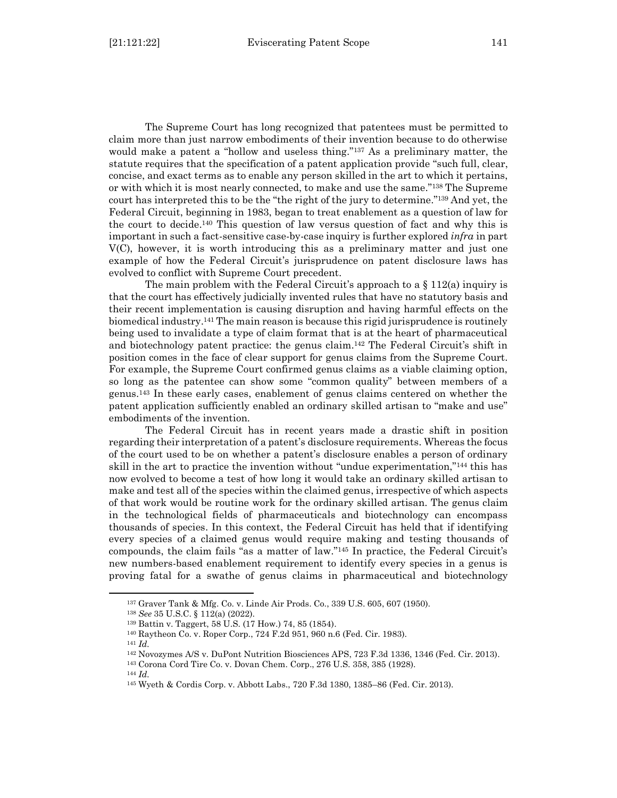The Supreme Court has long recognized that patentees must be permitted to claim more than just narrow embodiments of their invention because to do otherwise would make a patent a "hollow and useless thing."<sup>137</sup> As a preliminary matter, the statute requires that the specification of a patent application provide "such full, clear, concise, and exact terms as to enable any person skilled in the art to which it pertains, or with which it is most nearly connected, to make and use the same." <sup>138</sup> The Supreme court has interpreted this to be the "the right of the jury to determine." <sup>139</sup> And yet, the Federal Circuit, beginning in 1983, began to treat enablement as a question of law for the court to decide. <sup>140</sup> This question of law versus question of fact and why this is important in such a fact-sensitive case-by-case inquiry is further explored *infra* in part V(C), however, it is worth introducing this as a preliminary matter and just one example of how the Federal Circuit's jurisprudence on patent disclosure laws has evolved to conflict with Supreme Court precedent.

The main problem with the Federal Circuit's approach to a  $\S$  112(a) inquiry is that the court has effectively judicially invented rules that have no statutory basis and their recent implementation is causing disruption and having harmful effects on the biomedical industry.<sup>141</sup> The main reason is because this rigid jurisprudence is routinely being used to invalidate a type of claim format that is at the heart of pharmaceutical and biotechnology patent practice: the genus claim.<sup>142</sup> The Federal Circuit's shift in position comes in the face of clear support for genus claims from the Supreme Court. For example, the Supreme Court confirmed genus claims as a viable claiming option, so long as the patentee can show some "common quality" between members of a genus.<sup>143</sup> In these early cases, enablement of genus claims centered on whether the patent application sufficiently enabled an ordinary skilled artisan to "make and use" embodiments of the invention.

The Federal Circuit has in recent years made a drastic shift in position regarding their interpretation of a patent's disclosure requirements. Whereas the focus of the court used to be on whether a patent's disclosure enables a person of ordinary skill in the art to practice the invention without "undue experimentation,"<sup>144</sup> this has now evolved to become a test of how long it would take an ordinary skilled artisan to make and test all of the species within the claimed genus, irrespective of which aspects of that work would be routine work for the ordinary skilled artisan. The genus claim in the technological fields of pharmaceuticals and biotechnology can encompass thousands of species. In this context, the Federal Circuit has held that if identifying every species of a claimed genus would require making and testing thousands of compounds, the claim fails "as a matter of law."<sup>145</sup> In practice, the Federal Circuit's new numbers-based enablement requirement to identify every species in a genus is proving fatal for a swathe of genus claims in pharmaceutical and biotechnology

<sup>137</sup> Graver Tank & Mfg. Co. v. Linde Air Prods. Co., 339 U.S. 605, 607 (1950).

<sup>138</sup> *See* 35 U.S.C. § 112(a) (2022).

<sup>139</sup> Battin v. Taggert, 58 U.S. (17 How.) 74, 85 (1854).

<sup>140</sup> Raytheon Co. v. Roper Corp*.*, 724 F.2d 951, 960 n.6 (Fed. Cir. 1983).

<sup>141</sup> *Id.*

<sup>142</sup> Novozymes A/S v. DuPont Nutrition Biosciences APS, 723 F.3d 1336, 1346 (Fed. Cir. 2013).

<sup>143</sup> Corona Cord Tire Co. v. Dovan Chem. Corp., 276 U.S. 358, 385 (1928).

<sup>144</sup> *Id.*

<sup>145</sup> Wyeth & Cordis Corp. v. Abbott Labs., 720 F.3d 1380, 1385–86 (Fed. Cir. 2013).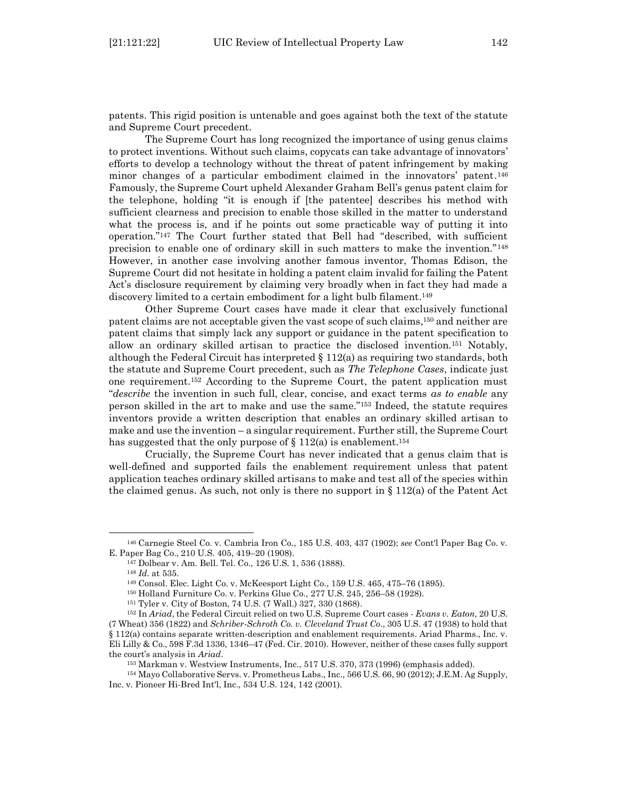patents. This rigid position is untenable and goes against both the text of the statute and Supreme Court precedent.

The Supreme Court has long recognized the importance of using genus claims to protect inventions. Without such claims, copycats can take advantage of innovators' efforts to develop a technology without the threat of patent infringement by making minor changes of a particular embodiment claimed in the innovators' patent.<sup>146</sup> Famously, the Supreme Court upheld Alexander Graham Bell's genus patent claim for the telephone, holding "it is enough if [the patentee] describes his method with sufficient clearness and precision to enable those skilled in the matter to understand what the process is, and if he points out some practicable way of putting it into operation."<sup>147</sup> The Court further stated that Bell had "described, with sufficient precision to enable one of ordinary skill in such matters to make the invention."<sup>148</sup> However, in another case involving another famous inventor, Thomas Edison, the Supreme Court did not hesitate in holding a patent claim invalid for failing the Patent Act's disclosure requirement by claiming very broadly when in fact they had made a discovery limited to a certain embodiment for a light bulb filament. <sup>149</sup>

Other Supreme Court cases have made it clear that exclusively functional patent claims are not acceptable given the vast scope of such claims, <sup>150</sup> and neither are patent claims that simply lack any support or guidance in the patent specification to allow an ordinary skilled artisan to practice the disclosed invention.<sup>151</sup> Notably, although the Federal Circuit has interpreted  $\S 112(a)$  as requiring two standards, both the statute and Supreme Court precedent, such as *The Telephone Cases*, indicate just one requirement.<sup>152</sup> According to the Supreme Court, the patent application must "*describe* the invention in such full, clear, concise, and exact terms *as to enable* any person skilled in the art to make and use the same."<sup>153</sup> Indeed, the statute requires inventors provide a written description that enables an ordinary skilled artisan to make and use the invention – a singular requirement. Further still, the Supreme Court has suggested that the only purpose of  $\S 112(a)$  is enablement.<sup>154</sup>

Crucially, the Supreme Court has never indicated that a genus claim that is well-defined and supported fails the enablement requirement unless that patent application teaches ordinary skilled artisans to make and test all of the species within the claimed genus. As such, not only is there no support in  $\S 112(a)$  of the Patent Act

<sup>146</sup> Carnegie Steel Co. v. Cambria Iron Co., 185 U.S. 403, 437 (1902); *see* Cont'l Paper Bag Co. v. E. Paper Bag Co., 210 U.S. 405, 419–20 (1908).

<sup>147</sup> Dolbear v. Am. Bell. Tel. Co., 126 U.S. 1, 536 (1888).

<sup>148</sup> *Id.* at 535.

<sup>149</sup> Consol. Elec. Light Co. v. McKeesport Light Co., 159 U.S. 465, 475–76 (1895).

<sup>150</sup> Holland Furniture Co. v. Perkins Glue Co., 277 U.S. 245, 256–58 (1928).

<sup>151</sup> Tyler v. City of Boston, 74 U.S. (7 Wall.) 327, 330 (1868).

<sup>152</sup> In *Ariad*, the Federal Circuit relied on two U.S. Supreme Court cases - *Evans v. Eaton,* 20 U.S. (7 Wheat) 356 (1822) and *Schriber-Schroth Co. v. Cleveland Trust Co*., 305 U.S. 47 (1938) to hold that § 112(a) contains separate written-description and enablement requirements. Ariad Pharms., Inc. v. Eli Lilly & Co., 598 F.3d 1336, 1346–47 (Fed. Cir. 2010). However, neither of these cases fully support the court's analysis in *Ariad*.

<sup>153</sup> Markman v. Westview Instruments, Inc*.*, 517 U.S. 370, 373 (1996) (emphasis added).

<sup>154</sup> Mayo Collaborative Servs. v. Prometheus Labs., Inc., 566 U.S. 66, 90 (2012); J.E.M. Ag Supply, Inc. v. Pioneer Hi-Bred Int'l, Inc., 534 U.S. 124, 142 (2001).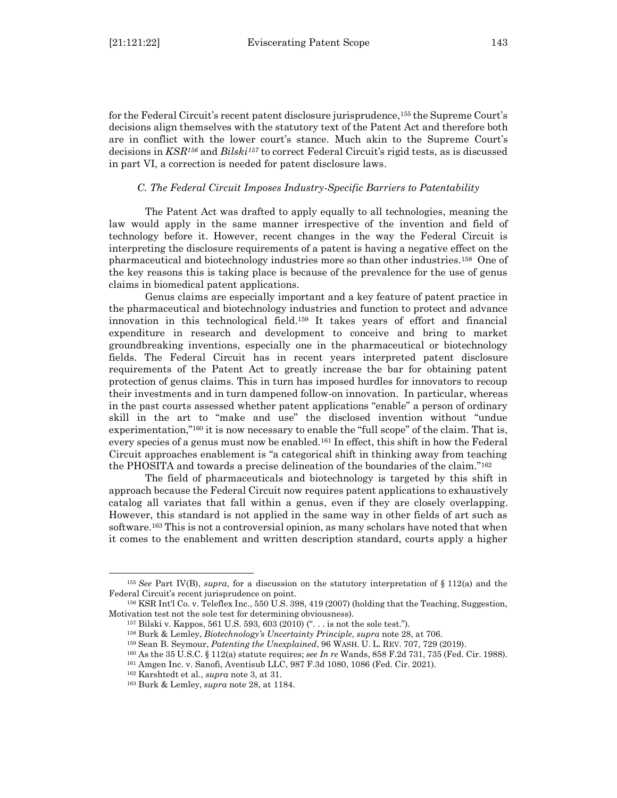for the Federal Circuit's recent patent disclosure jurisprudence, <sup>155</sup> the Supreme Court's decisions align themselves with the statutory text of the Patent Act and therefore both are in conflict with the lower court's stance. Much akin to the Supreme Court's decisions in *KSR<sup>156</sup>* and *Bilski<sup>157</sup>* to correct Federal Circuit's rigid tests, as is discussed in part VI, a correction is needed for patent disclosure laws.

#### *C. The Federal Circuit Imposes Industry-Specific Barriers to Patentability*

<span id="page-24-0"></span>The Patent Act was drafted to apply equally to all technologies, meaning the law would apply in the same manner irrespective of the invention and field of technology before it. However, recent changes in the way the Federal Circuit is interpreting the disclosure requirements of a patent is having a negative effect on the pharmaceutical and biotechnology industries more so than other industries.158 One of the key reasons this is taking place is because of the prevalence for the use of genus claims in biomedical patent applications.

Genus claims are especially important and a key feature of patent practice in the pharmaceutical and biotechnology industries and function to protect and advance innovation in this technological field.<sup>159</sup> It takes years of effort and financial expenditure in research and development to conceive and bring to market groundbreaking inventions, especially one in the pharmaceutical or biotechnology fields. The Federal Circuit has in recent years interpreted patent disclosure requirements of the Patent Act to greatly increase the bar for obtaining patent protection of genus claims. This in turn has imposed hurdles for innovators to recoup their investments and in turn dampened follow-on innovation. In particular, whereas in the past courts assessed whether patent applications "enable" a person of ordinary skill in the art to "make and use" the disclosed invention without "undue experimentation,"<sup>160</sup> it is now necessary to enable the "full scope" of the claim. That is, every species of a genus must now be enabled.<sup>161</sup> In effect, this shift in how the Federal Circuit approaches enablement is "a categorical shift in thinking away from teaching the PHOSITA and towards a precise delineation of the boundaries of the claim."<sup>162</sup>

The field of pharmaceuticals and biotechnology is targeted by this shift in approach because the Federal Circuit now requires patent applications to exhaustively catalog all variates that fall within a genus, even if they are closely overlapping. However, this standard is not applied in the same way in other fields of art such as software.<sup>163</sup> This is not a controversial opinion, as many scholars have noted that when it comes to the enablement and written description standard, courts apply a higher

<sup>155</sup> *See* Part IV(B), *supra*, for a discussion on the statutory interpretation of § 112(a) and the Federal Circuit's recent jurisprudence on point.

<sup>156</sup> KSR Int'l Co. v. Teleflex Inc., 550 U.S. 398, 419 (2007) (holding that the Teaching, Suggestion, Motivation test not the sole test for determining obviousness).

<sup>157</sup> Bilski v. Kappos, 561 U.S. 593, 603 (2010) (". . . is not the sole test.").

<sup>158</sup> Burk & Lemley, *Biotechnology's Uncertainty Principle*, *supra* note 28, at 706.

<sup>159</sup> Sean B. Seymour, *Patenting the Unexplained*, 96 WASH. U. L. REV. 707, 729 (2019).

<sup>160</sup> As the 35 U.S.C. § 112(a) statute requires; *see In re* Wands, 858 F.2d 731, 735 (Fed. Cir. 1988).

<sup>161</sup> Amgen Inc. v. Sanofi, Aventisub LLC, 987 F.3d 1080, 1086 (Fed. Cir. 2021).

<sup>162</sup> Karshtedt et al., *supra* note 3, at 31.

<sup>163</sup> Burk & Lemley, *supra* note 28, at 1184.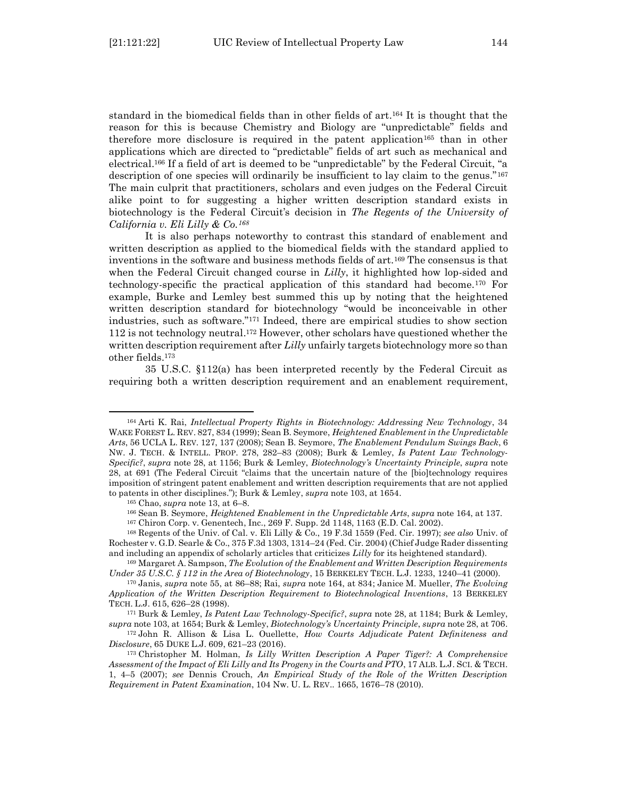standard in the biomedical fields than in other fields of art.<sup>164</sup> It is thought that the reason for this is because Chemistry and Biology are "unpredictable" fields and therefore more disclosure is required in the patent application<sup>165</sup> than in other applications which are directed to "predictable" fields of art such as mechanical and electrical.<sup>166</sup> If a field of art is deemed to be "unpredictable" by the Federal Circuit, "a description of one species will ordinarily be insufficient to lay claim to the genus."<sup>167</sup> The main culprit that practitioners, scholars and even judges on the Federal Circuit alike point to for suggesting a higher written description standard exists in biotechnology is the Federal Circuit's decision in *The Regents of the University of California v. Eli Lilly & Co.<sup>168</sup>*

It is also perhaps noteworthy to contrast this standard of enablement and written description as applied to the biomedical fields with the standard applied to inventions in the software and business methods fields of art.<sup>169</sup> The consensus is that when the Federal Circuit changed course in *Lilly*, it highlighted how lop-sided and technology-specific the practical application of this standard had become.<sup>170</sup> For example, Burke and Lemley best summed this up by noting that the heightened written description standard for biotechnology "would be inconceivable in other industries, such as software."<sup>171</sup> Indeed, there are empirical studies to show section 112 is not technology neutral. <sup>172</sup> However, other scholars have questioned whether the written description requirement after *Lilly* unfairly targets biotechnology more so than other fields.<sup>173</sup>

35 U.S.C. §112(a) has been interpreted recently by the Federal Circuit as requiring both a written description requirement and an enablement requirement,

<sup>164</sup> Arti K. Rai, *Intellectual Property Rights in Biotechnology: Addressing New Technology*, 34 WAKE FOREST L. REV. 827, 834 (1999); Sean B. Seymore, *Heightened Enablement in the Unpredictable Arts*, 56 UCLA L. REV. 127, 137 (2008); Sean B. Seymore, *The Enablement Pendulum Swings Back*, 6 NW. J. TECH. & INTELL. PROP. 278, 282–83 (2008); Burk & Lemley, *Is Patent Law Technology-Specific?*, *supra* note 28, at 1156; Burk & Lemley, *Biotechnology's Uncertainty Principle*, *supra* note 28, at 691 (The Federal Circuit "claims that the uncertain nature of the [bio]technology requires imposition of stringent patent enablement and written description requirements that are not applied to patents in other disciplines."); Burk & Lemley, *supra* note 103, at 1654.

<sup>165</sup> Chao, *supra* note 13, at 6–8.

<sup>166</sup> Sean B. Seymore, *Heightened Enablement in the Unpredictable Arts*, *supra* note 164, at 137. <sup>167</sup> Chiron Corp. v. Genentech, Inc., 269 F. Supp. 2d 1148, 1163 (E.D. Cal. 2002).

<sup>168</sup> Regents of the Univ. of Cal. v. Eli Lilly & Co., 19 F.3d 1559 (Fed. Cir. 1997); *see also* Univ. of Rochester v. G.D. Searle & Co., 375 F.3d 1303, 1314–24 (Fed. Cir. 2004) (Chief Judge Rader dissenting and including an appendix of scholarly articles that criticizes *Lilly* for its heightened standard).

<sup>169</sup> Margaret A. Sampson, *The Evolution of the Enablement and Written Description Requirements Under 35 U.S.C. § 112 in the Area of Biotechnology*, 15 BERKELEY TECH. L.J. 1233, 1240–41 (2000).

<sup>170</sup> Janis, *supra* note 55, at 86–88; Rai, *supra* note 164, at 834; Janice M. Mueller, *The Evolving Application of the Written Description Requirement to Biotechnological Inventions*, 13 BERKELEY TECH. L.J. 615, 626–28 (1998).

<sup>171</sup> Burk & Lemley, *Is Patent Law Technology-Specific?*, *supra* note 28, at 1184; Burk & Lemley, *supra* note 103, at 1654; Burk & Lemley, *Biotechnology's Uncertainty Principle*, *supra* note 28, at 706.

<sup>172</sup> John R. Allison & Lisa L. Ouellette, *How Courts Adjudicate Patent Definiteness and Disclosure*, 65 DUKE L.J. 609, 621–23 (2016).

<sup>173</sup> Christopher M. Holman, *Is Lilly Written Description A Paper Tiger?: A Comprehensive Assessment of the Impact of Eli Lilly and Its Progeny in the Courts and PTO*, 17 ALB. L.J. SCI. & TECH. 1, 4–5 (2007); *see* Dennis Crouch, *An Empirical Study of the Role of the Written Description Requirement in Patent Examination*, 104 Nw. U. L. REV.. 1665, 1676–78 (2010).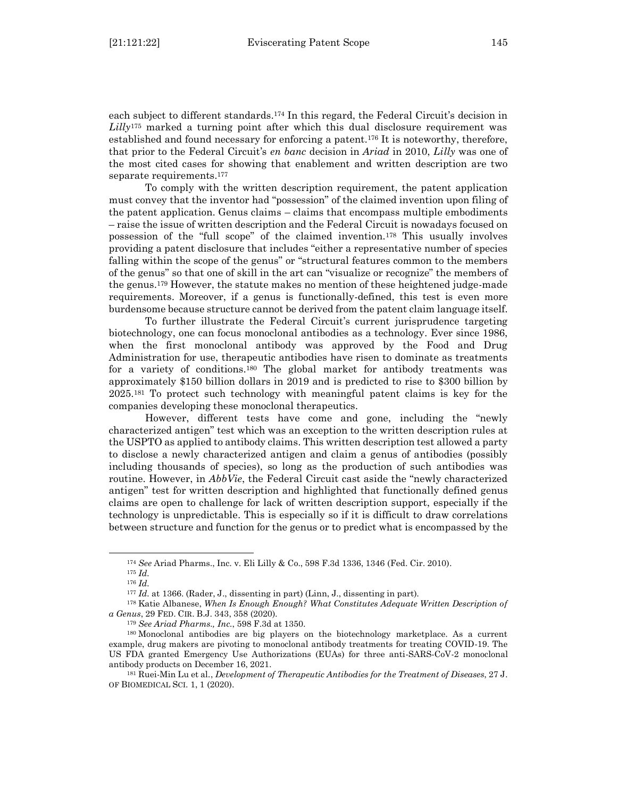each subject to different standards.<sup>174</sup> In this regard, the Federal Circuit's decision in *Lilly*<sup>175</sup> marked a turning point after which this dual disclosure requirement was established and found necessary for enforcing a patent.<sup>176</sup> It is noteworthy, therefore, that prior to the Federal Circuit's *en banc* decision in *Ariad* in 2010, *Lilly* was one of the most cited cases for showing that enablement and written description are two separate requirements.<sup>177</sup>

To comply with the written description requirement, the patent application must convey that the inventor had "possession" of the claimed invention upon filing of the patent application. Genus claims – claims that encompass multiple embodiments – raise the issue of written description and the Federal Circuit is nowadays focused on possession of the "full scope" of the claimed invention.<sup>178</sup> This usually involves providing a patent disclosure that includes "either a representative number of species falling within the scope of the genus" or "structural features common to the members of the genus" so that one of skill in the art can "visualize or recognize" the members of the genus.<sup>179</sup> However, the statute makes no mention of these heightened judge-made requirements. Moreover, if a genus is functionally-defined, this test is even more burdensome because structure cannot be derived from the patent claim language itself.

To further illustrate the Federal Circuit's current jurisprudence targeting biotechnology, one can focus monoclonal antibodies as a technology. Ever since 1986, when the first monoclonal antibody was approved by the Food and Drug Administration for use, therapeutic antibodies have risen to dominate as treatments for a variety of conditions.<sup>180</sup> The global market for antibody treatments was approximately \$150 billion dollars in 2019 and is predicted to rise to \$300 billion by 2025.<sup>181</sup> To protect such technology with meaningful patent claims is key for the companies developing these monoclonal therapeutics.

However, different tests have come and gone, including the "newly characterized antigen" test which was an exception to the written description rules at the USPTO as applied to antibody claims. This written description test allowed a party to disclose a newly characterized antigen and claim a genus of antibodies (possibly including thousands of species), so long as the production of such antibodies was routine. However, in *AbbVie*, the Federal Circuit cast aside the "newly characterized antigen" test for written description and highlighted that functionally defined genus claims are open to challenge for lack of written description support, especially if the technology is unpredictable. This is especially so if it is difficult to draw correlations between structure and function for the genus or to predict what is encompassed by the

<sup>174</sup> *See* Ariad Pharms., Inc. v. Eli Lilly & Co., 598 F.3d 1336, 1346 (Fed. Cir. 2010).

<sup>175</sup> *Id.*

<sup>176</sup> *Id.*

<sup>177</sup> *Id.* at 1366. (Rader, J., dissenting in part) (Linn, J., dissenting in part).

<sup>178</sup> Katie Albanese, *When Is Enough Enough? What Constitutes Adequate Written Description of a Genus*, 29 FED. CIR. B.J. 343, 358 (2020).

<sup>179</sup> *See Ariad Pharms., Inc.*, 598 F.3d at 1350.

<sup>180</sup> Monoclonal antibodies are big players on the biotechnology marketplace. As a current example, drug makers are pivoting to monoclonal antibody treatments for treating COVID-19. The US FDA granted Emergency Use Authorizations (EUAs) for three anti-SARS-CoV-2 monoclonal antibody products on December 16, 2021.

<sup>181</sup> Ruei-Min Lu et al*.*, *Development of Therapeutic Antibodies for the Treatment of Diseases*, 27 J. OF BIOMEDICAL SCI. 1, 1 (2020).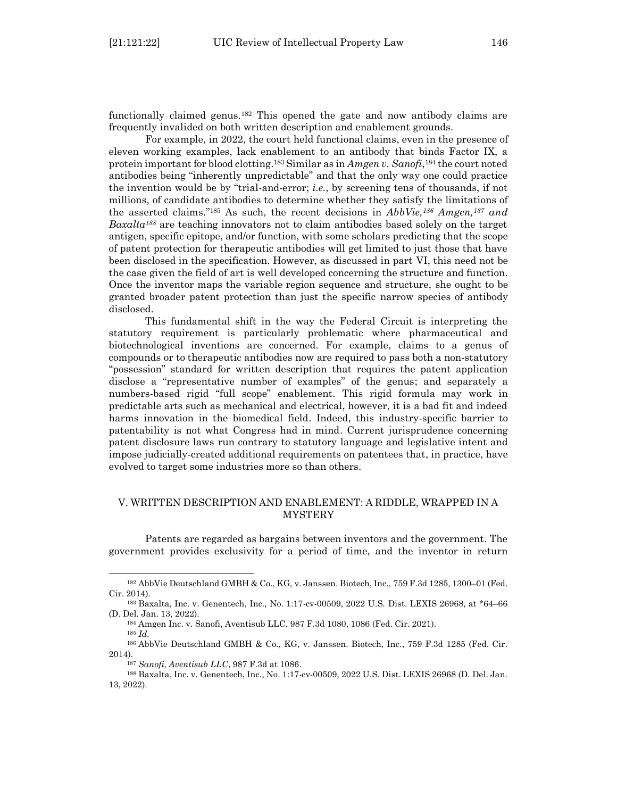functionally claimed genus.<sup>182</sup> This opened the gate and now antibody claims are frequently invalided on both written description and enablement grounds.

For example, in 2022, the court held functional claims, even in the presence of eleven working examples, lack enablement to an antibody that binds Factor IX, a protein important for blood clotting.<sup>183</sup> Similar as in *Amgen v. Sanofi*, <sup>184</sup> the court noted antibodies being "inherently unpredictable" and that the only way one could practice the invention would be by "trial-and-error; *i.e.*, by screening tens of thousands, if not millions, of candidate antibodies to determine whether they satisfy the limitations of the asserted claims."<sup>185</sup> As such, the recent decisions in *AbbVie, <sup>186</sup> Amgen, <sup>187</sup> and Baxalta<sup>188</sup>* are teaching innovators not to claim antibodies based solely on the target antigen, specific epitope, and/or function, with some scholars predicting that the scope of patent protection for therapeutic antibodies will get limited to just those that have been disclosed in the specification. However, as discussed in part VI, this need not be the case given the field of art is well developed concerning the structure and function. Once the inventor maps the variable region sequence and structure, she ought to be granted broader patent protection than just the specific narrow species of antibody disclosed.

This fundamental shift in the way the Federal Circuit is interpreting the statutory requirement is particularly problematic where pharmaceutical and biotechnological inventions are concerned. For example, claims to a genus of compounds or to therapeutic antibodies now are required to pass both a non-statutory "possession" standard for written description that requires the patent application disclose a "representative number of examples" of the genus; and separately a numbers-based rigid "full scope" enablement. This rigid formula may work in predictable arts such as mechanical and electrical, however, it is a bad fit and indeed harms innovation in the biomedical field. Indeed, this industry-specific barrier to patentability is not what Congress had in mind. Current jurisprudence concerning patent disclosure laws run contrary to statutory language and legislative intent and impose judicially-created additional requirements on patentees that, in practice, have evolved to target some industries more so than others.

# <span id="page-27-0"></span>V. WRITTEN DESCRIPTION AND ENABLEMENT: A RIDDLE, WRAPPED IN A **MYSTERY**

Patents are regarded as bargains between inventors and the government. The government provides exclusivity for a period of time, and the inventor in return

<sup>182</sup> AbbVie Deutschland GMBH & Co., KG, v. Janssen. Biotech, Inc., 759 F.3d 1285, 1300–01 (Fed. Cir. 2014).

<sup>183</sup> Baxalta, Inc. v. Genentech, Inc*.*, No. 1:17-cv-00509, 2022 U.S. Dist. LEXIS 26968, at \*64–66 (D. Del. Jan. 13, 2022).

<sup>184</sup> Amgen Inc. v. Sanofi, Aventisub LLC, 987 F.3d 1080, 1086 (Fed. Cir. 2021).

<sup>185</sup> *Id.*

<sup>186</sup> AbbVie Deutschland GMBH & Co., KG, v. Janssen. Biotech, Inc., 759 F.3d 1285 (Fed. Cir. 2014).

<sup>187</sup> *Sanofi, Aventisub LLC*, 987 F.3d at 1086.

<sup>188</sup> Baxalta, Inc. v. Genentech, Inc., No. 1:17-cv-00509, 2022 U.S. Dist. LEXIS 26968 (D. Del. Jan. 13, 2022).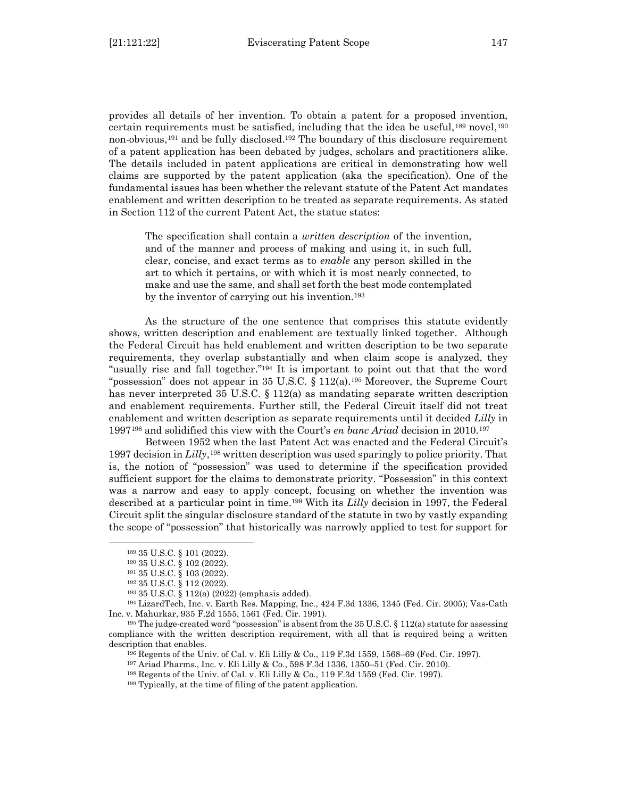provides all details of her invention. To obtain a patent for a proposed invention, certain requirements must be satisfied, including that the idea be useful,  $^{189}$  novel,  $^{190}$ non-obvious, <sup>191</sup> and be fully disclosed. <sup>192</sup> The boundary of this disclosure requirement of a patent application has been debated by judges, scholars and practitioners alike. The details included in patent applications are critical in demonstrating how well claims are supported by the patent application (aka the specification). One of the fundamental issues has been whether the relevant statute of the Patent Act mandates enablement and written description to be treated as separate requirements. As stated in Section 112 of the current Patent Act, the statue states:

The specification shall contain a *written description* of the invention, and of the manner and process of making and using it, in such full, clear, concise, and exact terms as to *enable* any person skilled in the art to which it pertains, or with which it is most nearly connected, to make and use the same, and shall set forth the best mode contemplated by the inventor of carrying out his invention.<sup>193</sup>

As the structure of the one sentence that comprises this statute evidently shows, written description and enablement are textually linked together. Although the Federal Circuit has held enablement and written description to be two separate requirements, they overlap substantially and when claim scope is analyzed, they "usually rise and fall together." <sup>194</sup> It is important to point out that that the word "possession" does not appear in 35 U.S.C. § 112(a).<sup>195</sup> Moreover, the Supreme Court has never interpreted 35 U.S.C. § 112(a) as mandating separate written description and enablement requirements. Further still, the Federal Circuit itself did not treat enablement and written description as separate requirements until it decided *Lilly* in 1997<sup>196</sup> and solidified this view with the Court's *en banc Ariad* decision in 2010.<sup>197</sup>

Between 1952 when the last Patent Act was enacted and the Federal Circuit's 1997 decision in *Lilly*,<sup>198</sup> written description was used sparingly to police priority. That is, the notion of "possession" was used to determine if the specification provided sufficient support for the claims to demonstrate priority. "Possession" in this context was a narrow and easy to apply concept, focusing on whether the invention was described at a particular point in time.<sup>199</sup> With its *Lilly* decision in 1997, the Federal Circuit split the singular disclosure standard of the statute in two by vastly expanding the scope of "possession" that historically was narrowly applied to test for support for

<sup>189</sup> 35 U.S.C. § 101 (2022).

<sup>190</sup> 35 U.S.C. § 102 (2022).

<sup>191</sup> 35 U.S.C. § 103 (2022).

<sup>192</sup> 35 U.S.C. § 112 (2022).

<sup>193</sup> 35 U.S.C. § 112(a) (2022) (emphasis added).

<sup>194</sup> LizardTech, Inc. v. Earth Res. Mapping, Inc., 424 F.3d 1336, 1345 (Fed. Cir. 2005); Vas-Cath Inc. v. Mahurkar, 935 F.2d 1555, 1561 (Fed. Cir. 1991).

<sup>195</sup> The judge-created word "possession" is absent from the 35 U.S.C. § 112(a) statute for assessing compliance with the written description requirement, with all that is required being a written description that enables.

<sup>196</sup> Regents of the Univ. of Cal. v. Eli Lilly & Co., 119 F.3d 1559, 1568–69 (Fed. Cir. 1997).

<sup>197</sup> Ariad Pharms., Inc. v. Eli Lilly & Co., 598 F.3d 1336, 1350–51 (Fed. Cir. 2010).

<sup>198</sup> Regents of the Univ. of Cal. v. Eli Lilly & Co., 119 F.3d 1559 (Fed. Cir. 1997).

<sup>199</sup> Typically, at the time of filing of the patent application.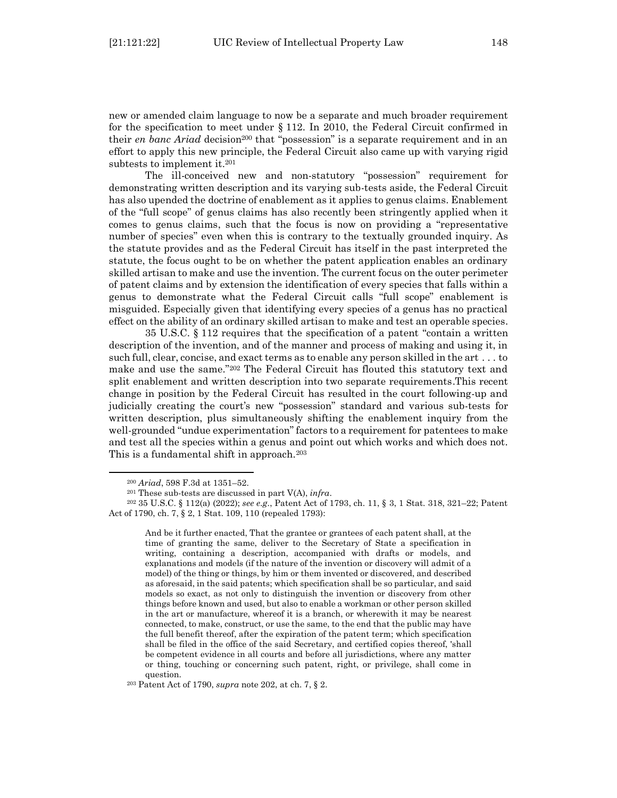new or amended claim language to now be a separate and much broader requirement for the specification to meet under § 112. In 2010, the Federal Circuit confirmed in their *en banc Ariad* decision<sup>200</sup> that "possession" is a separate requirement and in an effort to apply this new principle, the Federal Circuit also came up with varying rigid subtests to implement it.<sup>201</sup>

The ill-conceived new and non-statutory "possession" requirement for demonstrating written description and its varying sub-tests aside, the Federal Circuit has also upended the doctrine of enablement as it applies to genus claims. Enablement of the "full scope" of genus claims has also recently been stringently applied when it comes to genus claims, such that the focus is now on providing a "representative number of species" even when this is contrary to the textually grounded inquiry. As the statute provides and as the Federal Circuit has itself in the past interpreted the statute, the focus ought to be on whether the patent application enables an ordinary skilled artisan to make and use the invention. The current focus on the outer perimeter of patent claims and by extension the identification of every species that falls within a genus to demonstrate what the Federal Circuit calls "full scope" enablement is misguided. Especially given that identifying every species of a genus has no practical effect on the ability of an ordinary skilled artisan to make and test an operable species.

35 U.S.C. § 112 requires that the specification of a patent "contain a written description of the invention, and of the manner and process of making and using it, in such full, clear, concise, and exact terms as to enable any person skilled in the art . . . to make and use the same."<sup>202</sup> The Federal Circuit has flouted this statutory text and split enablement and written description into two separate requirements.This recent change in position by the Federal Circuit has resulted in the court following-up and judicially creating the court's new "possession" standard and various sub-tests for written description, plus simultaneously shifting the enablement inquiry from the well-grounded "undue experimentation" factors to a requirement for patentees to make and test all the species within a genus and point out which works and which does not. This is a fundamental shift in approach.<sup>203</sup>

<sup>200</sup> *Ariad*, 598 F.3d at 1351–52.

<sup>201</sup> These sub-tests are discussed in part V(A), *infra*.

<sup>202</sup> 35 U.S.C. § 112(a) (2022); *see e.g*., Patent Act of 1793, ch. 11, § 3, 1 Stat. 318, 321–22; Patent Act of 1790, ch. 7, § 2, 1 Stat. 109, 110 (repealed 1793):

And be it further enacted, That the grantee or grantees of each patent shall, at the time of granting the same, deliver to the Secretary of State a specification in writing, containing a description, accompanied with drafts or models, and explanations and models (if the nature of the invention or discovery will admit of a model) of the thing or things, by him or them invented or discovered, and described as aforesaid, in the said patents; which specification shall be so particular, and said models so exact, as not only to distinguish the invention or discovery from other things before known and used, but also to enable a workman or other person skilled in the art or manufacture, whereof it is a branch, or wherewith it may be nearest connected, to make, construct, or use the same, to the end that the public may have the full benefit thereof, after the expiration of the patent term; which specification shall be filed in the office of the said Secretary, and certified copies thereof, 'shall be competent evidence in all courts and before all jurisdictions, where any matter or thing, touching or concerning such patent, right, or privilege, shall come in question.

<sup>203</sup> Patent Act of 1790, *supra* note 202, at ch. 7, § 2*.*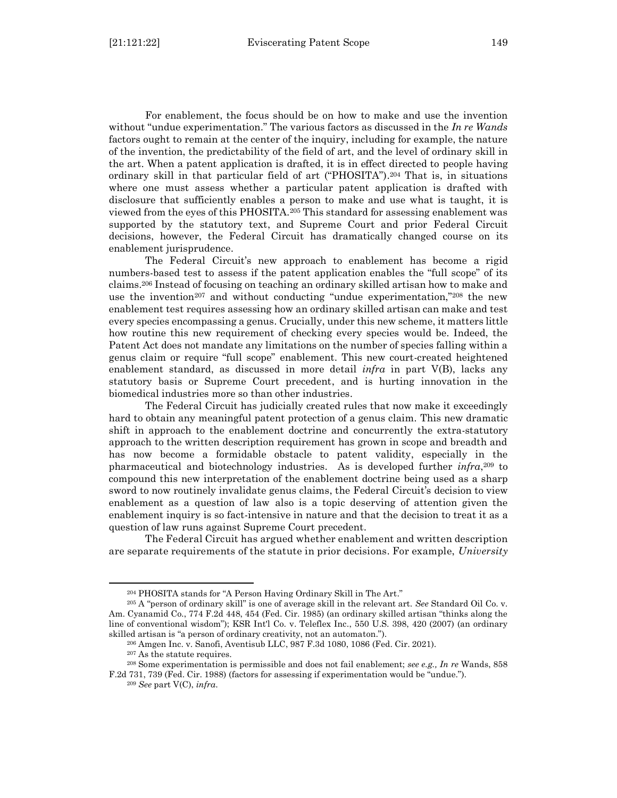For enablement, the focus should be on how to make and use the invention without "undue experimentation." The various factors as discussed in the *In re Wands* factors ought to remain at the center of the inquiry, including for example, the nature of the invention, the predictability of the field of art, and the level of ordinary skill in the art. When a patent application is drafted, it is in effect directed to people having ordinary skill in that particular field of art ("PHOSITA"). <sup>204</sup> That is, in situations where one must assess whether a particular patent application is drafted with disclosure that sufficiently enables a person to make and use what is taught, it is viewed from the eyes of this PHOSITA.<sup>205</sup> This standard for assessing enablement was supported by the statutory text, and Supreme Court and prior Federal Circuit decisions, however, the Federal Circuit has dramatically changed course on its enablement jurisprudence.

The Federal Circuit's new approach to enablement has become a rigid numbers-based test to assess if the patent application enables the "full scope" of its claims.<sup>206</sup> Instead of focusing on teaching an ordinary skilled artisan how to make and use the invention<sup>207</sup> and without conducting "undue experimentation,"<sup>208</sup> the new enablement test requires assessing how an ordinary skilled artisan can make and test every species encompassing a genus. Crucially, under this new scheme, it matters little how routine this new requirement of checking every species would be. Indeed, the Patent Act does not mandate any limitations on the number of species falling within a genus claim or require "full scope" enablement. This new court-created heightened enablement standard, as discussed in more detail *infra* in part V(B), lacks any statutory basis or Supreme Court precedent, and is hurting innovation in the biomedical industries more so than other industries.

The Federal Circuit has judicially created rules that now make it exceedingly hard to obtain any meaningful patent protection of a genus claim. This new dramatic shift in approach to the enablement doctrine and concurrently the extra-statutory approach to the written description requirement has grown in scope and breadth and has now become a formidable obstacle to patent validity, especially in the pharmaceutical and biotechnology industries. As is developed further *infra*, <sup>209</sup> to compound this new interpretation of the enablement doctrine being used as a sharp sword to now routinely invalidate genus claims, the Federal Circuit's decision to view enablement as a question of law also is a topic deserving of attention given the enablement inquiry is so fact-intensive in nature and that the decision to treat it as a question of law runs against Supreme Court precedent.

The Federal Circuit has argued whether enablement and written description are separate requirements of the statute in prior decisions. For example, *University* 

<sup>204</sup> PHOSITA stands for "A Person Having Ordinary Skill in The Art."

<sup>205</sup> A "person of ordinary skill" is one of average skill in the relevant art. *See* Standard Oil Co. v. Am. Cyanamid Co*.*, 774 F.2d 448, 454 (Fed. Cir. 1985) (an ordinary skilled artisan "thinks along the line of conventional wisdom"); KSR Int'l Co. v. Teleflex Inc., 550 U.S. 398, 420 (2007) (an ordinary skilled artisan is "a person of ordinary creativity, not an automaton.").

<sup>206</sup> Amgen Inc. v. Sanofi, Aventisub LLC, 987 F.3d 1080, 1086 (Fed. Cir. 2021).

<sup>207</sup> As the statute requires.

<sup>208</sup> Some experimentation is permissible and does not fail enablement; *see e.g., In re* Wands, 858 F.2d 731, 739 (Fed. Cir. 1988) (factors for assessing if experimentation would be "undue.").

<sup>209</sup> *See* part V(C), *infra*.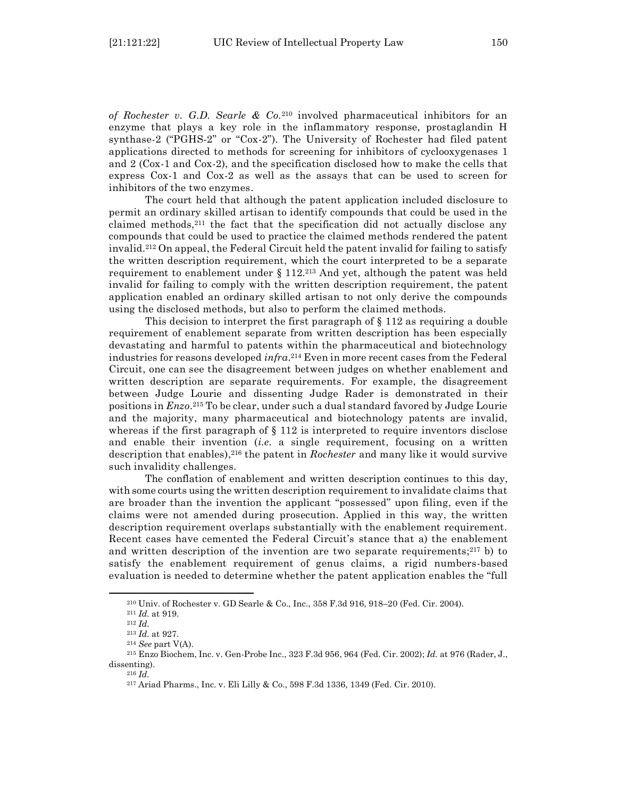*of Rochester v. G.D. Searle & Co.*<sup>210</sup> involved pharmaceutical inhibitors for an enzyme that plays a key role in the inflammatory response, prostaglandin H synthase-2 ("PGHS-2" or "Cox-2"). The University of Rochester had filed patent applications directed to methods for screening for inhibitors of cyclooxygenases 1 and 2 (Cox-1 and Cox-2), and the specification disclosed how to make the cells that express Cox-1 and Cox-2 as well as the assays that can be used to screen for inhibitors of the two enzymes.

The court held that although the patent application included disclosure to permit an ordinary skilled artisan to identify compounds that could be used in the claimed methods, $2^{11}$  the fact that the specification did not actually disclose any compounds that could be used to practice the claimed methods rendered the patent invalid.<sup>212</sup> On appeal, the Federal Circuit held the patent invalid for failing to satisfy the written description requirement, which the court interpreted to be a separate requirement to enablement under § 112. <sup>213</sup> And yet, although the patent was held invalid for failing to comply with the written description requirement, the patent application enabled an ordinary skilled artisan to not only derive the compounds using the disclosed methods, but also to perform the claimed methods.

This decision to interpret the first paragraph of  $\S 112$  as requiring a double requirement of enablement separate from written description has been especially devastating and harmful to patents within the pharmaceutical and biotechnology industries for reasons developed *infra*. <sup>214</sup> Even in more recent cases from the Federal Circuit, one can see the disagreement between judges on whether enablement and written description are separate requirements. For example, the disagreement between Judge Lourie and dissenting Judge Rader is demonstrated in their positions in *Enzo*. <sup>215</sup> To be clear, under such a dual standard favored by Judge Lourie and the majority, many pharmaceutical and biotechnology patents are invalid, whereas if the first paragraph of  $\S$  112 is interpreted to require inventors disclose and enable their invention (*i.e.* a single requirement, focusing on a written description that enables), <sup>216</sup> the patent in *Rochester* and many like it would survive such invalidity challenges.

The conflation of enablement and written description continues to this day, with some courts using the written description requirement to invalidate claims that are broader than the invention the applicant "possessed" upon filing, even if the claims were not amended during prosecution. Applied in this way, the written description requirement overlaps substantially with the enablement requirement. Recent cases have cemented the Federal Circuit's stance that a) the enablement and written description of the invention are two separate requirements;<sup>217</sup> b) to satisfy the enablement requirement of genus claims, a rigid numbers-based evaluation is needed to determine whether the patent application enables the "full

<sup>216</sup> *Id.*

<sup>210</sup> Univ. of Rochester v. GD Searle & Co., Inc., 358 F.3d 916, 918–20 (Fed. Cir. 2004).

<sup>211</sup> *Id.* at 919.

<sup>212</sup> *Id.*

<sup>213</sup> *Id.* at 927.

<sup>214</sup> *See* part V(A).

<sup>215</sup> Enzo Biochem, Inc. v. Gen-Probe Inc*.*, 323 F.3d 956, 964 (Fed. Cir. 2002); *Id.* at 976 (Rader, J., dissenting).

<sup>217</sup> Ariad Pharms., Inc. v. Eli Lilly & Co., 598 F.3d 1336, 1349 (Fed. Cir. 2010).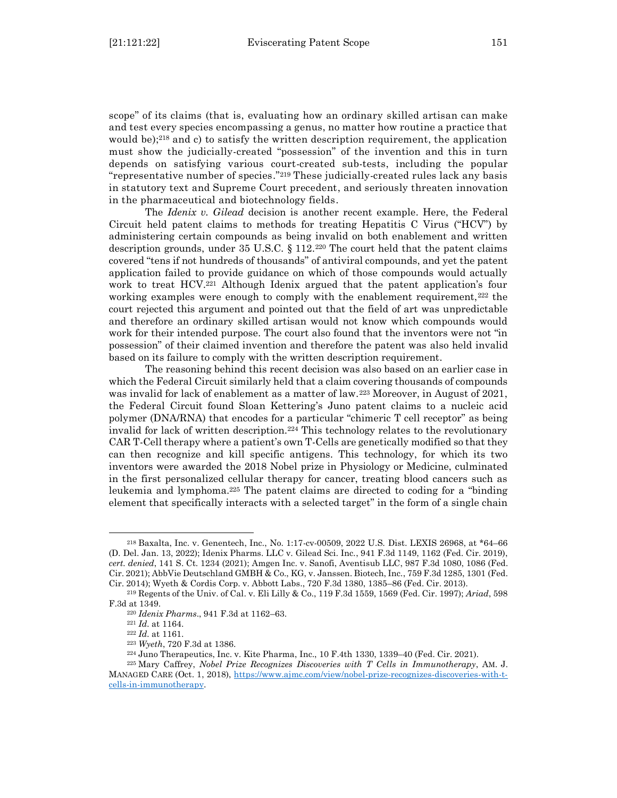scope" of its claims (that is, evaluating how an ordinary skilled artisan can make and test every species encompassing a genus, no matter how routine a practice that would be);<sup>218</sup> and c) to satisfy the written description requirement, the application must show the judicially-created "possession" of the invention and this in turn depends on satisfying various court-created sub-tests, including the popular "representative number of species." <sup>219</sup> These judicially-created rules lack any basis in statutory text and Supreme Court precedent, and seriously threaten innovation in the pharmaceutical and biotechnology fields.

The *Idenix v. Gilead* decision is another recent example. Here, the Federal Circuit held patent claims to methods for treating Hepatitis C Virus ("HCV") by administering certain compounds as being invalid on both enablement and written description grounds, under  $35 \text{ U.S.C. } \S 112.^{220}$  The court held that the patent claims covered "tens if not hundreds of thousands" of antiviral compounds, and yet the patent application failed to provide guidance on which of those compounds would actually work to treat HCV.<sup>221</sup> Although Idenix argued that the patent application's four working examples were enough to comply with the enablement requirement,  $222$  the court rejected this argument and pointed out that the field of art was unpredictable and therefore an ordinary skilled artisan would not know which compounds would work for their intended purpose. The court also found that the inventors were not "in possession" of their claimed invention and therefore the patent was also held invalid based on its failure to comply with the written description requirement.

The reasoning behind this recent decision was also based on an earlier case in which the Federal Circuit similarly held that a claim covering thousands of compounds was invalid for lack of enablement as a matter of law.<sup>223</sup> Moreover, in August of 2021, the Federal Circuit found Sloan Kettering's Juno patent claims to a nucleic acid polymer (DNA/RNA) that encodes for a particular "chimeric T cell receptor" as being invalid for lack of written description.<sup>224</sup> This technology relates to the revolutionary CAR T-Cell therapy where a patient's own T-Cells are genetically modified so that they can then recognize and kill specific antigens. This technology, for which its two inventors were awarded the 2018 Nobel prize in Physiology or Medicine, culminated in the first personalized cellular therapy for cancer, treating blood cancers such as leukemia and lymphoma.<sup>225</sup> The patent claims are directed to coding for a "binding element that specifically interacts with a selected target" in the form of a single chain

<sup>218</sup> Baxalta, Inc. v. Genentech, Inc*.*, No. 1:17-cv-00509, 2022 U.S. Dist. LEXIS 26968, at \*64–66 (D. Del. Jan. 13, 2022); Idenix Pharms. LLC v. Gilead Sci. Inc., 941 F.3d 1149, 1162 (Fed. Cir. 2019), *cert. denied*, 141 S. Ct. 1234 (2021); Amgen Inc. v. Sanofi, Aventisub LLC, 987 F.3d 1080, 1086 (Fed. Cir. 2021); AbbVie Deutschland GMBH & Co., KG, v. Janssen. Biotech, Inc., 759 F.3d 1285, 1301 (Fed. Cir. 2014); Wyeth & Cordis Corp. v. Abbott Labs., 720 F.3d 1380, 1385–86 (Fed. Cir. 2013).

<sup>219</sup> Regents of the Univ. of Cal. v. Eli Lilly & Co., 119 F.3d 1559, 1569 (Fed. Cir. 1997); *Ariad*, 598 F.3d at 1349.

<sup>220</sup> *Idenix Pharms*., 941 F.3d at 1162–63.

<sup>221</sup> *Id.* at 1164.

<sup>222</sup> *Id.* at 1161.

<sup>223</sup> *Wyeth*, 720 F.3d at 1386.

<sup>224</sup> Juno Therapeutics, Inc. v. Kite Pharma, Inc., 10 F.4th 1330, 1339–40 (Fed. Cir. 2021).

<sup>225</sup> Mary Caffrey, *Nobel Prize Recognizes Discoveries with T Cells in Immunotherapy*, AM. J. MANAGED CARE (Oct. 1, 2018), [https://www.ajmc.com/view/nobel-prize-recognizes-discoveries-with-t](https://www.ajmc.com/view/nobel-prize-recognizes-discoveries-with-t-cells-in-immunotherapy)[cells-in-immunotherapy.](https://www.ajmc.com/view/nobel-prize-recognizes-discoveries-with-t-cells-in-immunotherapy)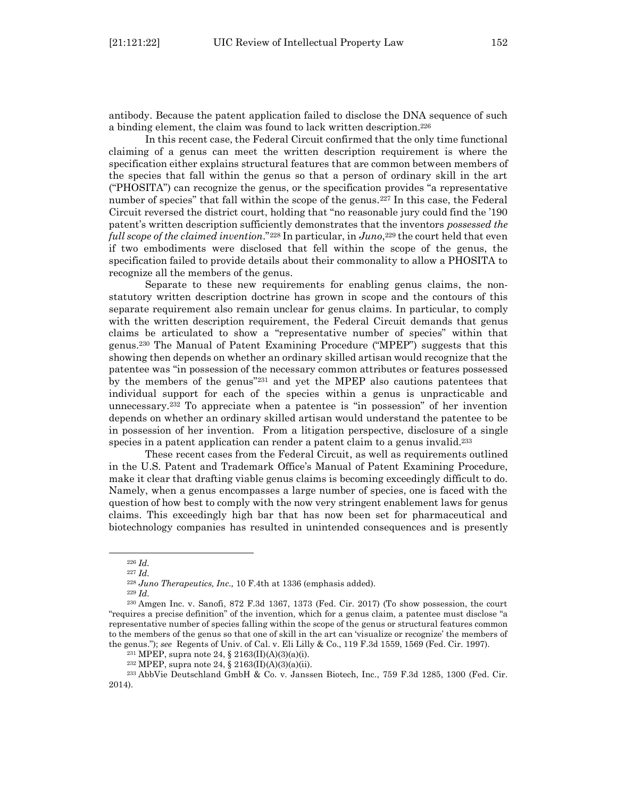antibody. Because the patent application failed to disclose the DNA sequence of such a binding element, the claim was found to lack written description.<sup>226</sup>

In this recent case, the Federal Circuit confirmed that the only time functional claiming of a genus can meet the written description requirement is where the specification either explains structural features that are common between members of the species that fall within the genus so that a person of ordinary skill in the art ("PHOSITA") can recognize the genus, or the specification provides "a representative number of species" that fall within the scope of the genus.<sup>227</sup> In this case, the Federal Circuit reversed the district court, holding that "no reasonable jury could find the '190 patent's written description sufficiently demonstrates that the inventors *possessed the full scope of the claimed invention*."<sup>228</sup> In particular, in *Juno*, <sup>229</sup> the court held that even if two embodiments were disclosed that fell within the scope of the genus, the specification failed to provide details about their commonality to allow a PHOSITA to recognize all the members of the genus.

Separate to these new requirements for enabling genus claims, the nonstatutory written description doctrine has grown in scope and the contours of this separate requirement also remain unclear for genus claims. In particular, to comply with the written description requirement, the Federal Circuit demands that genus claims be articulated to show a "representative number of species" within that genus.<sup>230</sup> The Manual of Patent Examining Procedure ("MPEP") suggests that this showing then depends on whether an ordinary skilled artisan would recognize that the patentee was "in possession of the necessary common attributes or features possessed by the members of the genus"<sup>231</sup> and yet the MPEP also cautions patentees that individual support for each of the species within a genus is unpracticable and unnecessary.<sup>232</sup> To appreciate when a patentee is "in possession" of her invention depends on whether an ordinary skilled artisan would understand the patentee to be in possession of her invention. From a litigation perspective, disclosure of a single species in a patent application can render a patent claim to a genus invalid.<sup>233</sup>

These recent cases from the Federal Circuit, as well as requirements outlined in the U.S. Patent and Trademark Office's Manual of Patent Examining Procedure, make it clear that drafting viable genus claims is becoming exceedingly difficult to do. Namely, when a genus encompasses a large number of species, one is faced with the question of how best to comply with the now very stringent enablement laws for genus claims. This exceedingly high bar that has now been set for pharmaceutical and biotechnology companies has resulted in unintended consequences and is presently

<sup>233</sup> AbbVie Deutschland GmbH & Co. v. Janssen Biotech, Inc., 759 F.3d 1285, 1300 (Fed. Cir. 2014).

<sup>226</sup> *Id.*

<sup>227</sup> *Id.*

<sup>228</sup> *Juno Therapeutics, Inc.,* 10 F.4th at 1336 (emphasis added).

<sup>229</sup> *Id.*

<sup>230</sup> Amgen Inc. v. Sanofi, 872 F.3d 1367, 1373 (Fed. Cir. 2017) (To show possession, the court "requires a precise definition" of the invention, which for a genus claim, a patentee must disclose "a representative number of species falling within the scope of the genus or structural features common to the members of the genus so that one of skill in the art can 'visualize or recognize' the members of the genus."); *see* Regents of Univ. of Cal. v. Eli Lilly & Co., 119 F.3d 1559, 1569 (Fed. Cir. 1997).

<sup>231</sup> MPEP, supra note 24, § 2163(II)(A)(3)(a)(i).

<sup>232</sup> MPEP, supra note 24, § 2163(II)(A)(3)(a)(ii).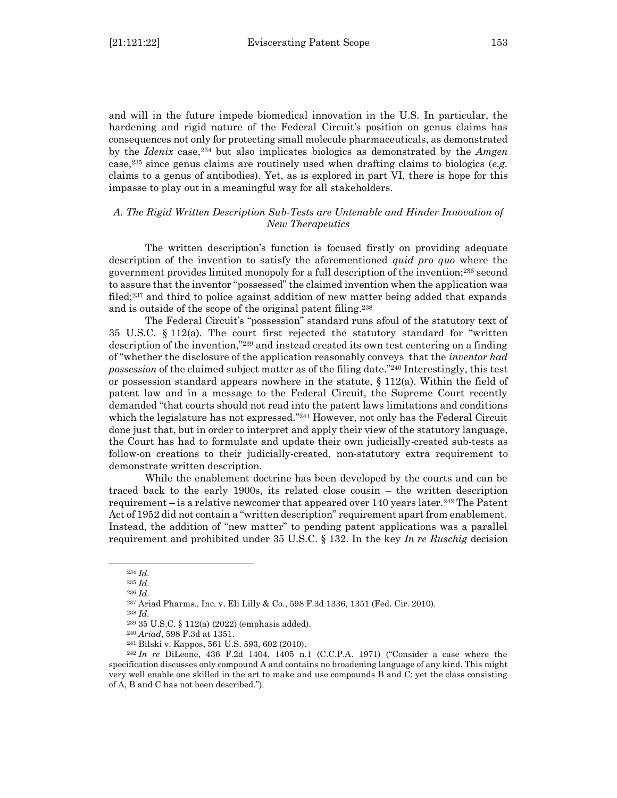and will in the future impede biomedical innovation in the U.S. In particular, the hardening and rigid nature of the Federal Circuit's position on genus claims has consequences not only for protecting small molecule pharmaceuticals, as demonstrated by the *Idenix* case, <sup>234</sup> but also implicates biologics as demonstrated by the *Amgen* case, <sup>235</sup> since genus claims are routinely used when drafting claims to biologics (*e.g.* claims to a genus of antibodies). Yet, as is explored in part VI, there is hope for this impasse to play out in a meaningful way for all stakeholders.

## <span id="page-34-0"></span>*A. The Rigid Written Description Sub-Tests are Untenable and Hinder Innovation of New Therapeutics*

The written description's function is focused firstly on providing adequate description of the invention to satisfy the aforementioned *quid pro quo* where the government provides limited monopoly for a full description of the invention;<sup>236</sup> second to assure that the inventor "possessed" the claimed invention when the application was filed;<sup>237</sup> and third to police against addition of new matter being added that expands and is outside of the scope of the original patent filing.<sup>238</sup>

The Federal Circuit's "possession" standard runs afoul of the statutory text of 35 U.S.C. § 112(a). The court first rejected the statutory standard for "written description of the invention,"<sup>239</sup> and instead created its own test centering on a finding of "whether the disclosure of the application reasonably conveys that the *inventor had possession* of the claimed subject matter as of the filing date."<sup>240</sup> Interestingly, this test or possession standard appears nowhere in the statute, § 112(a). Within the field of patent law and in a message to the Federal Circuit, the Supreme Court recently demanded "that courts should not read into the patent laws limitations and conditions which the legislature has not expressed."<sup>241</sup> However, not only has the Federal Circuit done just that, but in order to interpret and apply their view of the statutory language, the Court has had to formulate and update their own judicially-created sub-tests as follow-on creations to their judicially-created, non-statutory extra requirement to demonstrate written description.

While the enablement doctrine has been developed by the courts and can be traced back to the early 1900s, its related close cousin – the written description requirement – is a relative newcomer that appeared over 140 years later.<sup>242</sup> The Patent Act of 1952 did not contain a "written description" requirement apart from enablement. Instead, the addition of "new matter" to pending patent applications was a parallel requirement and prohibited under 35 U.S.C. § 132. In the key *In re Ruschig* decision

<sup>238</sup> *Id.*

<sup>234</sup> *Id.*

<sup>235</sup> *Id.*

<sup>236</sup> *Id.*

<sup>237</sup> Ariad Pharms., Inc. v. Eli Lilly & Co., 598 F.3d 1336, 1351 (Fed. Cir. 2010).

<sup>239</sup> 35 U.S.C. § 112(a) (2022) (emphasis added).

<sup>240</sup> *Ariad*, 598 F.3d at 1351.

<sup>241</sup> Bilski v. Kappos, 561 U.S. 593, 602 (2010).

<sup>242</sup> *In re* DiLeone, 436 F.2d 1404, 1405 n.1 (C.C.P.A. 1971) ("Consider a case where the specification discusses only compound A and contains no broadening language of any kind. This might very well enable one skilled in the art to make and use compounds B and C; yet the class consisting of A, B and C has not been described.").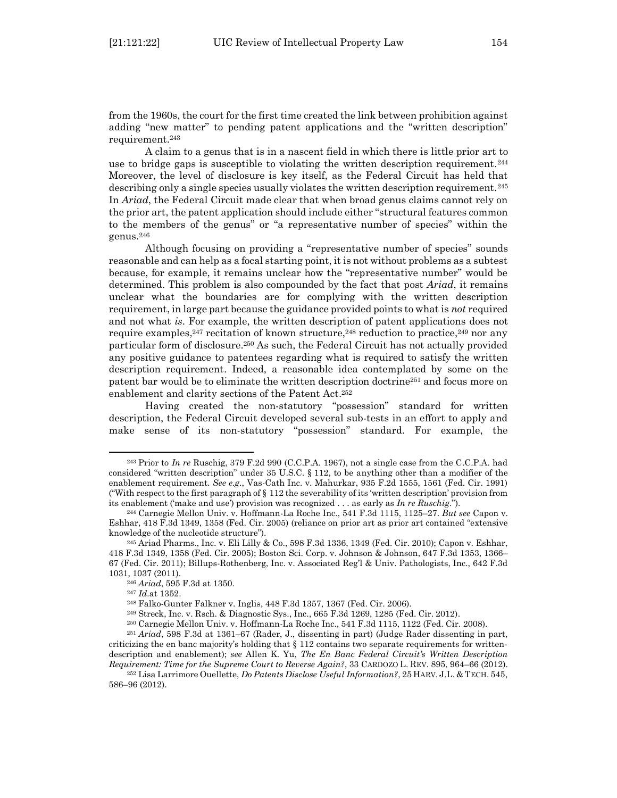from the 1960s, the court for the first time created the link between prohibition against adding "new matter" to pending patent applications and the "written description" requirement.<sup>243</sup>

A claim to a genus that is in a nascent field in which there is little prior art to use to bridge gaps is susceptible to violating the written description requirement.<sup>244</sup> Moreover, the level of disclosure is key itself, as the Federal Circuit has held that describing only a single species usually violates the written description requirement.<sup>245</sup> In *Ariad*, the Federal Circuit made clear that when broad genus claims cannot rely on the prior art, the patent application should include either "structural features common to the members of the genus" or "a representative number of species" within the genus.<sup>246</sup>

Although focusing on providing a "representative number of species" sounds reasonable and can help as a focal starting point, it is not without problems as a subtest because, for example, it remains unclear how the "representative number" would be determined. This problem is also compounded by the fact that post *Ariad*, it remains unclear what the boundaries are for complying with the written description requirement, in large part because the guidance provided points to what is *not* required and not what *is*. For example, the written description of patent applications does not require examples,<sup>247</sup> recitation of known structure,<sup>248</sup> reduction to practice,<sup>249</sup> nor any particular form of disclosure.<sup>250</sup> As such, the Federal Circuit has not actually provided any positive guidance to patentees regarding what is required to satisfy the written description requirement. Indeed, a reasonable idea contemplated by some on the patent bar would be to eliminate the written description doctrine<sup>251</sup> and focus more on enablement and clarity sections of the Patent Act. 252

Having created the non-statutory "possession" standard for written description, the Federal Circuit developed several sub-tests in an effort to apply and make sense of its non-statutory "possession" standard. For example, the

<sup>243</sup> Prior to *In re* Ruschig, 379 F.2d 990 (C.C.P.A. 1967), not a single case from the C.C.P.A. had considered "written description" under 35 U.S.C.  $\S$  112, to be anything other than a modifier of the enablement requirement. *See e.g.*, Vas-Cath Inc. v. Mahurkar, 935 F.2d 1555, 1561 (Fed. Cir. 1991) ("With respect to the first paragraph of § 112 the severability of its 'written description' provision from its enablement ('make and use') provision was recognized . . . as early as *In re Ruschig*.").

<sup>244</sup> Carnegie Mellon Univ. v. Hoffmann-La Roche Inc., 541 F.3d 1115, 1125–27. *But see* Capon v. Eshhar, 418 F.3d 1349, 1358 (Fed. Cir. 2005) (reliance on prior art as prior art contained "extensive knowledge of the nucleotide structure").

<sup>245</sup> Ariad Pharms., Inc. v. Eli Lilly & Co., 598 F.3d 1336, 1349 (Fed. Cir. 2010); Capon v. Eshhar, 418 F.3d 1349, 1358 (Fed. Cir. 2005); Boston Sci. Corp. v. Johnson & Johnson, 647 F.3d 1353, 1366– 67 (Fed. Cir. 2011); Billups-Rothenberg, Inc. v. Associated Reg'l & Univ. Pathologists, Inc., 642 F.3d 1031, 1037 (2011).

<sup>246</sup> *Ariad*, 595 F.3d at 1350.

<sup>247</sup> *Id.*at 1352.

<sup>248</sup> Falko-Gunter Falkner v. Inglis, 448 F.3d 1357, 1367 (Fed. Cir. 2006).

<sup>249</sup> Streck, Inc. v. Rsch. & Diagnostic Sys., Inc., 665 F.3d 1269, 1285 (Fed. Cir. 2012).

<sup>250</sup> Carnegie Mellon Univ. v. Hoffmann-La Roche Inc., 541 F.3d 1115, 1122 (Fed. Cir. 2008).

<sup>251</sup> *Ariad*, 598 F.3d at 1361–67 (Rader, J., dissenting in part) (Judge Rader dissenting in part, criticizing the en banc majority's holding that  $\S$  112 contains two separate requirements for writtendescription and enablement); *see* Allen K. Yu, *The En Banc Federal Circuit's Written Description Requirement: Time for the Supreme Court to Reverse Again?*, 33 CARDOZO L. REV. 895, 964–66 (2012).

<sup>252</sup> Lisa Larrimore Ouellette, *Do Patents Disclose Useful Information?*, 25 HARV. J.L. & TECH. 545, 586–96 (2012).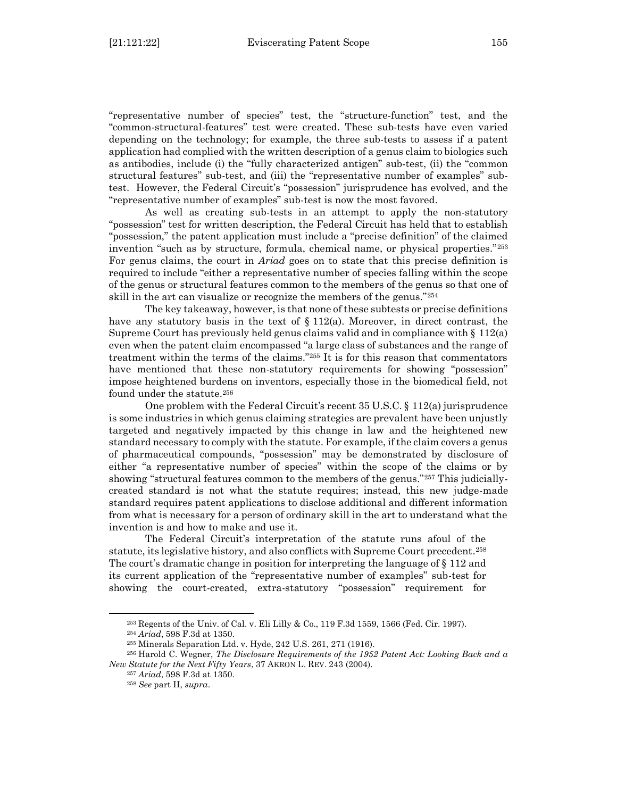"representative number of species" test, the "structure-function" test, and the "common-structural-features" test were created. These sub-tests have even varied depending on the technology; for example, the three sub-tests to assess if a patent application had complied with the written description of a genus claim to biologics such as antibodies, include (i) the "fully characterized antigen" sub-test, (ii) the "common structural features" sub-test, and (iii) the "representative number of examples" subtest. However, the Federal Circuit's "possession" jurisprudence has evolved, and the "representative number of examples" sub-test is now the most favored.

As well as creating sub-tests in an attempt to apply the non-statutory "possession" test for written description, the Federal Circuit has held that to establish "possession," the patent application must include a "precise definition" of the claimed invention "such as by structure, formula, chemical name, or physical properties."<sup>253</sup> For genus claims, the court in *Ariad* goes on to state that this precise definition is required to include "either a representative number of species falling within the scope of the genus or structural features common to the members of the genus so that one of skill in the art can visualize or recognize the members of the genus."<sup>254</sup>

The key takeaway, however, is that none of these subtests or precise definitions have any statutory basis in the text of  $\S 112(a)$ . Moreover, in direct contrast, the Supreme Court has previously held genus claims valid and in compliance with  $\S 112(a)$ even when the patent claim encompassed "a large class of substances and the range of treatment within the terms of the claims."<sup>255</sup> It is for this reason that commentators have mentioned that these non-statutory requirements for showing "possession" impose heightened burdens on inventors, especially those in the biomedical field, not found under the statute.<sup>256</sup>

One problem with the Federal Circuit's recent 35 U.S.C. § 112(a) jurisprudence is some industries in which genus claiming strategies are prevalent have been unjustly targeted and negatively impacted by this change in law and the heightened new standard necessary to comply with the statute. For example, if the claim covers a genus of pharmaceutical compounds, "possession" may be demonstrated by disclosure of either "a representative number of species" within the scope of the claims or by showing "structural features common to the members of the genus."<sup>257</sup> This judiciallycreated standard is not what the statute requires; instead, this new judge-made standard requires patent applications to disclose additional and different information from what is necessary for a person of ordinary skill in the art to understand what the invention is and how to make and use it.

The Federal Circuit's interpretation of the statute runs afoul of the statute, its legislative history, and also conflicts with Supreme Court precedent.<sup>258</sup> The court's dramatic change in position for interpreting the language of § 112 and its current application of the "representative number of examples" sub-test for showing the court-created, extra-statutory "possession" requirement for

<sup>253</sup> Regents of the Univ. of Cal. v. Eli Lilly & Co., 119 F.3d 1559, 1566 (Fed. Cir. 1997).

<sup>254</sup> *Ariad*, 598 F.3d at 1350.

<sup>255</sup> Minerals Separation Ltd. v. Hyde, 242 U.S. 261, 271 (1916).

<sup>256</sup> Harold C. Wegner, *The Disclosure Requirements of the 1952 Patent Act: Looking Back and a New Statute for the Next Fifty Years*, 37 AKRON L. REV. 243 (2004).

<sup>257</sup> *Ariad*, 598 F.3d at 1350.

<sup>258</sup> *See* part II, *supra*.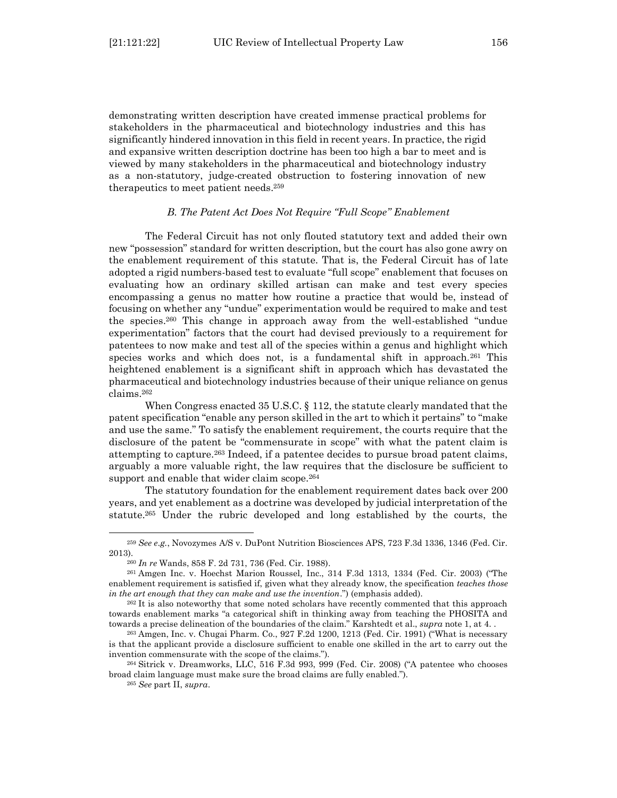demonstrating written description have created immense practical problems for stakeholders in the pharmaceutical and biotechnology industries and this has significantly hindered innovation in this field in recent years. In practice, the rigid and expansive written description doctrine has been too high a bar to meet and is viewed by many stakeholders in the pharmaceutical and biotechnology industry as a non-statutory, judge-created obstruction to fostering innovation of new therapeutics to meet patient needs. 259

#### *B. The Patent Act Does Not Require "Full Scope" Enablement*

<span id="page-37-0"></span>The Federal Circuit has not only flouted statutory text and added their own new "possession" standard for written description, but the court has also gone awry on the enablement requirement of this statute. That is, the Federal Circuit has of late adopted a rigid numbers-based test to evaluate "full scope" enablement that focuses on evaluating how an ordinary skilled artisan can make and test every species encompassing a genus no matter how routine a practice that would be, instead of focusing on whether any "undue" experimentation would be required to make and test the species.<sup>260</sup> This change in approach away from the well-established "undue experimentation" factors that the court had devised previously to a requirement for patentees to now make and test all of the species within a genus and highlight which species works and which does not, is a fundamental shift in approach.<sup>261</sup> This heightened enablement is a significant shift in approach which has devastated the pharmaceutical and biotechnology industries because of their unique reliance on genus claims.<sup>262</sup>

When Congress enacted 35 U.S.C. § 112, the statute clearly mandated that the patent specification "enable any person skilled in the art to which it pertains" to "make and use the same." To satisfy the enablement requirement, the courts require that the disclosure of the patent be "commensurate in scope" with what the patent claim is attempting to capture.<sup>263</sup> Indeed, if a patentee decides to pursue broad patent claims, arguably a more valuable right, the law requires that the disclosure be sufficient to support and enable that wider claim scope.<sup>264</sup>

The statutory foundation for the enablement requirement dates back over 200 years, and yet enablement as a doctrine was developed by judicial interpretation of the statute.<sup>265</sup> Under the rubric developed and long established by the courts, the

<sup>259</sup> *See e.g.*, Novozymes A/S v. DuPont Nutrition Biosciences APS, 723 F.3d 1336, 1346 (Fed. Cir. 2013).

<sup>260</sup> *In re* Wands, 858 F. 2d 731, 736 (Fed. Cir. 1988).

<sup>261</sup> Amgen Inc. v. Hoechst Marion Roussel*,* Inc., 314 F.3d 1313, 1334 (Fed. Cir. 2003) ("The enablement requirement is satisfied if, given what they already know, the specification *teaches those in the art enough that they can make and use the invention*.") (emphasis added).

<sup>&</sup>lt;sup>262</sup> It is also noteworthy that some noted scholars have recently commented that this approach towards enablement marks "a categorical shift in thinking away from teaching the PHOSITA and towards a precise delineation of the boundaries of the claim." Karshtedt et al., *supra* note 1, at 4. .

<sup>263</sup> Amgen, Inc. v. Chugai Pharm. Co., 927 F.2d 1200, 1213 (Fed. Cir. 1991) ("What is necessary is that the applicant provide a disclosure sufficient to enable one skilled in the art to carry out the invention commensurate with the scope of the claims.").

<sup>264</sup> Sitrick v. Dreamworks, LLC, 516 F.3d 993, 999 (Fed. Cir. 2008) ("A patentee who chooses broad claim language must make sure the broad claims are fully enabled.").

<sup>265</sup> *See* part II, *supra*.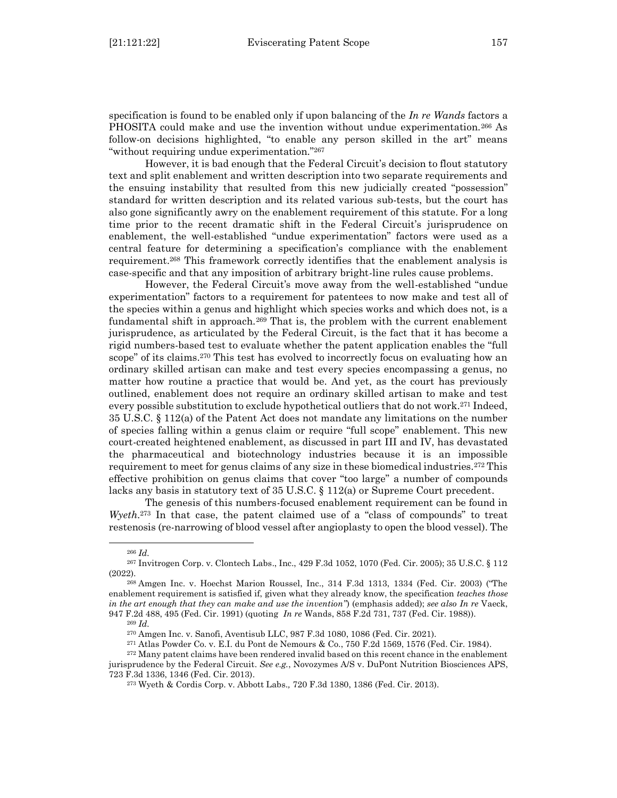specification is found to be enabled only if upon balancing of the *In re Wands* factors a PHOSITA could make and use the invention without undue experimentation.<sup>266</sup> As follow-on decisions highlighted, "to enable any person skilled in the art" means "without requiring undue experimentation."<sup>267</sup>

However, it is bad enough that the Federal Circuit's decision to flout statutory text and split enablement and written description into two separate requirements and the ensuing instability that resulted from this new judicially created "possession" standard for written description and its related various sub-tests, but the court has also gone significantly awry on the enablement requirement of this statute. For a long time prior to the recent dramatic shift in the Federal Circuit's jurisprudence on enablement, the well-established "undue experimentation" factors were used as a central feature for determining a specification's compliance with the enablement requirement.<sup>268</sup> This framework correctly identifies that the enablement analysis is case-specific and that any imposition of arbitrary bright-line rules cause problems.

However, the Federal Circuit's move away from the well-established "undue experimentation" factors to a requirement for patentees to now make and test all of the species within a genus and highlight which species works and which does not, is a fundamental shift in approach.<sup>269</sup> That is, the problem with the current enablement jurisprudence, as articulated by the Federal Circuit, is the fact that it has become a rigid numbers-based test to evaluate whether the patent application enables the "full scope" of its claims.<sup>270</sup> This test has evolved to incorrectly focus on evaluating how an ordinary skilled artisan can make and test every species encompassing a genus, no matter how routine a practice that would be. And yet, as the court has previously outlined, enablement does not require an ordinary skilled artisan to make and test every possible substitution to exclude hypothetical outliers that do not work.<sup>271</sup> Indeed, 35 U.S.C. § 112(a) of the Patent Act does not mandate any limitations on the number of species falling within a genus claim or require "full scope" enablement. This new court-created heightened enablement, as discussed in part III and IV, has devastated the pharmaceutical and biotechnology industries because it is an impossible requirement to meet for genus claims of any size in these biomedical industries.<sup>272</sup> This effective prohibition on genus claims that cover "too large" a number of compounds lacks any basis in statutory text of 35 U.S.C. § 112(a) or Supreme Court precedent.

The genesis of this numbers-focused enablement requirement can be found in *Wyeth*.<sup>273</sup> In that case, the patent claimed use of a "class of compounds" to treat restenosis (re-narrowing of blood vessel after angioplasty to open the blood vessel). The

<sup>266</sup> *Id.*

<sup>267</sup> Invitrogen Corp. v. Clontech Labs., Inc., 429 F.3d 1052, 1070 (Fed. Cir. 2005); 35 U.S.C. § 112 (2022).

<sup>268</sup> Amgen Inc. v. Hoechst Marion Roussel, Inc., 314 F.3d 1313, 1334 (Fed. Cir. 2003) ("The enablement requirement is satisfied if, given what they already know, the specification *teaches those in the art enough that they can make and use the invention"*) (emphasis added); *see also In re* Vaeck, 947 F.2d 488, 495 (Fed. Cir. 1991) (quoting *In re* Wands, 858 F.2d 731, 737 (Fed. Cir. 1988)).

<sup>269</sup> *Id.*

<sup>270</sup> Amgen Inc. v. Sanofi, Aventisub LLC, 987 F.3d 1080, 1086 (Fed. Cir. 2021).

<sup>271</sup> Atlas Powder Co. v. E.I. du Pont de Nemours & Co., 750 F.2d 1569, 1576 (Fed. Cir. 1984).

<sup>272</sup> Many patent claims have been rendered invalid based on this recent chance in the enablement jurisprudence by the Federal Circuit. *See e.g.*, Novozymes A/S v. DuPont Nutrition Biosciences APS,

<sup>723</sup> F.3d 1336, 1346 (Fed. Cir. 2013).

<sup>273</sup> Wyeth & Cordis Corp. v. Abbott Labs.*,* 720 F.3d 1380, 1386 (Fed. Cir. 2013).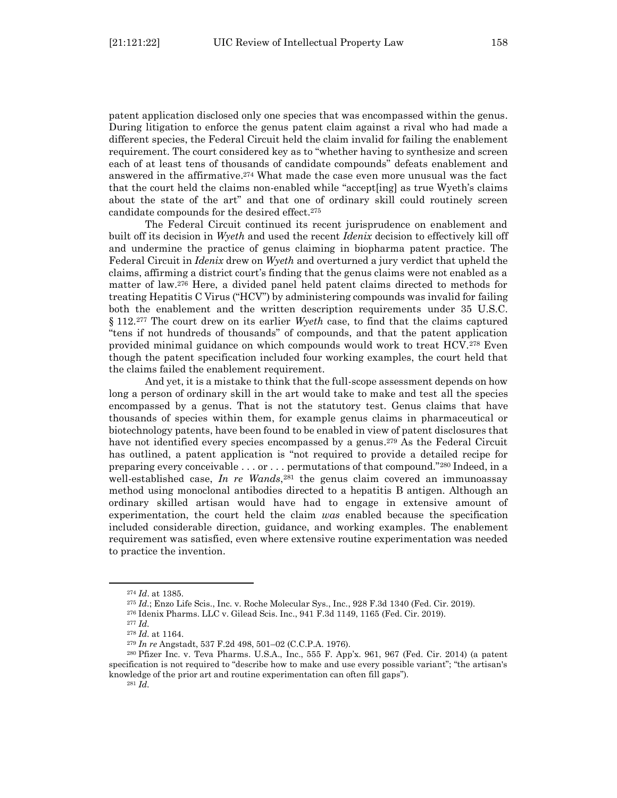patent application disclosed only one species that was encompassed within the genus. During litigation to enforce the genus patent claim against a rival who had made a different species, the Federal Circuit held the claim invalid for failing the enablement requirement. The court considered key as to "whether having to synthesize and screen each of at least tens of thousands of candidate compounds" defeats enablement and answered in the affirmative. <sup>274</sup> What made the case even more unusual was the fact that the court held the claims non-enabled while "accept[ing] as true Wyeth's claims about the state of the art" and that one of ordinary skill could routinely screen candidate compounds for the desired effect.<sup>275</sup>

The Federal Circuit continued its recent jurisprudence on enablement and built off its decision in *Wyeth* and used the recent *Idenix* decision to effectively kill off and undermine the practice of genus claiming in biopharma patent practice. The Federal Circuit in *Idenix* drew on *Wyeth* and overturned a jury verdict that upheld the claims, affirming a district court's finding that the genus claims were not enabled as a matter of law.<sup>276</sup> Here, a divided panel held patent claims directed to methods for treating Hepatitis C Virus ("HCV") by administering compounds was invalid for failing both the enablement and the written description requirements under 35 U.S.C. § 112. <sup>277</sup> The court drew on its earlier *Wyeth* case, to find that the claims captured "tens if not hundreds of thousands" of compounds, and that the patent application provided minimal guidance on which compounds would work to treat HCV.<sup>278</sup> Even though the patent specification included four working examples, the court held that the claims failed the enablement requirement.

And yet, it is a mistake to think that the full-scope assessment depends on how long a person of ordinary skill in the art would take to make and test all the species encompassed by a genus. That is not the statutory test. Genus claims that have thousands of species within them, for example genus claims in pharmaceutical or biotechnology patents, have been found to be enabled in view of patent disclosures that have not identified every species encompassed by a genus.<sup>279</sup> As the Federal Circuit has outlined, a patent application is "not required to provide a detailed recipe for preparing every conceivable  $\dots$  or  $\dots$  permutations of that compound."280 Indeed, in a well-established case, *In re Wands*, <sup>281</sup> the genus claim covered an immunoassay method using monoclonal antibodies directed to a hepatitis B antigen. Although an ordinary skilled artisan would have had to engage in extensive amount of experimentation, the court held the claim *was* enabled because the specification included considerable direction, guidance, and working examples. The enablement requirement was satisfied, even where extensive routine experimentation was needed to practice the invention.

<sup>281</sup> *Id.*

<sup>274</sup> *Id*. at 1385.

<sup>275</sup> *Id.*; Enzo Life Scis., Inc. v. Roche Molecular Sys., Inc., 928 F.3d 1340 (Fed. Cir. 2019).

<sup>276</sup> Idenix Pharms. LLC v. Gilead Scis. Inc., 941 F.3d 1149, 1165 (Fed. Cir. 2019).

<sup>277</sup> *Id.* 

<sup>278</sup> *Id.* at 1164.

<sup>279</sup> *In re* Angstadt, 537 F.2d 498, 501–02 (C.C.P.A. 1976).

<sup>280</sup> Pfizer Inc. v. Teva Pharms. U.S.A., Inc., 555 F. App'x. 961, 967 (Fed. Cir. 2014) (a patent specification is not required to "describe how to make and use every possible variant"; "the artisan's knowledge of the prior art and routine experimentation can often fill gaps").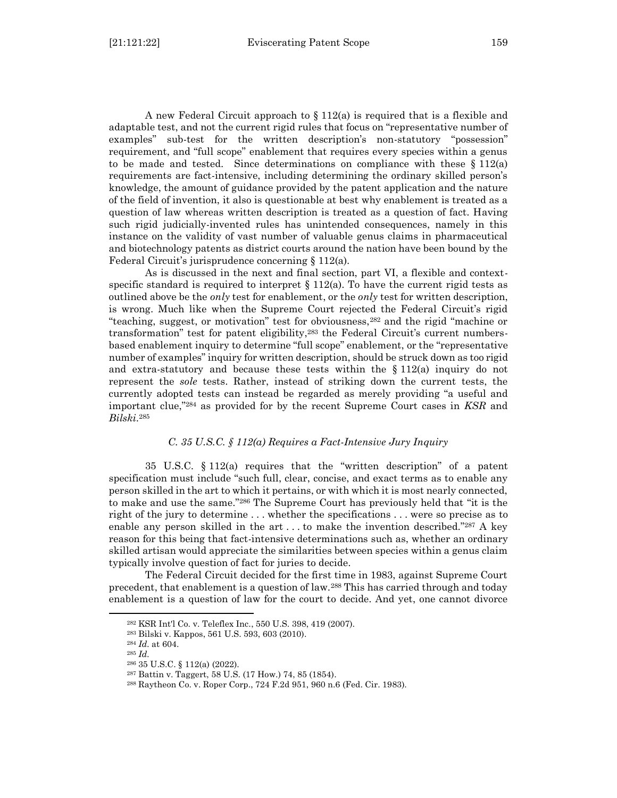A new Federal Circuit approach to  $\S 112(a)$  is required that is a flexible and adaptable test, and not the current rigid rules that focus on "representative number of examples" sub-test for the written description's non-statutory "possession" requirement, and "full scope" enablement that requires every species within a genus to be made and tested. Since determinations on compliance with these  $\S 112(a)$ requirements are fact-intensive, including determining the ordinary skilled person's knowledge, the amount of guidance provided by the patent application and the nature of the field of invention, it also is questionable at best why enablement is treated as a question of law whereas written description is treated as a question of fact. Having such rigid judicially-invented rules has unintended consequences, namely in this instance on the validity of vast number of valuable genus claims in pharmaceutical and biotechnology patents as district courts around the nation have been bound by the Federal Circuit's jurisprudence concerning § 112(a).

As is discussed in the next and final section, part VI, a flexible and contextspecific standard is required to interpret  $\S 112(a)$ . To have the current rigid tests as outlined above be the *only* test for enablement, or the *only* test for written description, is wrong. Much like when the Supreme Court rejected the Federal Circuit's rigid "teaching, suggest, or motivation" test for obviousness,<sup>282</sup> and the rigid "machine or transformation" test for patent eligibility,<sup>283</sup> the Federal Circuit's current numbersbased enablement inquiry to determine "full scope" enablement, or the "representative number of examples" inquiry for written description, should be struck down as too rigid and extra-statutory and because these tests within the § 112(a) inquiry do not represent the *sole* tests. Rather, instead of striking down the current tests, the currently adopted tests can instead be regarded as merely providing "a useful and important clue,"<sup>284</sup> as provided for by the recent Supreme Court cases in *KSR* and *Bilski*. 285

# *C. 35 U.S.C. § 112(a) Requires a Fact-Intensive Jury Inquiry*

<span id="page-40-0"></span>35 U.S.C. § 112(a) requires that the "written description" of a patent specification must include "such full, clear, concise, and exact terms as to enable any person skilled in the art to which it pertains, or with which it is most nearly connected, to make and use the same."<sup>286</sup> The Supreme Court has previously held that "it is the right of the jury to determine . . . whether the specifications . . . were so precise as to enable any person skilled in the art  $\dots$  to make the invention described."287 A key reason for this being that fact-intensive determinations such as, whether an ordinary skilled artisan would appreciate the similarities between species within a genus claim typically involve question of fact for juries to decide.

The Federal Circuit decided for the first time in 1983, against Supreme Court precedent, that enablement is a question of law.<sup>288</sup> This has carried through and today enablement is a question of law for the court to decide. And yet, one cannot divorce

<sup>282</sup> KSR Int'l Co. v. Teleflex Inc., 550 U.S. 398, 419 (2007).

<sup>283</sup> Bilski v. Kappos, 561 U.S. 593, 603 (2010).

<sup>284</sup> *Id.* at 604.

<sup>285</sup> *Id.* 

<sup>286</sup> 35 U.S.C. § 112(a) (2022).

<sup>287</sup> Battin v. Taggert, 58 U.S. (17 How.) 74, 85 (1854).

<sup>288</sup> Raytheon Co. v. Roper Corp., 724 F.2d 951, 960 n.6 (Fed. Cir. 1983).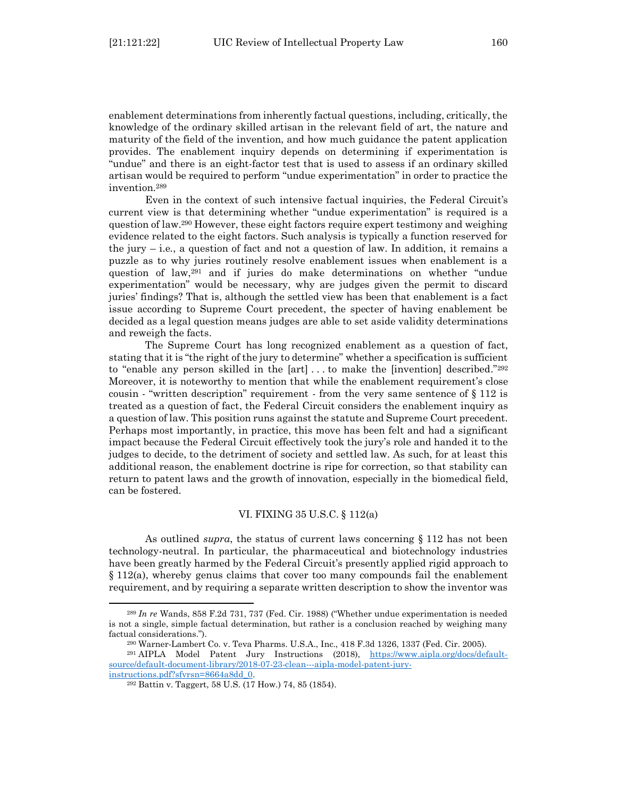enablement determinations from inherently factual questions, including, critically, the knowledge of the ordinary skilled artisan in the relevant field of art, the nature and maturity of the field of the invention, and how much guidance the patent application provides. The enablement inquiry depends on determining if experimentation is "undue" and there is an eight-factor test that is used to assess if an ordinary skilled artisan would be required to perform "undue experimentation" in order to practice the invention.<sup>289</sup>

Even in the context of such intensive factual inquiries, the Federal Circuit's current view is that determining whether "undue experimentation" is required is a question of law.<sup>290</sup> However, these eight factors require expert testimony and weighing evidence related to the eight factors. Such analysis is typically a function reserved for the jury – i.e*.*, a question of fact and not a question of law. In addition, it remains a puzzle as to why juries routinely resolve enablement issues when enablement is a question of law,<sup>291</sup> and if juries do make determinations on whether "undue experimentation" would be necessary, why are judges given the permit to discard juries' findings? That is, although the settled view has been that enablement is a fact issue according to Supreme Court precedent, the specter of having enablement be decided as a legal question means judges are able to set aside validity determinations and reweigh the facts.

The Supreme Court has long recognized enablement as a question of fact, stating that it is "the right of the jury to determine" whether a specification is sufficient to "enable any person skilled in the [art] . . . to make the [invention] described."<sup>292</sup> Moreover, it is noteworthy to mention that while the enablement requirement's close cousin - "written description" requirement - from the very same sentence of  $\S 112$  is treated as a question of fact, the Federal Circuit considers the enablement inquiry as a question of law. This position runs against the statute and Supreme Court precedent. Perhaps most importantly, in practice, this move has been felt and had a significant impact because the Federal Circuit effectively took the jury's role and handed it to the judges to decide, to the detriment of society and settled law. As such, for at least this additional reason, the enablement doctrine is ripe for correction, so that stability can return to patent laws and the growth of innovation, especially in the biomedical field, can be fostered.

#### VI. FIXING 35 U.S.C. § 112(a)

<span id="page-41-0"></span>As outlined *supra*, the status of current laws concerning § 112 has not been technology-neutral. In particular, the pharmaceutical and biotechnology industries have been greatly harmed by the Federal Circuit's presently applied rigid approach to § 112(a), whereby genus claims that cover too many compounds fail the enablement requirement, and by requiring a separate written description to show the inventor was

<sup>289</sup> *In re* Wands, 858 F.2d 731, 737 (Fed. Cir. 1988) ("Whether undue experimentation is needed is not a single, simple factual determination, but rather is a conclusion reached by weighing many factual considerations.").

<sup>290</sup> Warner-Lambert Co. v. Teva Pharms. U.S.A., Inc., 418 F.3d 1326, 1337 (Fed. Cir. 2005).

<sup>&</sup>lt;sup>291</sup> AIPLA Model Patent Jury Instructions (2018), [https://www.aipla.org/docs/default](https://www.aipla.org/docs/default-source/default-document-library/2018-07-23-clean---aipla-model-patent-jury-instructions.pdf?sfvrsn=8664a8dd_0)[source/default-document-library/2018-07-23-clean---aipla-model-patent-jury](https://www.aipla.org/docs/default-source/default-document-library/2018-07-23-clean---aipla-model-patent-jury-instructions.pdf?sfvrsn=8664a8dd_0)[instructions.pdf?sfvrsn=8664a8dd\\_0.](https://www.aipla.org/docs/default-source/default-document-library/2018-07-23-clean---aipla-model-patent-jury-instructions.pdf?sfvrsn=8664a8dd_0)

<sup>292</sup> Battin v. Taggert, 58 U.S. (17 How.) 74, 85 (1854).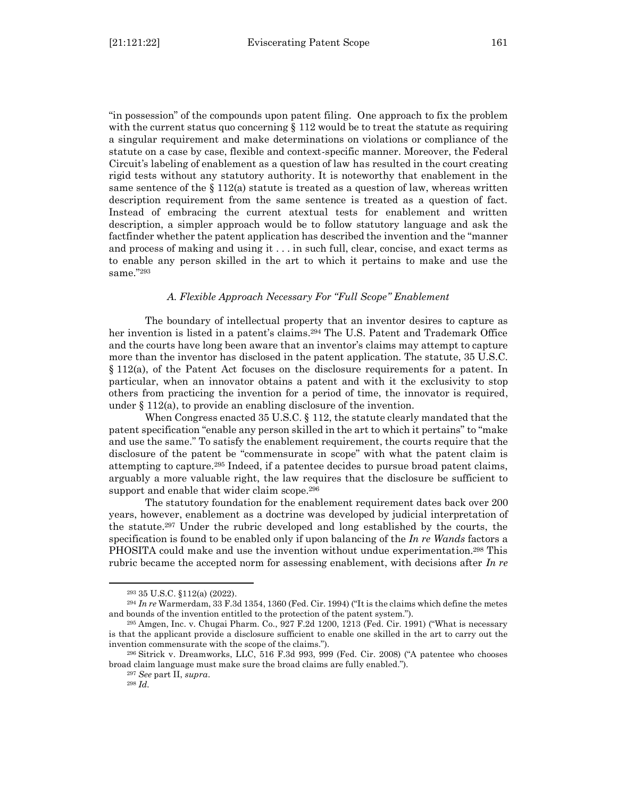"in possession" of the compounds upon patent filing. One approach to fix the problem with the current status quo concerning  $\S 112$  would be to treat the statute as requiring a singular requirement and make determinations on violations or compliance of the statute on a case by case, flexible and context-specific manner. Moreover, the Federal Circuit's labeling of enablement as a question of law has resulted in the court creating rigid tests without any statutory authority. It is noteworthy that enablement in the same sentence of the  $\S 112(a)$  statute is treated as a question of law, whereas written description requirement from the same sentence is treated as a question of fact. Instead of embracing the current atextual tests for enablement and written description, a simpler approach would be to follow statutory language and ask the factfinder whether the patent application has described the invention and the "manner and process of making and using it . . . in such full, clear, concise, and exact terms as to enable any person skilled in the art to which it pertains to make and use the same."<sup>293</sup>

#### *A. Flexible Approach Necessary For "Full Scope" Enablement*

<span id="page-42-0"></span>The boundary of intellectual property that an inventor desires to capture as her invention is listed in a patent's claims.<sup>294</sup> The U.S. Patent and Trademark Office and the courts have long been aware that an inventor's claims may attempt to capture more than the inventor has disclosed in the patent application. The statute, 35 U.S.C. § 112(a), of the Patent Act focuses on the disclosure requirements for a patent. In particular, when an innovator obtains a patent and with it the exclusivity to stop others from practicing the invention for a period of time, the innovator is required, under § 112(a), to provide an enabling disclosure of the invention.

When Congress enacted 35 U.S.C. § 112, the statute clearly mandated that the patent specification "enable any person skilled in the art to which it pertains" to "make and use the same." To satisfy the enablement requirement, the courts require that the disclosure of the patent be "commensurate in scope" with what the patent claim is attempting to capture.<sup>295</sup> Indeed, if a patentee decides to pursue broad patent claims, arguably a more valuable right, the law requires that the disclosure be sufficient to support and enable that wider claim scope.<sup>296</sup>

The statutory foundation for the enablement requirement dates back over 200 years, however, enablement as a doctrine was developed by judicial interpretation of the statute.<sup>297</sup> Under the rubric developed and long established by the courts, the specification is found to be enabled only if upon balancing of the *In re Wands* factors a PHOSITA could make and use the invention without undue experimentation.<sup>298</sup> This rubric became the accepted norm for assessing enablement, with decisions after *In re* 

<sup>293</sup> 35 U.S.C. §112(a) (2022).

<sup>294</sup> *In re* Warmerdam, 33 F.3d 1354, 1360 (Fed. Cir. 1994) ("It is the claims which define the metes and bounds of the invention entitled to the protection of the patent system.").

<sup>295</sup> Amgen, Inc. v. Chugai Pharm. Co., 927 F.2d 1200, 1213 (Fed. Cir. 1991) ("What is necessary is that the applicant provide a disclosure sufficient to enable one skilled in the art to carry out the invention commensurate with the scope of the claims.").

<sup>296</sup> Sitrick v. Dreamworks, LLC, 516 F.3d 993, 999 (Fed. Cir. 2008) ("A patentee who chooses broad claim language must make sure the broad claims are fully enabled.").

<sup>297</sup> *See* part II, *supra*.

<sup>298</sup> *Id.*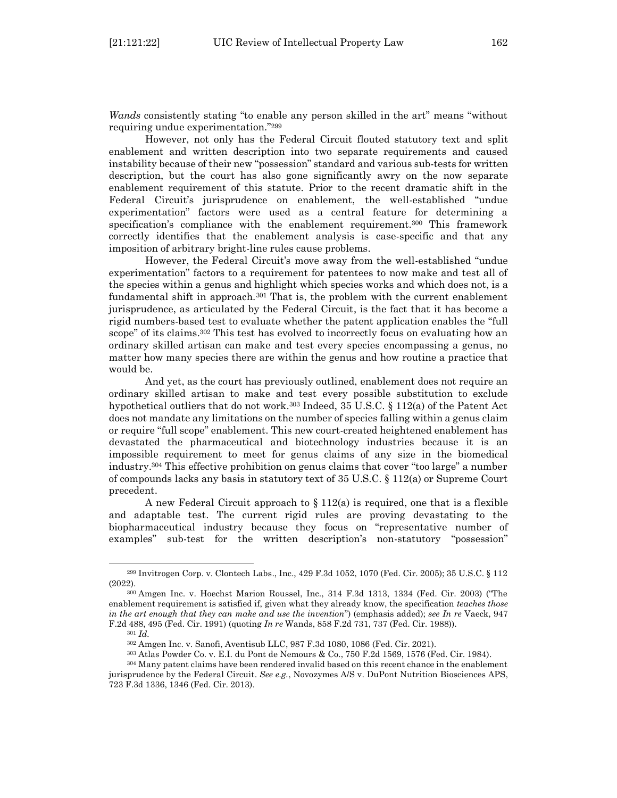*Wands* consistently stating "to enable any person skilled in the art" means "without requiring undue experimentation."<sup>299</sup>

However, not only has the Federal Circuit flouted statutory text and split enablement and written description into two separate requirements and caused instability because of their new "possession" standard and various sub-tests for written description, but the court has also gone significantly awry on the now separate enablement requirement of this statute. Prior to the recent dramatic shift in the Federal Circuit's jurisprudence on enablement, the well-established "undue experimentation" factors were used as a central feature for determining a specification's compliance with the enablement requirement.<sup>300</sup> This framework correctly identifies that the enablement analysis is case-specific and that any imposition of arbitrary bright-line rules cause problems.

However, the Federal Circuit's move away from the well-established "undue experimentation" factors to a requirement for patentees to now make and test all of the species within a genus and highlight which species works and which does not, is a fundamental shift in approach. $301$  That is, the problem with the current enablement jurisprudence, as articulated by the Federal Circuit, is the fact that it has become a rigid numbers-based test to evaluate whether the patent application enables the "full scope" of its claims.<sup>302</sup> This test has evolved to incorrectly focus on evaluating how an ordinary skilled artisan can make and test every species encompassing a genus, no matter how many species there are within the genus and how routine a practice that would be.

And yet, as the court has previously outlined, enablement does not require an ordinary skilled artisan to make and test every possible substitution to exclude hypothetical outliers that do not work.<sup>303</sup> Indeed, 35 U.S.C. § 112(a) of the Patent Act does not mandate any limitations on the number of species falling within a genus claim or require "full scope" enablement. This new court-created heightened enablement has devastated the pharmaceutical and biotechnology industries because it is an impossible requirement to meet for genus claims of any size in the biomedical industry. <sup>304</sup> This effective prohibition on genus claims that cover "too large" a number of compounds lacks any basis in statutory text of 35 U.S.C. § 112(a) or Supreme Court precedent.

A new Federal Circuit approach to  $\S 112(a)$  is required, one that is a flexible and adaptable test. The current rigid rules are proving devastating to the biopharmaceutical industry because they focus on "representative number of examples" sub-test for the written description's non-statutory "possession"

<sup>299</sup> Invitrogen Corp. v. Clontech Labs., Inc., 429 F.3d 1052, 1070 (Fed. Cir. 2005); 35 U.S.C. § 112 (2022).

<sup>300</sup> Amgen Inc. v. Hoechst Marion Roussel, Inc., 314 F.3d 1313, 1334 (Fed. Cir. 2003) ("The enablement requirement is satisfied if, given what they already know, the specification *teaches those in the art enough that they can make and use the invention*") (emphasis added); *see In re* Vaeck, 947 F.2d 488, 495 (Fed. Cir. 1991) (quoting *In re* Wands, 858 F.2d 731, 737 (Fed. Cir. 1988)).

<sup>301</sup> *Id.*

<sup>302</sup> Amgen Inc. v. Sanofi, Aventisub LLC, 987 F.3d 1080, 1086 (Fed. Cir. 2021).

<sup>303</sup> Atlas Powder Co. v. E.I. du Pont de Nemours & Co., 750 F.2d 1569, 1576 (Fed. Cir. 1984).

<sup>304</sup> Many patent claims have been rendered invalid based on this recent chance in the enablement jurisprudence by the Federal Circuit. *See e.g.*, Novozymes A/S v. DuPont Nutrition Biosciences APS, 723 F.3d 1336, 1346 (Fed. Cir. 2013).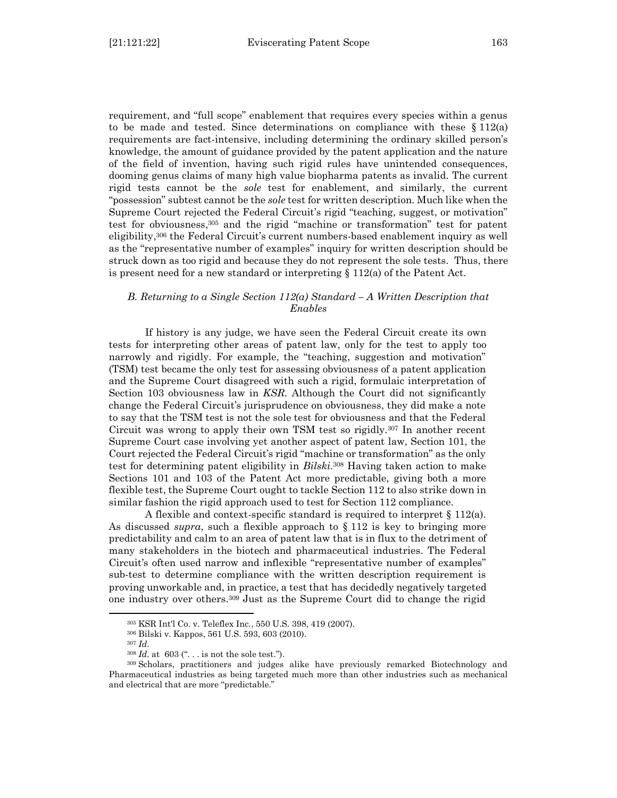requirement, and "full scope" enablement that requires every species within a genus to be made and tested. Since determinations on compliance with these  $\S 112(a)$ requirements are fact-intensive, including determining the ordinary skilled person's knowledge, the amount of guidance provided by the patent application and the nature of the field of invention, having such rigid rules have unintended consequences, dooming genus claims of many high value biopharma patents as invalid. The current rigid tests cannot be the *sole* test for enablement, and similarly, the current "possession" subtest cannot be the *sole* test for written description. Much like when the Supreme Court rejected the Federal Circuit's rigid "teaching, suggest, or motivation" test for obviousness, <sup>305</sup> and the rigid "machine or transformation" test for patent eligibility, <sup>306</sup> the Federal Circuit's current numbers-based enablement inquiry as well as the "representative number of examples" inquiry for written description should be struck down as too rigid and because they do not represent the sole tests. Thus, there is present need for a new standard or interpreting  $\S 112(a)$  of the Patent Act.

# <span id="page-44-0"></span>*B. Returning to a Single Section 112(a) Standard – A Written Description that Enables*

If history is any judge, we have seen the Federal Circuit create its own tests for interpreting other areas of patent law, only for the test to apply too narrowly and rigidly. For example, the "teaching, suggestion and motivation" (TSM) test became the only test for assessing obviousness of a patent application and the Supreme Court disagreed with such a rigid, formulaic interpretation of Section 103 obviousness law in *KSR.* Although the Court did not significantly change the Federal Circuit's jurisprudence on obviousness, they did make a note to say that the TSM test is not the sole test for obviousness and that the Federal Circuit was wrong to apply their own TSM test so rigidly.<sup>307</sup> In another recent Supreme Court case involving yet another aspect of patent law, Section 101, the Court rejected the Federal Circuit's rigid "machine or transformation" as the only test for determining patent eligibility in *Bilski*. <sup>308</sup> Having taken action to make Sections 101 and 103 of the Patent Act more predictable, giving both a more flexible test, the Supreme Court ought to tackle Section 112 to also strike down in similar fashion the rigid approach used to test for Section 112 compliance.

A flexible and context-specific standard is required to interpret § 112(a). As discussed *supra*, such a flexible approach to § 112 is key to bringing more predictability and calm to an area of patent law that is in flux to the detriment of many stakeholders in the biotech and pharmaceutical industries. The Federal Circuit's often used narrow and inflexible "representative number of examples" sub-test to determine compliance with the written description requirement is proving unworkable and, in practice, a test that has decidedly negatively targeted one industry over others.<sup>309</sup> Just as the Supreme Court did to change the rigid

<sup>305</sup> KSR Int'l Co. v. Teleflex Inc., 550 U.S. 398, 419 (2007).

<sup>306</sup> Bilski v. Kappos, 561 U.S. 593, 603 (2010).

<sup>307</sup> *Id.*

<sup>308</sup> *Id.* at 603 (". . . is not the sole test.").

<sup>309</sup> Scholars, practitioners and judges alike have previously remarked Biotechnology and Pharmaceutical industries as being targeted much more than other industries such as mechanical and electrical that are more "predictable."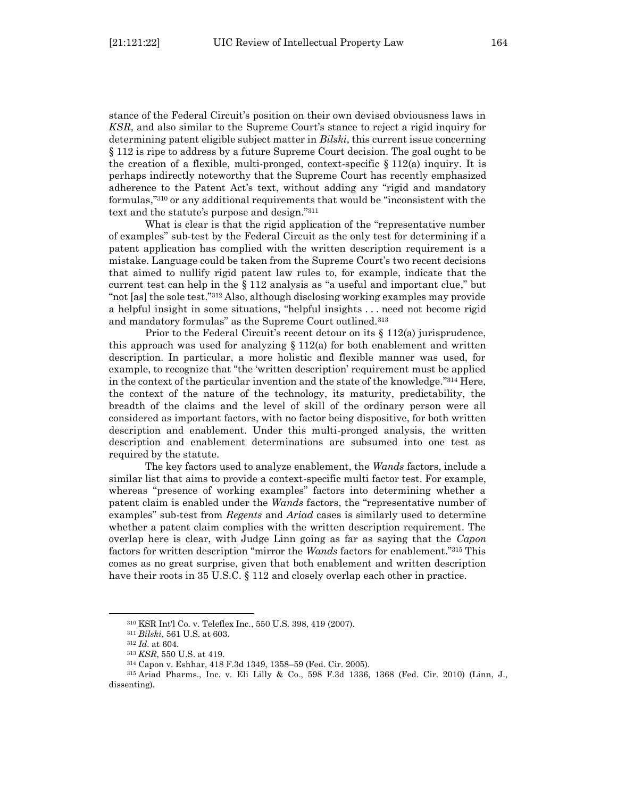stance of the Federal Circuit's position on their own devised obviousness laws in *KSR*, and also similar to the Supreme Court's stance to reject a rigid inquiry for determining patent eligible subject matter in *Bilski*, this current issue concerning § 112 is ripe to address by a future Supreme Court decision. The goal ought to be the creation of a flexible, multi-pronged, context-specific § 112(a) inquiry. It is perhaps indirectly noteworthy that the Supreme Court has recently emphasized adherence to the Patent Act's text, without adding any "rigid and mandatory formulas," <sup>310</sup> or any additional requirements that would be "inconsistent with the text and the statute's purpose and design."<sup>311</sup>

What is clear is that the rigid application of the "representative number of examples" sub-test by the Federal Circuit as the only test for determining if a patent application has complied with the written description requirement is a mistake. Language could be taken from the Supreme Court's two recent decisions that aimed to nullify rigid patent law rules to, for example, indicate that the current test can help in the § 112 analysis as "a useful and important clue," but "not [as] the sole test."<sup>312</sup> Also, although disclosing working examples may provide a helpful insight in some situations, "helpful insights . . . need not become rigid and mandatory formulas" as the Supreme Court outlined.<sup>313</sup>

Prior to the Federal Circuit's recent detour on its § 112(a) jurisprudence, this approach was used for analyzing  $\S 112(a)$  for both enablement and written description. In particular, a more holistic and flexible manner was used, for example, to recognize that "the 'written description' requirement must be applied in the context of the particular invention and the state of the knowledge." <sup>314</sup> Here, the context of the nature of the technology, its maturity, predictability, the breadth of the claims and the level of skill of the ordinary person were all considered as important factors, with no factor being dispositive, for both written description and enablement. Under this multi-pronged analysis, the written description and enablement determinations are subsumed into one test as required by the statute.

The key factors used to analyze enablement, the *Wands* factors, include a similar list that aims to provide a context-specific multi factor test. For example, whereas "presence of working examples" factors into determining whether a patent claim is enabled under the *Wands* factors, the "representative number of examples" sub-test from *Regents* and *Ariad* cases is similarly used to determine whether a patent claim complies with the written description requirement. The overlap here is clear, with Judge Linn going as far as saying that the *Capon* factors for written description "mirror the *Wands* factors for enablement."<sup>315</sup> This comes as no great surprise, given that both enablement and written description have their roots in 35 U.S.C. § 112 and closely overlap each other in practice.

<sup>310</sup> KSR Int'l Co. v. Teleflex Inc., 550 U.S. 398, 419 (2007).

<sup>311</sup> *Bilski*, 561 U.S. at 603.

<sup>312</sup> *Id.* at 604.

<sup>313</sup> *KSR*, 550 U.S. at 419.

<sup>314</sup> Capon v. Eshhar, 418 F.3d 1349, 1358–59 (Fed. Cir. 2005).

<sup>315</sup> Ariad Pharms., Inc. v. Eli Lilly & Co., 598 F.3d 1336, 1368 (Fed. Cir. 2010) (Linn, J., dissenting).